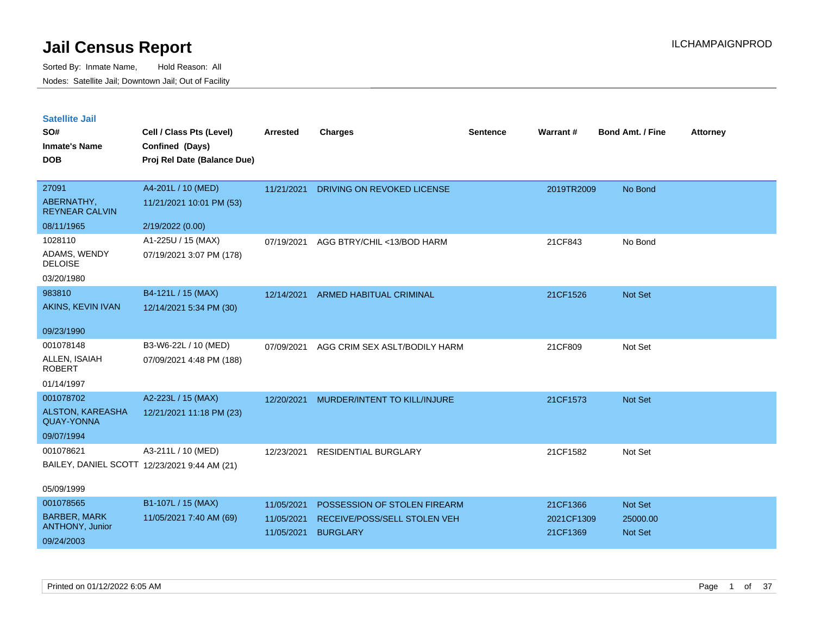| <b>Satellite Jail</b> |  |
|-----------------------|--|
|                       |  |

| SO#<br><b>Inmate's Name</b><br><b>DOB</b> | Cell / Class Pts (Level)<br>Confined (Days)<br>Proj Rel Date (Balance Due) | <b>Arrested</b>          | <b>Charges</b>                                  | Sentence | <b>Warrant#</b>        | <b>Bond Amt. / Fine</b> | <b>Attorney</b> |
|-------------------------------------------|----------------------------------------------------------------------------|--------------------------|-------------------------------------------------|----------|------------------------|-------------------------|-----------------|
| 27091                                     | A4-201L / 10 (MED)                                                         | 11/21/2021               | DRIVING ON REVOKED LICENSE                      |          | 2019TR2009             | No Bond                 |                 |
| ABERNATHY,<br><b>REYNEAR CALVIN</b>       | 11/21/2021 10:01 PM (53)                                                   |                          |                                                 |          |                        |                         |                 |
| 08/11/1965                                | 2/19/2022 (0.00)                                                           |                          |                                                 |          |                        |                         |                 |
| 1028110                                   | A1-225U / 15 (MAX)                                                         | 07/19/2021               | AGG BTRY/CHIL <13/BOD HARM                      |          | 21CF843                | No Bond                 |                 |
| ADAMS, WENDY<br><b>DELOISE</b>            | 07/19/2021 3:07 PM (178)                                                   |                          |                                                 |          |                        |                         |                 |
| 03/20/1980                                |                                                                            |                          |                                                 |          |                        |                         |                 |
| 983810                                    | B4-121L / 15 (MAX)                                                         | 12/14/2021               | ARMED HABITUAL CRIMINAL                         |          | 21CF1526               | Not Set                 |                 |
| AKINS, KEVIN IVAN                         | 12/14/2021 5:34 PM (30)                                                    |                          |                                                 |          |                        |                         |                 |
| 09/23/1990                                |                                                                            |                          |                                                 |          |                        |                         |                 |
| 001078148                                 | B3-W6-22L / 10 (MED)                                                       | 07/09/2021               | AGG CRIM SEX ASLT/BODILY HARM                   |          | 21CF809                | Not Set                 |                 |
| ALLEN, ISAIAH<br><b>ROBERT</b>            | 07/09/2021 4:48 PM (188)                                                   |                          |                                                 |          |                        |                         |                 |
| 01/14/1997                                |                                                                            |                          |                                                 |          |                        |                         |                 |
| 001078702                                 | A2-223L / 15 (MAX)                                                         | 12/20/2021               | MURDER/INTENT TO KILL/INJURE                    |          | 21CF1573               | Not Set                 |                 |
| ALSTON, KAREASHA<br><b>QUAY-YONNA</b>     | 12/21/2021 11:18 PM (23)                                                   |                          |                                                 |          |                        |                         |                 |
| 09/07/1994                                |                                                                            |                          |                                                 |          |                        |                         |                 |
| 001078621                                 | A3-211L / 10 (MED)                                                         | 12/23/2021               | <b>RESIDENTIAL BURGLARY</b>                     |          | 21CF1582               | Not Set                 |                 |
|                                           | BAILEY, DANIEL SCOTT 12/23/2021 9:44 AM (21)                               |                          |                                                 |          |                        |                         |                 |
| 05/09/1999                                |                                                                            |                          |                                                 |          |                        |                         |                 |
| 001078565                                 | B1-107L / 15 (MAX)                                                         | 11/05/2021               | POSSESSION OF STOLEN FIREARM                    |          | 21CF1366               | Not Set                 |                 |
| <b>BARBER, MARK</b><br>ANTHONY, Junior    | 11/05/2021 7:40 AM (69)                                                    | 11/05/2021<br>11/05/2021 | RECEIVE/POSS/SELL STOLEN VEH<br><b>BURGLARY</b> |          | 2021CF1309<br>21CF1369 | 25000.00<br>Not Set     |                 |
| 09/24/2003                                |                                                                            |                          |                                                 |          |                        |                         |                 |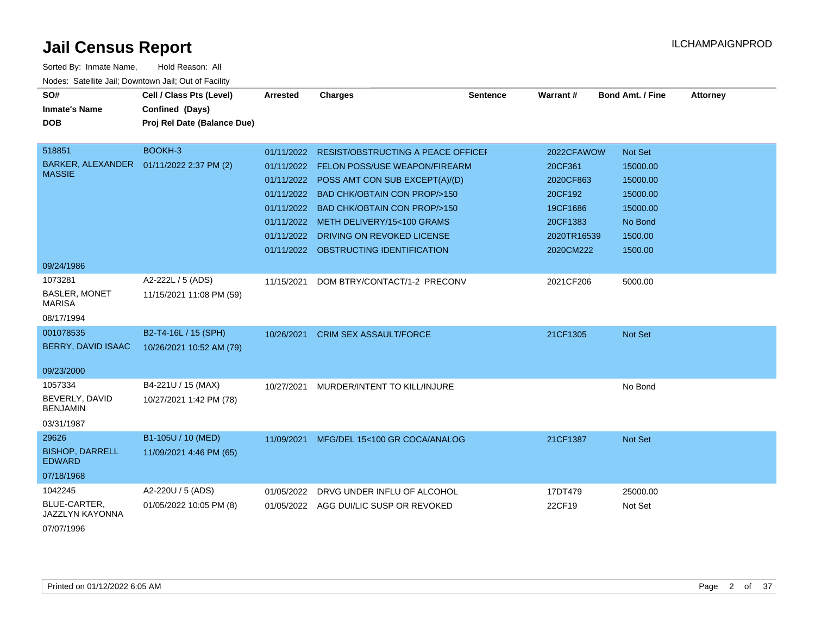| Sorted By: Inmate Name,                               | Hold Reason: All            |                 |                                           |                 |             |                         |                 |
|-------------------------------------------------------|-----------------------------|-----------------|-------------------------------------------|-----------------|-------------|-------------------------|-----------------|
| Nodes: Satellite Jail; Downtown Jail; Out of Facility |                             |                 |                                           |                 |             |                         |                 |
| SO#                                                   | Cell / Class Pts (Level)    | <b>Arrested</b> | <b>Charges</b>                            | <b>Sentence</b> | Warrant#    | <b>Bond Amt. / Fine</b> | <b>Attorney</b> |
| <b>Inmate's Name</b>                                  | Confined (Days)             |                 |                                           |                 |             |                         |                 |
| <b>DOB</b>                                            | Proj Rel Date (Balance Due) |                 |                                           |                 |             |                         |                 |
| 518851                                                | BOOKH-3                     | 01/11/2022      | <b>RESIST/OBSTRUCTING A PEACE OFFICEF</b> |                 | 2022CFAWOW  | Not Set                 |                 |
| BARKER, ALEXANDER  01/11/2022 2:37 PM (2)             |                             | 01/11/2022      | <b>FELON POSS/USE WEAPON/FIREARM</b>      |                 | 20CF361     | 15000.00                |                 |
| <b>MASSIE</b>                                         |                             | 01/11/2022      | POSS AMT CON SUB EXCEPT(A)/(D)            |                 | 2020CF863   | 15000.00                |                 |
|                                                       |                             | 01/11/2022      | <b>BAD CHK/OBTAIN CON PROP/&gt;150</b>    |                 | 20CF192     | 15000.00                |                 |
|                                                       |                             | 01/11/2022      | <b>BAD CHK/OBTAIN CON PROP/&gt;150</b>    |                 | 19CF1686    | 15000.00                |                 |
|                                                       |                             | 01/11/2022      | METH DELIVERY/15<100 GRAMS                |                 | 20CF1383    | No Bond                 |                 |
|                                                       |                             | 01/11/2022      | DRIVING ON REVOKED LICENSE                |                 | 2020TR16539 | 1500.00                 |                 |
|                                                       |                             |                 | 01/11/2022 OBSTRUCTING IDENTIFICATION     |                 | 2020CM222   | 1500.00                 |                 |
| 09/24/1986                                            |                             |                 |                                           |                 |             |                         |                 |
| 1073281                                               | A2-222L / 5 (ADS)           | 11/15/2021      | DOM BTRY/CONTACT/1-2 PRECONV              |                 | 2021CF206   | 5000.00                 |                 |
| <b>BASLER, MONET</b><br><b>MARISA</b>                 | 11/15/2021 11:08 PM (59)    |                 |                                           |                 |             |                         |                 |
| 08/17/1994                                            |                             |                 |                                           |                 |             |                         |                 |
| 001078535                                             | B2-T4-16L / 15 (SPH)        | 10/26/2021      | <b>CRIM SEX ASSAULT/FORCE</b>             |                 | 21CF1305    | <b>Not Set</b>          |                 |
| BERRY, DAVID ISAAC                                    | 10/26/2021 10:52 AM (79)    |                 |                                           |                 |             |                         |                 |
|                                                       |                             |                 |                                           |                 |             |                         |                 |
| 09/23/2000                                            |                             |                 |                                           |                 |             |                         |                 |
| 1057334                                               | B4-221U / 15 (MAX)          | 10/27/2021      | MURDER/INTENT TO KILL/INJURE              |                 |             | No Bond                 |                 |
| BEVERLY, DAVID<br><b>BENJAMIN</b>                     | 10/27/2021 1:42 PM (78)     |                 |                                           |                 |             |                         |                 |
| 03/31/1987                                            |                             |                 |                                           |                 |             |                         |                 |
| 29626                                                 | B1-105U / 10 (MED)          | 11/09/2021      | MFG/DEL 15<100 GR COCA/ANALOG             |                 | 21CF1387    | <b>Not Set</b>          |                 |
| <b>BISHOP, DARRELL</b><br><b>EDWARD</b>               | 11/09/2021 4:46 PM (65)     |                 |                                           |                 |             |                         |                 |
| 07/18/1968                                            |                             |                 |                                           |                 |             |                         |                 |
| 1042245                                               | A2-220U / 5 (ADS)           | 01/05/2022      | DRVG UNDER INFLU OF ALCOHOL               |                 | 17DT479     | 25000.00                |                 |
| BLUE-CARTER,<br>JAZZLYN KAYONNA                       | 01/05/2022 10:05 PM (8)     |                 | 01/05/2022 AGG DUI/LIC SUSP OR REVOKED    |                 | 22CF19      | Not Set                 |                 |

07/07/1996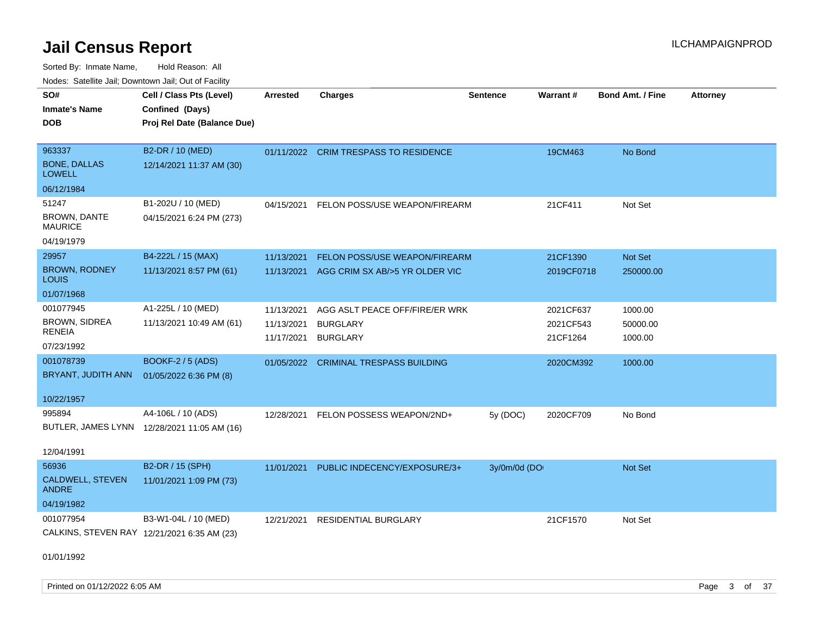| Noues. Salemie Jan, Downlown Jan, Out of Facility |                                             |                 |                                       |                 |            |                         |                 |
|---------------------------------------------------|---------------------------------------------|-----------------|---------------------------------------|-----------------|------------|-------------------------|-----------------|
| SO#                                               | Cell / Class Pts (Level)                    | <b>Arrested</b> | <b>Charges</b>                        | <b>Sentence</b> | Warrant#   | <b>Bond Amt. / Fine</b> | <b>Attorney</b> |
| <b>Inmate's Name</b>                              | Confined (Days)                             |                 |                                       |                 |            |                         |                 |
| DOB.                                              | Proj Rel Date (Balance Due)                 |                 |                                       |                 |            |                         |                 |
|                                                   |                                             |                 |                                       |                 |            |                         |                 |
| 963337                                            | B2-DR / 10 (MED)                            |                 | 01/11/2022 CRIM TRESPASS TO RESIDENCE |                 | 19CM463    | No Bond                 |                 |
| <b>BONE, DALLAS</b><br><b>LOWELL</b>              | 12/14/2021 11:37 AM (30)                    |                 |                                       |                 |            |                         |                 |
| 06/12/1984                                        |                                             |                 |                                       |                 |            |                         |                 |
| 51247                                             | B1-202U / 10 (MED)                          | 04/15/2021      | FELON POSS/USE WEAPON/FIREARM         |                 | 21CF411    | Not Set                 |                 |
| BROWN, DANTE<br><b>MAURICE</b>                    | 04/15/2021 6:24 PM (273)                    |                 |                                       |                 |            |                         |                 |
| 04/19/1979                                        |                                             |                 |                                       |                 |            |                         |                 |
| 29957                                             | B4-222L / 15 (MAX)                          | 11/13/2021      | FELON POSS/USE WEAPON/FIREARM         |                 | 21CF1390   | Not Set                 |                 |
| <b>BROWN, RODNEY</b><br>LOUIS                     | 11/13/2021 8:57 PM (61)                     | 11/13/2021      | AGG CRIM SX AB/>5 YR OLDER VIC        |                 | 2019CF0718 | 250000.00               |                 |
| 01/07/1968                                        |                                             |                 |                                       |                 |            |                         |                 |
| 001077945                                         | A1-225L / 10 (MED)                          | 11/13/2021      | AGG ASLT PEACE OFF/FIRE/ER WRK        |                 | 2021CF637  | 1000.00                 |                 |
| <b>BROWN, SIDREA</b>                              | 11/13/2021 10:49 AM (61)                    | 11/13/2021      | <b>BURGLARY</b>                       |                 | 2021CF543  | 50000.00                |                 |
| RENEIA                                            |                                             | 11/17/2021      | <b>BURGLARY</b>                       |                 | 21CF1264   | 1000.00                 |                 |
| 07/23/1992                                        |                                             |                 |                                       |                 |            |                         |                 |
| 001078739                                         | <b>BOOKF-2 / 5 (ADS)</b>                    | 01/05/2022      | <b>CRIMINAL TRESPASS BUILDING</b>     |                 | 2020CM392  | 1000.00                 |                 |
| BRYANT, JUDITH ANN                                | 01/05/2022 6:36 PM (8)                      |                 |                                       |                 |            |                         |                 |
| 10/22/1957                                        |                                             |                 |                                       |                 |            |                         |                 |
| 995894                                            | A4-106L / 10 (ADS)                          | 12/28/2021      | FELON POSSESS WEAPON/2ND+             | 5y (DOC)        | 2020CF709  | No Bond                 |                 |
|                                                   | BUTLER, JAMES LYNN 12/28/2021 11:05 AM (16) |                 |                                       |                 |            |                         |                 |
|                                                   |                                             |                 |                                       |                 |            |                         |                 |
| 12/04/1991                                        |                                             |                 |                                       |                 |            |                         |                 |
| 56936                                             | B2-DR / 15 (SPH)                            | 11/01/2021      | PUBLIC INDECENCY/EXPOSURE/3+          | 3y/0m/0d (DO    |            | Not Set                 |                 |
| <b>CALDWELL, STEVEN</b><br><b>ANDRE</b>           | 11/01/2021 1:09 PM (73)                     |                 |                                       |                 |            |                         |                 |
| 04/19/1982                                        |                                             |                 |                                       |                 |            |                         |                 |
| 001077954                                         | B3-W1-04L / 10 (MED)                        | 12/21/2021      | <b>RESIDENTIAL BURGLARY</b>           |                 | 21CF1570   | Not Set                 |                 |
|                                                   | CALKINS, STEVEN RAY 12/21/2021 6:35 AM (23) |                 |                                       |                 |            |                         |                 |
| 01/01/1992                                        |                                             |                 |                                       |                 |            |                         |                 |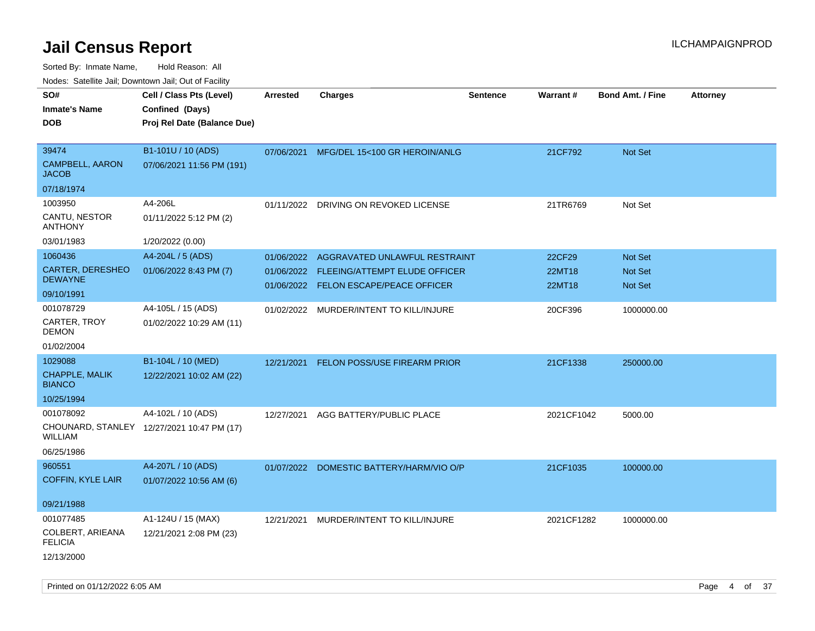| rouco. Calcinic Jan, Downtown Jan, Out of Facility |                                            |                 |                                          |                 |                 |                         |                 |
|----------------------------------------------------|--------------------------------------------|-----------------|------------------------------------------|-----------------|-----------------|-------------------------|-----------------|
| SO#                                                | Cell / Class Pts (Level)                   | <b>Arrested</b> | <b>Charges</b>                           | <b>Sentence</b> | <b>Warrant#</b> | <b>Bond Amt. / Fine</b> | <b>Attorney</b> |
| Inmate's Name                                      | Confined (Days)                            |                 |                                          |                 |                 |                         |                 |
| <b>DOB</b>                                         | Proj Rel Date (Balance Due)                |                 |                                          |                 |                 |                         |                 |
|                                                    |                                            |                 |                                          |                 |                 |                         |                 |
| 39474                                              | B1-101U / 10 (ADS)                         |                 | 07/06/2021 MFG/DEL 15<100 GR HEROIN/ANLG |                 | 21CF792         | <b>Not Set</b>          |                 |
| <b>CAMPBELL, AARON</b><br>JACOB                    | 07/06/2021 11:56 PM (191)                  |                 |                                          |                 |                 |                         |                 |
| 07/18/1974                                         |                                            |                 |                                          |                 |                 |                         |                 |
| 1003950                                            | A4-206L                                    | 01/11/2022      | DRIVING ON REVOKED LICENSE               |                 | 21TR6769        | Not Set                 |                 |
| CANTU, NESTOR<br><b>ANTHONY</b>                    | 01/11/2022 5:12 PM (2)                     |                 |                                          |                 |                 |                         |                 |
| 03/01/1983                                         | 1/20/2022 (0.00)                           |                 |                                          |                 |                 |                         |                 |
| 1060436                                            | A4-204L / 5 (ADS)                          | 01/06/2022      | AGGRAVATED UNLAWFUL RESTRAINT            |                 | 22CF29          | <b>Not Set</b>          |                 |
| CARTER, DERESHEO                                   | 01/06/2022 8:43 PM (7)                     | 01/06/2022      | FLEEING/ATTEMPT ELUDE OFFICER            |                 | 22MT18          | <b>Not Set</b>          |                 |
| <b>DEWAYNE</b>                                     |                                            |                 | 01/06/2022 FELON ESCAPE/PEACE OFFICER    |                 | 22MT18          | Not Set                 |                 |
| 09/10/1991                                         |                                            |                 |                                          |                 |                 |                         |                 |
| 001078729                                          | A4-105L / 15 (ADS)                         |                 | 01/02/2022 MURDER/INTENT TO KILL/INJURE  |                 | 20CF396         | 1000000.00              |                 |
| CARTER, TROY<br>DEMON                              | 01/02/2022 10:29 AM (11)                   |                 |                                          |                 |                 |                         |                 |
| 01/02/2004                                         |                                            |                 |                                          |                 |                 |                         |                 |
| 1029088                                            | B1-104L / 10 (MED)                         | 12/21/2021      | FELON POSS/USE FIREARM PRIOR             |                 | 21CF1338        | 250000.00               |                 |
| CHAPPLE, MALIK<br><b>BIANCO</b>                    | 12/22/2021 10:02 AM (22)                   |                 |                                          |                 |                 |                         |                 |
| 10/25/1994                                         |                                            |                 |                                          |                 |                 |                         |                 |
| 001078092                                          | A4-102L / 10 (ADS)                         | 12/27/2021      | AGG BATTERY/PUBLIC PLACE                 |                 | 2021CF1042      | 5000.00                 |                 |
| WILLIAM                                            | CHOUNARD, STANLEY 12/27/2021 10:47 PM (17) |                 |                                          |                 |                 |                         |                 |
| 06/25/1986                                         |                                            |                 |                                          |                 |                 |                         |                 |
| 960551                                             | A4-207L / 10 (ADS)                         |                 | 01/07/2022 DOMESTIC BATTERY/HARM/VIO O/P |                 | 21CF1035        | 100000.00               |                 |
| <b>COFFIN, KYLE LAIR</b>                           | 01/07/2022 10:56 AM (6)                    |                 |                                          |                 |                 |                         |                 |
|                                                    |                                            |                 |                                          |                 |                 |                         |                 |
| 09/21/1988                                         |                                            |                 |                                          |                 |                 |                         |                 |
| 001077485                                          | A1-124U / 15 (MAX)                         | 12/21/2021      | MURDER/INTENT TO KILL/INJURE             |                 | 2021CF1282      | 1000000.00              |                 |
| COLBERT, ARIEANA<br><b>FELICIA</b>                 | 12/21/2021 2:08 PM (23)                    |                 |                                          |                 |                 |                         |                 |
| 12/13/2000                                         |                                            |                 |                                          |                 |                 |                         |                 |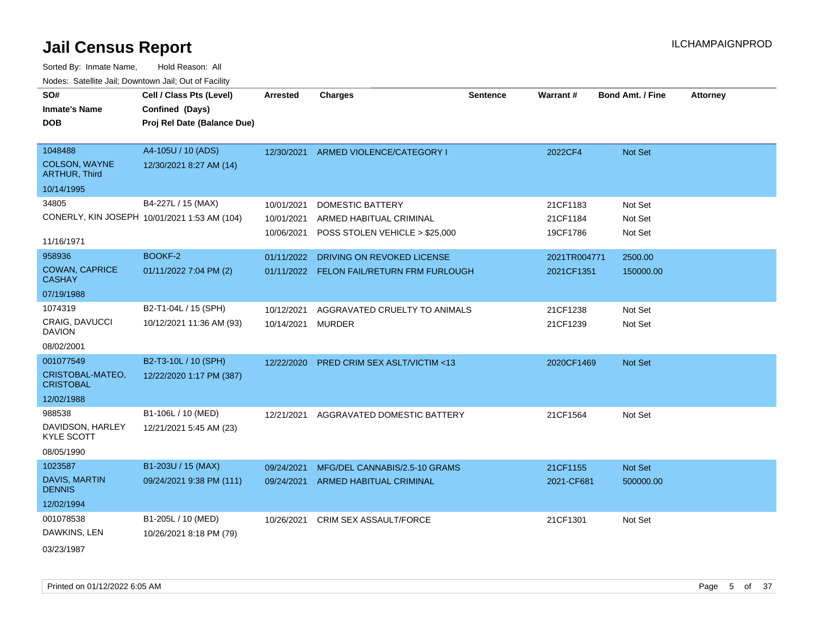| SO#<br><b>Inmate's Name</b><br>DOB                              | Cell / Class Pts (Level)<br>Confined (Days)<br>Proj Rel Date (Balance Due) | <b>Arrested</b>                        | <b>Charges</b>                                                                       | <b>Sentence</b> | Warrant#                         | <b>Bond Amt. / Fine</b>       | <b>Attorney</b> |
|-----------------------------------------------------------------|----------------------------------------------------------------------------|----------------------------------------|--------------------------------------------------------------------------------------|-----------------|----------------------------------|-------------------------------|-----------------|
| 1048488<br>COLSON, WAYNE<br><b>ARTHUR, Third</b>                | A4-105U / 10 (ADS)<br>12/30/2021 8:27 AM (14)                              | 12/30/2021                             | ARMED VIOLENCE/CATEGORY I                                                            |                 | 2022CF4                          | <b>Not Set</b>                |                 |
| 10/14/1995                                                      |                                                                            |                                        |                                                                                      |                 |                                  |                               |                 |
| 34805<br>11/16/1971                                             | B4-227L / 15 (MAX)<br>CONERLY, KIN JOSEPH 10/01/2021 1:53 AM (104)         | 10/01/2021<br>10/01/2021<br>10/06/2021 | <b>DOMESTIC BATTERY</b><br>ARMED HABITUAL CRIMINAL<br>POSS STOLEN VEHICLE > \$25,000 |                 | 21CF1183<br>21CF1184<br>19CF1786 | Not Set<br>Not Set<br>Not Set |                 |
| 958936                                                          | BOOKF-2                                                                    | 01/11/2022                             | DRIVING ON REVOKED LICENSE                                                           |                 | 2021TR004771                     | 2500.00                       |                 |
| <b>COWAN, CAPRICE</b><br><b>CASHAY</b>                          | 01/11/2022 7:04 PM (2)                                                     |                                        | 01/11/2022 FELON FAIL/RETURN FRM FURLOUGH                                            |                 | 2021CF1351                       | 150000.00                     |                 |
| 07/19/1988                                                      |                                                                            |                                        |                                                                                      |                 |                                  |                               |                 |
| 1074319<br><b>CRAIG, DAVUCCI</b><br><b>DAVION</b><br>08/02/2001 | B2-T1-04L / 15 (SPH)<br>10/12/2021 11:36 AM (93)                           | 10/12/2021<br>10/14/2021               | AGGRAVATED CRUELTY TO ANIMALS<br><b>MURDER</b>                                       |                 | 21CF1238<br>21CF1239             | Not Set<br>Not Set            |                 |
| 001077549                                                       | B2-T3-10L / 10 (SPH)                                                       | 12/22/2020                             | <b>PRED CRIM SEX ASLT/VICTIM &lt;13</b>                                              |                 | 2020CF1469                       | <b>Not Set</b>                |                 |
| CRISTOBAL-MATEO,<br><b>CRISTOBAL</b>                            | 12/22/2020 1:17 PM (387)                                                   |                                        |                                                                                      |                 |                                  |                               |                 |
| 12/02/1988                                                      |                                                                            |                                        |                                                                                      |                 |                                  |                               |                 |
| 988538<br>DAVIDSON, HARLEY<br><b>KYLE SCOTT</b><br>08/05/1990   | B1-106L / 10 (MED)<br>12/21/2021 5:45 AM (23)                              | 12/21/2021                             | AGGRAVATED DOMESTIC BATTERY                                                          |                 | 21CF1564                         | Not Set                       |                 |
| 1023587                                                         | B1-203U / 15 (MAX)                                                         | 09/24/2021                             | MFG/DEL CANNABIS/2.5-10 GRAMS                                                        |                 | 21CF1155                         | Not Set                       |                 |
| <b>DAVIS, MARTIN</b><br><b>DENNIS</b>                           | 09/24/2021 9:38 PM (111)                                                   | 09/24/2021                             | ARMED HABITUAL CRIMINAL                                                              |                 | 2021-CF681                       | 500000.00                     |                 |
| 12/02/1994                                                      |                                                                            |                                        |                                                                                      |                 |                                  |                               |                 |
| 001078538<br>DAWKINS, LEN<br>03/23/1987                         | B1-205L / 10 (MED)<br>10/26/2021 8:18 PM (79)                              | 10/26/2021                             | <b>CRIM SEX ASSAULT/FORCE</b>                                                        |                 | 21CF1301                         | Not Set                       |                 |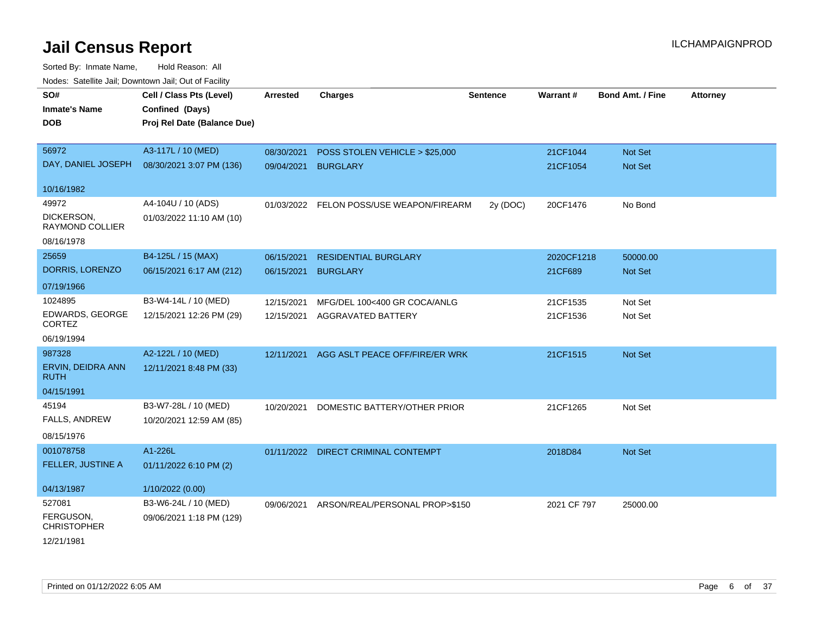| SO#                              | Cell / Class Pts (Level)    | <b>Arrested</b> | <b>Charges</b>                            | <b>Sentence</b> | Warrant#    | <b>Bond Amt. / Fine</b> | <b>Attorney</b> |
|----------------------------------|-----------------------------|-----------------|-------------------------------------------|-----------------|-------------|-------------------------|-----------------|
| <b>Inmate's Name</b>             | Confined (Days)             |                 |                                           |                 |             |                         |                 |
| <b>DOB</b>                       | Proj Rel Date (Balance Due) |                 |                                           |                 |             |                         |                 |
|                                  |                             |                 |                                           |                 |             |                         |                 |
| 56972                            | A3-117L / 10 (MED)          | 08/30/2021      | POSS STOLEN VEHICLE > \$25,000            |                 | 21CF1044    | Not Set                 |                 |
| DAY, DANIEL JOSEPH               | 08/30/2021 3:07 PM (136)    | 09/04/2021      | <b>BURGLARY</b>                           |                 | 21CF1054    | Not Set                 |                 |
|                                  |                             |                 |                                           |                 |             |                         |                 |
| 10/16/1982                       |                             |                 |                                           |                 |             |                         |                 |
| 49972                            | A4-104U / 10 (ADS)          |                 | 01/03/2022 FELON POSS/USE WEAPON/FIREARM  | 2y (DOC)        | 20CF1476    | No Bond                 |                 |
| DICKERSON,<br>RAYMOND COLLIER    | 01/03/2022 11:10 AM (10)    |                 |                                           |                 |             |                         |                 |
| 08/16/1978                       |                             |                 |                                           |                 |             |                         |                 |
| 25659                            | B4-125L / 15 (MAX)          | 06/15/2021      | <b>RESIDENTIAL BURGLARY</b>               |                 | 2020CF1218  | 50000.00                |                 |
| DORRIS, LORENZO                  | 06/15/2021 6:17 AM (212)    | 06/15/2021      | <b>BURGLARY</b>                           |                 | 21CF689     | Not Set                 |                 |
| 07/19/1966                       |                             |                 |                                           |                 |             |                         |                 |
| 1024895                          | B3-W4-14L / 10 (MED)        | 12/15/2021      | MFG/DEL 100<400 GR COCA/ANLG              |                 | 21CF1535    | Not Set                 |                 |
| EDWARDS, GEORGE<br><b>CORTEZ</b> | 12/15/2021 12:26 PM (29)    | 12/15/2021      | AGGRAVATED BATTERY                        |                 | 21CF1536    | Not Set                 |                 |
| 06/19/1994                       |                             |                 |                                           |                 |             |                         |                 |
| 987328                           | A2-122L / 10 (MED)          |                 | 12/11/2021 AGG ASLT PEACE OFF/FIRE/ER WRK |                 | 21CF1515    | Not Set                 |                 |
| ERVIN, DEIDRA ANN<br><b>RUTH</b> | 12/11/2021 8:48 PM (33)     |                 |                                           |                 |             |                         |                 |
| 04/15/1991                       |                             |                 |                                           |                 |             |                         |                 |
| 45194                            | B3-W7-28L / 10 (MED)        | 10/20/2021      | DOMESTIC BATTERY/OTHER PRIOR              |                 | 21CF1265    | Not Set                 |                 |
| FALLS, ANDREW                    | 10/20/2021 12:59 AM (85)    |                 |                                           |                 |             |                         |                 |
| 08/15/1976                       |                             |                 |                                           |                 |             |                         |                 |
| 001078758                        | A1-226L                     |                 | 01/11/2022 DIRECT CRIMINAL CONTEMPT       |                 | 2018D84     | Not Set                 |                 |
| FELLER, JUSTINE A                | 01/11/2022 6:10 PM (2)      |                 |                                           |                 |             |                         |                 |
| 04/13/1987                       | 1/10/2022 (0.00)            |                 |                                           |                 |             |                         |                 |
| 527081                           | B3-W6-24L / 10 (MED)        | 09/06/2021      | ARSON/REAL/PERSONAL PROP>\$150            |                 | 2021 CF 797 | 25000.00                |                 |
| FERGUSON,<br><b>CHRISTOPHER</b>  | 09/06/2021 1:18 PM (129)    |                 |                                           |                 |             |                         |                 |
| 12/21/1981                       |                             |                 |                                           |                 |             |                         |                 |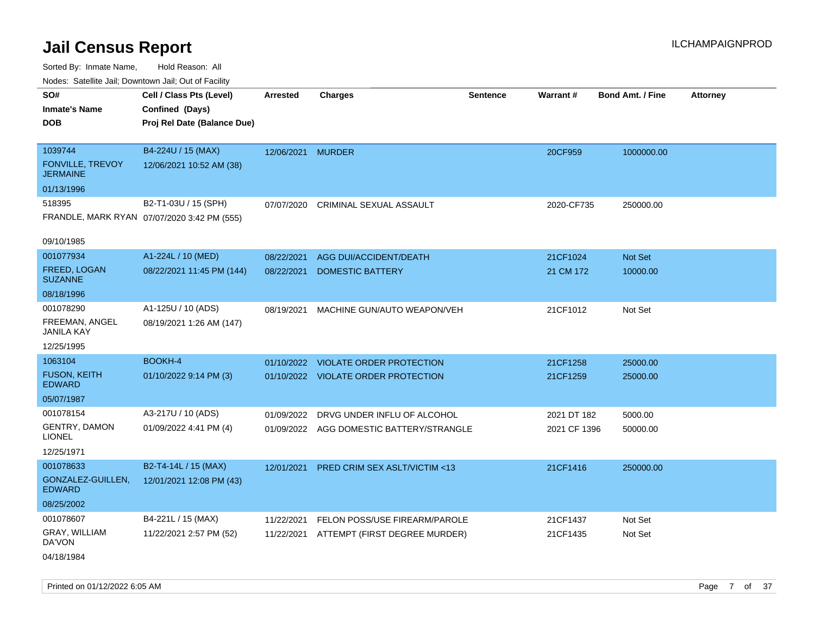| Noues. Sateme Jan, Downtown Jan, Out or Facility |                                             |                   |                                          |                 |              |                         |          |
|--------------------------------------------------|---------------------------------------------|-------------------|------------------------------------------|-----------------|--------------|-------------------------|----------|
| SO#                                              | Cell / Class Pts (Level)                    | Arrested          | <b>Charges</b>                           | <b>Sentence</b> | Warrant#     | <b>Bond Amt. / Fine</b> | Attorney |
| <b>Inmate's Name</b>                             | Confined (Days)                             |                   |                                          |                 |              |                         |          |
| <b>DOB</b>                                       | Proj Rel Date (Balance Due)                 |                   |                                          |                 |              |                         |          |
|                                                  |                                             |                   |                                          |                 |              |                         |          |
| 1039744                                          | B4-224U / 15 (MAX)                          | 12/06/2021 MURDER |                                          |                 | 20CF959      | 1000000.00              |          |
| <b>FONVILLE, TREVOY</b><br><b>JERMAINE</b>       | 12/06/2021 10:52 AM (38)                    |                   |                                          |                 |              |                         |          |
| 01/13/1996                                       |                                             |                   |                                          |                 |              |                         |          |
| 518395                                           | B2-T1-03U / 15 (SPH)                        | 07/07/2020        | CRIMINAL SEXUAL ASSAULT                  |                 | 2020-CF735   | 250000.00               |          |
|                                                  | FRANDLE, MARK RYAN 07/07/2020 3:42 PM (555) |                   |                                          |                 |              |                         |          |
| 09/10/1985                                       |                                             |                   |                                          |                 |              |                         |          |
| 001077934                                        | A1-224L / 10 (MED)                          | 08/22/2021        | AGG DUI/ACCIDENT/DEATH                   |                 | 21CF1024     | Not Set                 |          |
| FREED, LOGAN<br><b>SUZANNE</b>                   | 08/22/2021 11:45 PM (144)                   | 08/22/2021        | <b>DOMESTIC BATTERY</b>                  |                 | 21 CM 172    | 10000.00                |          |
| 08/18/1996                                       |                                             |                   |                                          |                 |              |                         |          |
| 001078290                                        | A1-125U / 10 (ADS)                          | 08/19/2021        | MACHINE GUN/AUTO WEAPON/VEH              |                 | 21CF1012     | Not Set                 |          |
| FREEMAN, ANGEL<br><b>JANILA KAY</b>              | 08/19/2021 1:26 AM (147)                    |                   |                                          |                 |              |                         |          |
| 12/25/1995                                       |                                             |                   |                                          |                 |              |                         |          |
| 1063104                                          | BOOKH-4                                     |                   | 01/10/2022 VIOLATE ORDER PROTECTION      |                 | 21CF1258     | 25000.00                |          |
| <b>FUSON, KEITH</b><br><b>EDWARD</b>             | 01/10/2022 9:14 PM (3)                      |                   | 01/10/2022 VIOLATE ORDER PROTECTION      |                 | 21CF1259     | 25000.00                |          |
| 05/07/1987                                       |                                             |                   |                                          |                 |              |                         |          |
| 001078154                                        | A3-217U / 10 (ADS)                          | 01/09/2022        | DRVG UNDER INFLU OF ALCOHOL              |                 | 2021 DT 182  | 5000.00                 |          |
| <b>GENTRY, DAMON</b><br><b>LIONEL</b>            | 01/09/2022 4:41 PM (4)                      |                   | 01/09/2022 AGG DOMESTIC BATTERY/STRANGLE |                 | 2021 CF 1396 | 50000.00                |          |
| 12/25/1971                                       |                                             |                   |                                          |                 |              |                         |          |
| 001078633                                        | B2-T4-14L / 15 (MAX)                        | 12/01/2021        | <b>PRED CRIM SEX ASLT/VICTIM &lt;13</b>  |                 | 21CF1416     | 250000.00               |          |
| GONZALEZ-GUILLEN,<br><b>EDWARD</b>               | 12/01/2021 12:08 PM (43)                    |                   |                                          |                 |              |                         |          |
| 08/25/2002                                       |                                             |                   |                                          |                 |              |                         |          |
| 001078607                                        | B4-221L / 15 (MAX)                          | 11/22/2021        | FELON POSS/USE FIREARM/PAROLE            |                 | 21CF1437     | Not Set                 |          |
| GRAY, WILLIAM<br>DA'VON                          | 11/22/2021 2:57 PM (52)                     | 11/22/2021        | ATTEMPT (FIRST DEGREE MURDER)            |                 | 21CF1435     | Not Set                 |          |
| 04/18/1984                                       |                                             |                   |                                          |                 |              |                         |          |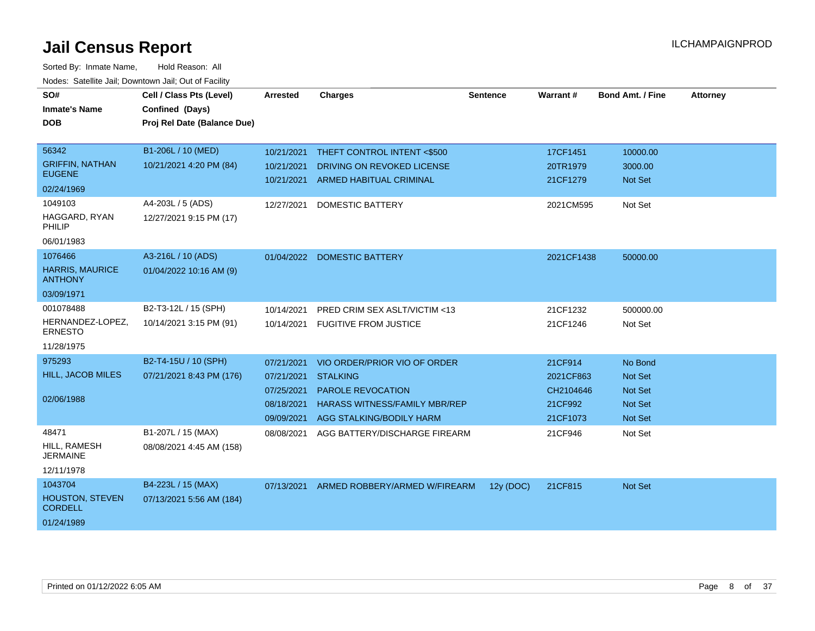| SO#<br><b>Inmate's Name</b><br><b>DOB</b><br>56342                | Cell / Class Pts (Level)<br>Confined (Days)<br>Proj Rel Date (Balance Due)<br>B1-206L / 10 (MED) | Arrested<br>10/21/2021                                             | <b>Charges</b><br>THEFT CONTROL INTENT <\$500                                                                                                   | <b>Sentence</b> | <b>Warrant#</b><br>17CF1451                              | <b>Bond Amt. / Fine</b><br>10000.00                                             | <b>Attorney</b> |
|-------------------------------------------------------------------|--------------------------------------------------------------------------------------------------|--------------------------------------------------------------------|-------------------------------------------------------------------------------------------------------------------------------------------------|-----------------|----------------------------------------------------------|---------------------------------------------------------------------------------|-----------------|
| <b>GRIFFIN, NATHAN</b><br><b>EUGENE</b><br>02/24/1969             | 10/21/2021 4:20 PM (84)                                                                          | 10/21/2021<br>10/21/2021                                           | DRIVING ON REVOKED LICENSE<br><b>ARMED HABITUAL CRIMINAL</b>                                                                                    |                 | 20TR1979<br>21CF1279                                     | 3000.00<br><b>Not Set</b>                                                       |                 |
| 1049103<br>HAGGARD, RYAN<br>PHILIP<br>06/01/1983                  | A4-203L / 5 (ADS)<br>12/27/2021 9:15 PM (17)                                                     | 12/27/2021                                                         | <b>DOMESTIC BATTERY</b>                                                                                                                         |                 | 2021CM595                                                | Not Set                                                                         |                 |
| 1076466<br><b>HARRIS, MAURICE</b><br><b>ANTHONY</b><br>03/09/1971 | A3-216L / 10 (ADS)<br>01/04/2022 10:16 AM (9)                                                    | 01/04/2022                                                         | <b>DOMESTIC BATTERY</b>                                                                                                                         |                 | 2021CF1438                                               | 50000.00                                                                        |                 |
| 001078488<br>HERNANDEZ-LOPEZ,<br><b>ERNESTO</b><br>11/28/1975     | B2-T3-12L / 15 (SPH)<br>10/14/2021 3:15 PM (91)                                                  | 10/14/2021<br>10/14/2021                                           | PRED CRIM SEX ASLT/VICTIM <13<br><b>FUGITIVE FROM JUSTICE</b>                                                                                   |                 | 21CF1232<br>21CF1246                                     | 500000.00<br>Not Set                                                            |                 |
| 975293<br><b>HILL, JACOB MILES</b><br>02/06/1988                  | B2-T4-15U / 10 (SPH)<br>07/21/2021 8:43 PM (176)                                                 | 07/21/2021<br>07/21/2021<br>07/25/2021<br>08/18/2021<br>09/09/2021 | VIO ORDER/PRIOR VIO OF ORDER<br><b>STALKING</b><br><b>PAROLE REVOCATION</b><br><b>HARASS WITNESS/FAMILY MBR/REP</b><br>AGG STALKING/BODILY HARM |                 | 21CF914<br>2021CF863<br>CH2104646<br>21CF992<br>21CF1073 | No Bond<br><b>Not Set</b><br><b>Not Set</b><br><b>Not Set</b><br><b>Not Set</b> |                 |
| 48471<br>HILL, RAMESH<br><b>JERMAINE</b><br>12/11/1978            | B1-207L / 15 (MAX)<br>08/08/2021 4:45 AM (158)                                                   | 08/08/2021                                                         | AGG BATTERY/DISCHARGE FIREARM                                                                                                                   |                 | 21CF946                                                  | Not Set                                                                         |                 |
| 1043704<br><b>HOUSTON, STEVEN</b><br><b>CORDELL</b><br>01/24/1989 | B4-223L / 15 (MAX)<br>07/13/2021 5:56 AM (184)                                                   | 07/13/2021                                                         | ARMED ROBBERY/ARMED W/FIREARM                                                                                                                   | 12y (DOC)       | 21CF815                                                  | Not Set                                                                         |                 |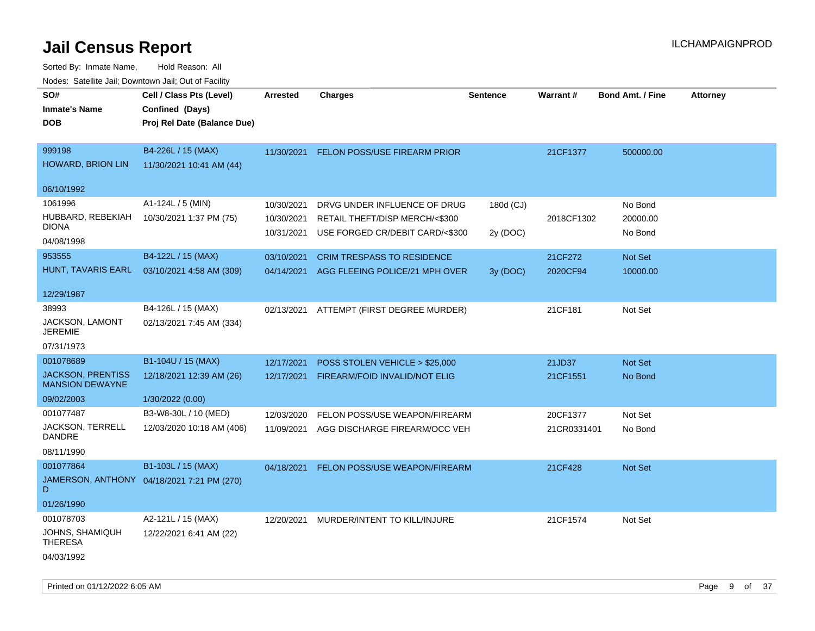| SO#<br><b>Inmate's Name</b><br><b>DOB</b>                       | Cell / Class Pts (Level)<br>Confined (Days)<br>Proj Rel Date (Balance Due) | Arrested                               | <b>Charges</b>                                                                                    | Sentence              | Warrant#            | <b>Bond Amt. / Fine</b>        | <b>Attorney</b> |
|-----------------------------------------------------------------|----------------------------------------------------------------------------|----------------------------------------|---------------------------------------------------------------------------------------------------|-----------------------|---------------------|--------------------------------|-----------------|
| 999198<br><b>HOWARD, BRION LIN</b>                              | B4-226L / 15 (MAX)<br>11/30/2021 10:41 AM (44)                             | 11/30/2021                             | FELON POSS/USE FIREARM PRIOR                                                                      |                       | 21CF1377            | 500000.00                      |                 |
| 06/10/1992                                                      |                                                                            |                                        |                                                                                                   |                       |                     |                                |                 |
| 1061996<br>HUBBARD, REBEKIAH<br><b>DIONA</b><br>04/08/1998      | A1-124L / 5 (MIN)<br>10/30/2021 1:37 PM (75)                               | 10/30/2021<br>10/30/2021<br>10/31/2021 | DRVG UNDER INFLUENCE OF DRUG<br>RETAIL THEFT/DISP MERCH/<\$300<br>USE FORGED CR/DEBIT CARD/<\$300 | 180d (CJ)<br>2y (DOC) | 2018CF1302          | No Bond<br>20000.00<br>No Bond |                 |
| 953555<br>HUNT, TAVARIS EARL                                    | B4-122L / 15 (MAX)<br>03/10/2021 4:58 AM (309)                             | 03/10/2021<br>04/14/2021               | <b>CRIM TRESPASS TO RESIDENCE</b><br>AGG FLEEING POLICE/21 MPH OVER                               | 3y (DOC)              | 21CF272<br>2020CF94 | Not Set<br>10000.00            |                 |
| 12/29/1987                                                      |                                                                            |                                        |                                                                                                   |                       |                     |                                |                 |
| 38993<br>JACKSON, LAMONT<br><b>JEREMIE</b>                      | B4-126L / 15 (MAX)<br>02/13/2021 7:45 AM (334)                             |                                        | 02/13/2021 ATTEMPT (FIRST DEGREE MURDER)                                                          |                       | 21CF181             | Not Set                        |                 |
| 07/31/1973                                                      |                                                                            |                                        |                                                                                                   |                       |                     |                                |                 |
| 001078689<br><b>JACKSON, PRENTISS</b><br><b>MANSION DEWAYNE</b> | B1-104U / 15 (MAX)<br>12/18/2021 12:39 AM (26)                             | 12/17/2021<br>12/17/2021               | POSS STOLEN VEHICLE > \$25,000<br>FIREARM/FOID INVALID/NOT ELIG                                   |                       | 21JD37<br>21CF1551  | Not Set<br>No Bond             |                 |
| 09/02/2003                                                      | 1/30/2022 (0.00)                                                           |                                        |                                                                                                   |                       |                     |                                |                 |
| 001077487                                                       | B3-W8-30L / 10 (MED)                                                       | 12/03/2020                             | FELON POSS/USE WEAPON/FIREARM                                                                     |                       | 20CF1377            | Not Set                        |                 |
| JACKSON, TERRELL<br>DANDRE                                      | 12/03/2020 10:18 AM (406)                                                  | 11/09/2021                             | AGG DISCHARGE FIREARM/OCC VEH                                                                     |                       | 21CR0331401         | No Bond                        |                 |
| 08/11/1990                                                      |                                                                            |                                        |                                                                                                   |                       |                     |                                |                 |
| 001077864<br>D                                                  | B1-103L / 15 (MAX)<br>JAMERSON, ANTHONY 04/18/2021 7:21 PM (270)           | 04/18/2021                             | FELON POSS/USE WEAPON/FIREARM                                                                     |                       | 21CF428             | Not Set                        |                 |
| 01/26/1990                                                      |                                                                            |                                        |                                                                                                   |                       |                     |                                |                 |
| 001078703<br>JOHNS, SHAMIQUH<br><b>THERESA</b><br>04/03/1992    | A2-121L / 15 (MAX)<br>12/22/2021 6:41 AM (22)                              | 12/20/2021                             | MURDER/INTENT TO KILL/INJURE                                                                      |                       | 21CF1574            | Not Set                        |                 |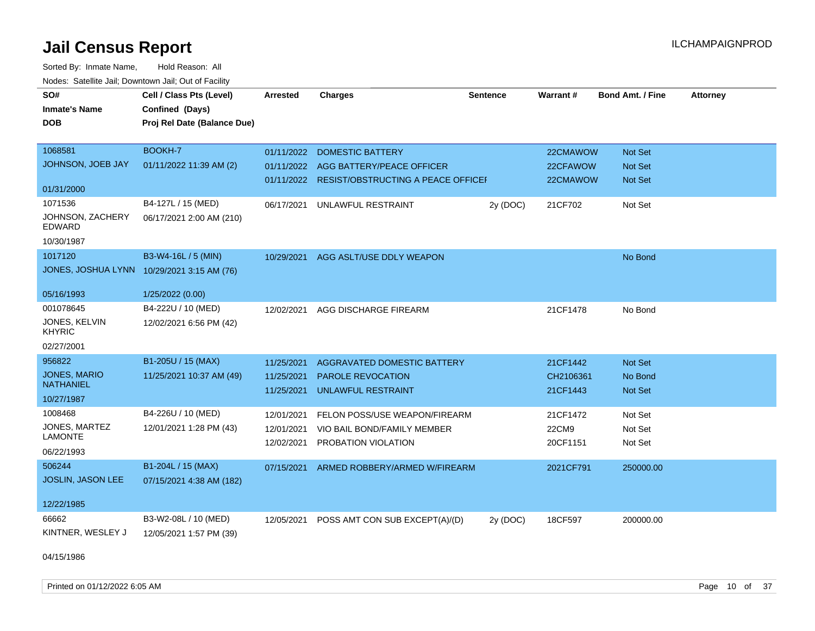Sorted By: Inmate Name, Hold Reason: All Nodes: Satellite Jail; Downtown Jail; Out of Facility

| SO#                                        | Cell / Class Pts (Level)    | <b>Arrested</b> | <b>Charges</b>                                | <b>Sentence</b> | Warrant#  | <b>Bond Amt. / Fine</b> | <b>Attorney</b> |
|--------------------------------------------|-----------------------------|-----------------|-----------------------------------------------|-----------------|-----------|-------------------------|-----------------|
| <b>Inmate's Name</b>                       | Confined (Days)             |                 |                                               |                 |           |                         |                 |
| <b>DOB</b>                                 | Proj Rel Date (Balance Due) |                 |                                               |                 |           |                         |                 |
|                                            |                             |                 |                                               |                 |           |                         |                 |
| 1068581                                    | BOOKH-7                     | 01/11/2022      | <b>DOMESTIC BATTERY</b>                       |                 | 22CMAWOW  | Not Set                 |                 |
| JOHNSON, JOEB JAY                          | 01/11/2022 11:39 AM (2)     | 01/11/2022      | AGG BATTERY/PEACE OFFICER                     |                 | 22CFAWOW  | <b>Not Set</b>          |                 |
|                                            |                             |                 | 01/11/2022 RESIST/OBSTRUCTING A PEACE OFFICEF |                 | 22CMAWOW  | <b>Not Set</b>          |                 |
| 01/31/2000                                 |                             |                 |                                               |                 |           |                         |                 |
| 1071536                                    | B4-127L / 15 (MED)          | 06/17/2021      | UNLAWFUL RESTRAINT                            | 2y (DOC)        | 21CF702   | Not Set                 |                 |
| JOHNSON, ZACHERY<br>EDWARD                 | 06/17/2021 2:00 AM (210)    |                 |                                               |                 |           |                         |                 |
| 10/30/1987                                 |                             |                 |                                               |                 |           |                         |                 |
| 1017120                                    | B3-W4-16L / 5 (MIN)         |                 | 10/29/2021 AGG ASLT/USE DDLY WEAPON           |                 |           | No Bond                 |                 |
| JONES, JOSHUA LYNN 10/29/2021 3:15 AM (76) |                             |                 |                                               |                 |           |                         |                 |
|                                            |                             |                 |                                               |                 |           |                         |                 |
| 05/16/1993                                 | 1/25/2022 (0.00)            |                 |                                               |                 |           |                         |                 |
| 001078645                                  | B4-222U / 10 (MED)          | 12/02/2021      | AGG DISCHARGE FIREARM                         |                 | 21CF1478  | No Bond                 |                 |
| JONES, KELVIN<br><b>KHYRIC</b>             | 12/02/2021 6:56 PM (42)     |                 |                                               |                 |           |                         |                 |
| 02/27/2001                                 |                             |                 |                                               |                 |           |                         |                 |
| 956822                                     | B1-205U / 15 (MAX)          | 11/25/2021      | AGGRAVATED DOMESTIC BATTERY                   |                 | 21CF1442  | <b>Not Set</b>          |                 |
| <b>JONES, MARIO</b>                        | 11/25/2021 10:37 AM (49)    | 11/25/2021      | <b>PAROLE REVOCATION</b>                      |                 | CH2106361 | No Bond                 |                 |
| <b>NATHANIEL</b>                           |                             | 11/25/2021      | <b>UNLAWFUL RESTRAINT</b>                     |                 | 21CF1443  | <b>Not Set</b>          |                 |
| 10/27/1987                                 |                             |                 |                                               |                 |           |                         |                 |
| 1008468                                    | B4-226U / 10 (MED)          | 12/01/2021      | FELON POSS/USE WEAPON/FIREARM                 |                 | 21CF1472  | Not Set                 |                 |
| JONES, MARTEZ                              | 12/01/2021 1:28 PM (43)     | 12/01/2021      | VIO BAIL BOND/FAMILY MEMBER                   |                 | 22CM9     | Not Set                 |                 |
| <b>LAMONTE</b>                             |                             | 12/02/2021      | PROBATION VIOLATION                           |                 | 20CF1151  | Not Set                 |                 |
| 06/22/1993                                 |                             |                 |                                               |                 |           |                         |                 |
| 506244                                     | B1-204L / 15 (MAX)          | 07/15/2021      | ARMED ROBBERY/ARMED W/FIREARM                 |                 | 2021CF791 | 250000.00               |                 |
| <b>JOSLIN, JASON LEE</b>                   | 07/15/2021 4:38 AM (182)    |                 |                                               |                 |           |                         |                 |
|                                            |                             |                 |                                               |                 |           |                         |                 |
| 12/22/1985                                 |                             |                 |                                               |                 |           |                         |                 |
| 66662                                      | B3-W2-08L / 10 (MED)        | 12/05/2021      | POSS AMT CON SUB EXCEPT(A)/(D)                | 2y (DOC)        | 18CF597   | 200000.00               |                 |
| KINTNER, WESLEY J                          | 12/05/2021 1:57 PM (39)     |                 |                                               |                 |           |                         |                 |

04/15/1986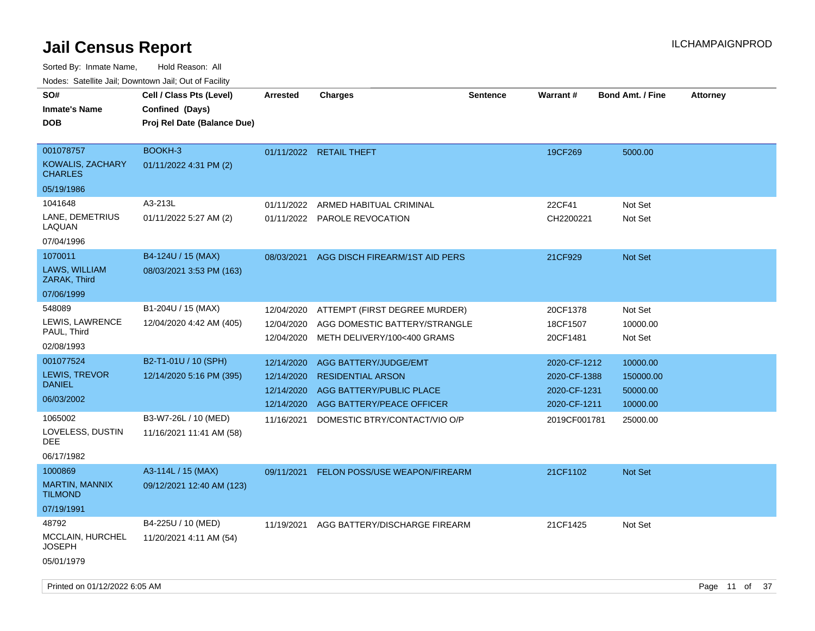| SO#<br><b>Inmate's Name</b><br><b>DOB</b>              | Cell / Class Pts (Level)<br>Confined (Days)<br>Proj Rel Date (Balance Due) | <b>Arrested</b> | <b>Charges</b>                 | Sentence | <b>Warrant#</b> | <b>Bond Amt. / Fine</b> | <b>Attorney</b> |  |
|--------------------------------------------------------|----------------------------------------------------------------------------|-----------------|--------------------------------|----------|-----------------|-------------------------|-----------------|--|
| 001078757<br><b>KOWALIS, ZACHARY</b><br><b>CHARLES</b> | BOOKH-3<br>01/11/2022 4:31 PM (2)                                          |                 | 01/11/2022 RETAIL THEFT        |          | 19CF269         | 5000.00                 |                 |  |
| 05/19/1986                                             |                                                                            |                 |                                |          |                 |                         |                 |  |
| 1041648                                                | A3-213L                                                                    | 01/11/2022      | ARMED HABITUAL CRIMINAL        |          | 22CF41          | Not Set                 |                 |  |
| LANE, DEMETRIUS<br>LAQUAN                              | 01/11/2022 5:27 AM (2)                                                     |                 | 01/11/2022 PAROLE REVOCATION   |          | CH2200221       | Not Set                 |                 |  |
| 07/04/1996                                             |                                                                            |                 |                                |          |                 |                         |                 |  |
| 1070011                                                | B4-124U / 15 (MAX)                                                         | 08/03/2021      | AGG DISCH FIREARM/1ST AID PERS |          | 21CF929         | Not Set                 |                 |  |
| LAWS, WILLIAM<br>ZARAK, Third                          | 08/03/2021 3:53 PM (163)                                                   |                 |                                |          |                 |                         |                 |  |
| 07/06/1999                                             |                                                                            |                 |                                |          |                 |                         |                 |  |
| 548089                                                 | B1-204U / 15 (MAX)                                                         | 12/04/2020      | ATTEMPT (FIRST DEGREE MURDER)  |          | 20CF1378        | Not Set                 |                 |  |
| LEWIS, LAWRENCE                                        | 12/04/2020 4:42 AM (405)                                                   | 12/04/2020      | AGG DOMESTIC BATTERY/STRANGLE  |          | 18CF1507        | 10000.00                |                 |  |
| PAUL, Third<br>02/08/1993                              |                                                                            | 12/04/2020      | METH DELIVERY/100<400 GRAMS    |          | 20CF1481        | Not Set                 |                 |  |
| 001077524                                              | B2-T1-01U / 10 (SPH)                                                       | 12/14/2020      | AGG BATTERY/JUDGE/EMT          |          | 2020-CF-1212    | 10000.00                |                 |  |
| LEWIS, TREVOR                                          | 12/14/2020 5:16 PM (395)                                                   | 12/14/2020      | <b>RESIDENTIAL ARSON</b>       |          | 2020-CF-1388    | 150000.00               |                 |  |
| <b>DANIEL</b>                                          |                                                                            | 12/14/2020      | AGG BATTERY/PUBLIC PLACE       |          | 2020-CF-1231    | 50000.00                |                 |  |
| 06/03/2002                                             |                                                                            | 12/14/2020      | AGG BATTERY/PEACE OFFICER      |          | 2020-CF-1211    | 10000.00                |                 |  |
| 1065002                                                | B3-W7-26L / 10 (MED)                                                       | 11/16/2021      | DOMESTIC BTRY/CONTACT/VIO O/P  |          | 2019CF001781    | 25000.00                |                 |  |
| LOVELESS, DUSTIN<br>DEE                                | 11/16/2021 11:41 AM (58)                                                   |                 |                                |          |                 |                         |                 |  |
| 06/17/1982                                             |                                                                            |                 |                                |          |                 |                         |                 |  |
| 1000869                                                | A3-114L / 15 (MAX)                                                         | 09/11/2021      | FELON POSS/USE WEAPON/FIREARM  |          | 21CF1102        | <b>Not Set</b>          |                 |  |
| <b>MARTIN, MANNIX</b><br><b>TILMOND</b>                | 09/12/2021 12:40 AM (123)                                                  |                 |                                |          |                 |                         |                 |  |
| 07/19/1991                                             |                                                                            |                 |                                |          |                 |                         |                 |  |
| 48792                                                  | B4-225U / 10 (MED)                                                         | 11/19/2021      | AGG BATTERY/DISCHARGE FIREARM  |          | 21CF1425        | Not Set                 |                 |  |
| MCCLAIN, HURCHEL<br><b>JOSEPH</b>                      | 11/20/2021 4:11 AM (54)                                                    |                 |                                |          |                 |                         |                 |  |
| 05/01/1979                                             |                                                                            |                 |                                |          |                 |                         |                 |  |
| Printed on 01/12/2022 6:05 AM                          |                                                                            |                 |                                |          |                 |                         | Page 11 of 37   |  |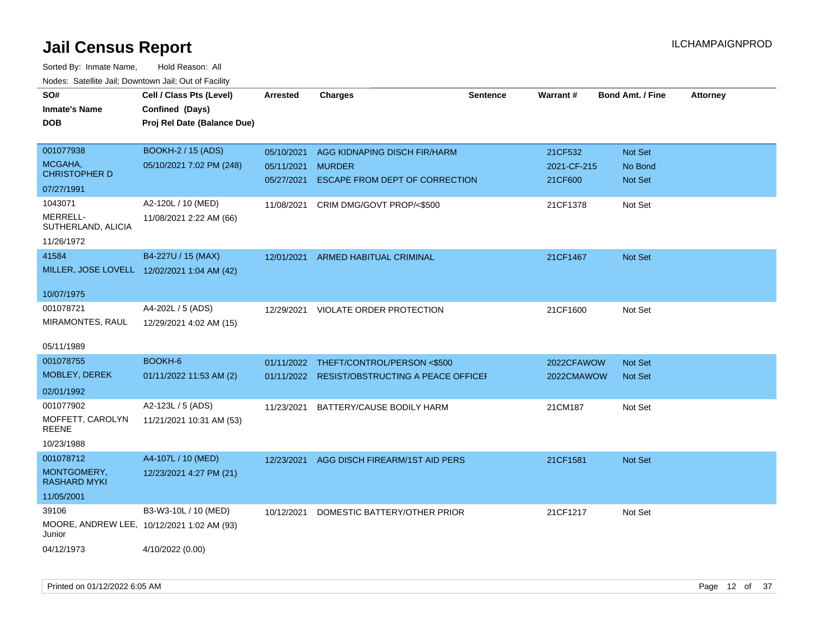| SO#<br><b>Inmate's Name</b><br><b>DOB</b> | Cell / Class Pts (Level)<br>Confined (Days)<br>Proj Rel Date (Balance Due) | <b>Arrested</b> | <b>Charges</b>                                | <b>Sentence</b> | <b>Warrant#</b> | <b>Bond Amt. / Fine</b> | Attorney |
|-------------------------------------------|----------------------------------------------------------------------------|-----------------|-----------------------------------------------|-----------------|-----------------|-------------------------|----------|
| 001077938                                 | BOOKH-2 / 15 (ADS)                                                         | 05/10/2021      | AGG KIDNAPING DISCH FIR/HARM                  |                 | 21CF532         | <b>Not Set</b>          |          |
| MCGAHA,<br><b>CHRISTOPHER D</b>           | 05/10/2021 7:02 PM (248)                                                   | 05/11/2021      | <b>MURDER</b>                                 |                 | 2021-CF-215     | No Bond                 |          |
| 07/27/1991                                |                                                                            | 05/27/2021      | ESCAPE FROM DEPT OF CORRECTION                |                 | 21CF600         | <b>Not Set</b>          |          |
| 1043071                                   | A2-120L / 10 (MED)                                                         | 11/08/2021      | CRIM DMG/GOVT PROP/<\$500                     |                 | 21CF1378        | Not Set                 |          |
| MERRELL-<br>SUTHERLAND, ALICIA            | 11/08/2021 2:22 AM (66)                                                    |                 |                                               |                 |                 |                         |          |
| 11/26/1972<br>41584                       | B4-227U / 15 (MAX)                                                         |                 |                                               |                 |                 |                         |          |
|                                           | MILLER, JOSE LOVELL 12/02/2021 1:04 AM (42)                                | 12/01/2021      | ARMED HABITUAL CRIMINAL                       |                 | 21CF1467        | Not Set                 |          |
|                                           |                                                                            |                 |                                               |                 |                 |                         |          |
| 10/07/1975                                |                                                                            |                 |                                               |                 |                 |                         |          |
| 001078721                                 | A4-202L / 5 (ADS)                                                          | 12/29/2021      | VIOLATE ORDER PROTECTION                      |                 | 21CF1600        | Not Set                 |          |
| MIRAMONTES, RAUL                          | 12/29/2021 4:02 AM (15)                                                    |                 |                                               |                 |                 |                         |          |
| 05/11/1989                                |                                                                            |                 |                                               |                 |                 |                         |          |
| 001078755                                 | BOOKH-6                                                                    |                 | 01/11/2022 THEFT/CONTROL/PERSON <\$500        |                 | 2022CFAWOW      | Not Set                 |          |
| MOBLEY, DEREK                             | 01/11/2022 11:53 AM (2)                                                    |                 | 01/11/2022 RESIST/OBSTRUCTING A PEACE OFFICEF |                 | 2022CMAWOW      | Not Set                 |          |
| 02/01/1992                                |                                                                            |                 |                                               |                 |                 |                         |          |
| 001077902                                 | A2-123L / 5 (ADS)                                                          |                 | 11/23/2021 BATTERY/CAUSE BODILY HARM          |                 | 21CM187         | Not Set                 |          |
| MOFFETT, CAROLYN<br><b>REENE</b>          | 11/21/2021 10:31 AM (53)                                                   |                 |                                               |                 |                 |                         |          |
| 10/23/1988                                |                                                                            |                 |                                               |                 |                 |                         |          |
| 001078712                                 | A4-107L / 10 (MED)                                                         |                 | 12/23/2021 AGG DISCH FIREARM/1ST AID PERS     |                 | 21CF1581        | Not Set                 |          |
| MONTGOMERY,<br><b>RASHARD MYKI</b>        | 12/23/2021 4:27 PM (21)                                                    |                 |                                               |                 |                 |                         |          |
| 11/05/2001                                |                                                                            |                 |                                               |                 |                 |                         |          |
| 39106                                     | B3-W3-10L / 10 (MED)                                                       | 10/12/2021      | DOMESTIC BATTERY/OTHER PRIOR                  |                 | 21CF1217        | Not Set                 |          |
| Junior                                    | MOORE, ANDREW LEE, 10/12/2021 1:02 AM (93)                                 |                 |                                               |                 |                 |                         |          |
| 04/12/1973                                | 4/10/2022 (0.00)                                                           |                 |                                               |                 |                 |                         |          |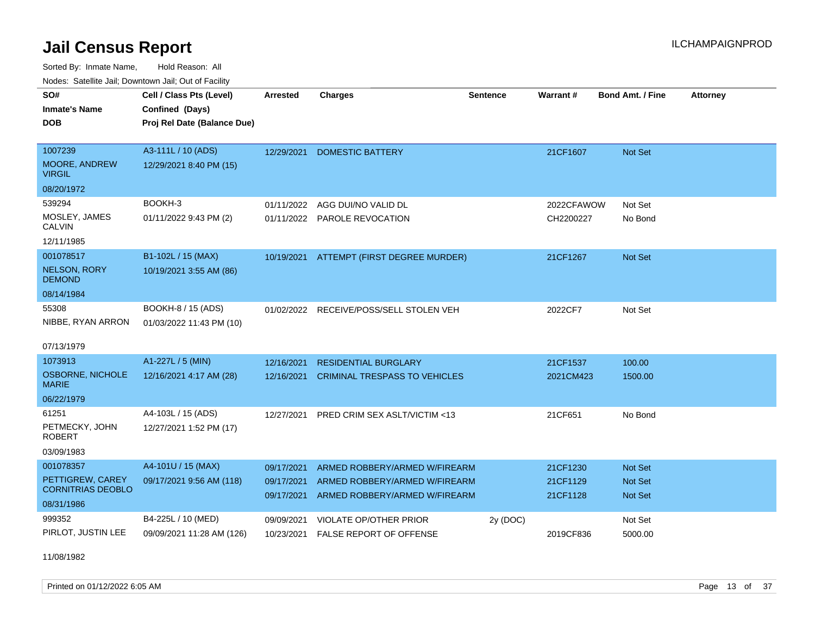Sorted By: Inmate Name, Hold Reason: All Nodes: Satellite Jail; Downtown Jail; Out of Facility

| Nuuts. Saltiille Jall, Downlown Jall, Oul of Facility |                             |                 |                                         |                 |            |                         |                 |
|-------------------------------------------------------|-----------------------------|-----------------|-----------------------------------------|-----------------|------------|-------------------------|-----------------|
| SO#                                                   | Cell / Class Pts (Level)    | <b>Arrested</b> | <b>Charges</b>                          | <b>Sentence</b> | Warrant#   | <b>Bond Amt. / Fine</b> | <b>Attorney</b> |
| <b>Inmate's Name</b>                                  | Confined (Days)             |                 |                                         |                 |            |                         |                 |
| <b>DOB</b>                                            | Proj Rel Date (Balance Due) |                 |                                         |                 |            |                         |                 |
|                                                       |                             |                 |                                         |                 |            |                         |                 |
| 1007239                                               | A3-111L / 10 (ADS)          | 12/29/2021      | <b>DOMESTIC BATTERY</b>                 |                 | 21CF1607   | Not Set                 |                 |
| <b>MOORE, ANDREW</b><br><b>VIRGIL</b>                 | 12/29/2021 8:40 PM (15)     |                 |                                         |                 |            |                         |                 |
| 08/20/1972                                            |                             |                 |                                         |                 |            |                         |                 |
| 539294                                                | BOOKH-3                     | 01/11/2022      | AGG DUI/NO VALID DL                     |                 | 2022CFAWOW | Not Set                 |                 |
| MOSLEY, JAMES<br>CALVIN                               | 01/11/2022 9:43 PM (2)      |                 | 01/11/2022 PAROLE REVOCATION            |                 | CH2200227  | No Bond                 |                 |
| 12/11/1985                                            |                             |                 |                                         |                 |            |                         |                 |
| 001078517                                             | B1-102L / 15 (MAX)          | 10/19/2021      | ATTEMPT (FIRST DEGREE MURDER)           |                 | 21CF1267   | Not Set                 |                 |
| <b>NELSON, RORY</b><br><b>DEMOND</b>                  | 10/19/2021 3:55 AM (86)     |                 |                                         |                 |            |                         |                 |
| 08/14/1984                                            |                             |                 |                                         |                 |            |                         |                 |
| 55308                                                 | BOOKH-8 / 15 (ADS)          |                 | 01/02/2022 RECEIVE/POSS/SELL STOLEN VEH |                 | 2022CF7    | Not Set                 |                 |
| NIBBE, RYAN ARRON                                     | 01/03/2022 11:43 PM (10)    |                 |                                         |                 |            |                         |                 |
| 07/13/1979                                            |                             |                 |                                         |                 |            |                         |                 |
| 1073913                                               | A1-227L / 5 (MIN)           | 12/16/2021      | <b>RESIDENTIAL BURGLARY</b>             |                 | 21CF1537   | 100.00                  |                 |
| OSBORNE, NICHOLE<br><b>MARIE</b>                      | 12/16/2021 4:17 AM (28)     | 12/16/2021      | <b>CRIMINAL TRESPASS TO VEHICLES</b>    |                 | 2021CM423  | 1500.00                 |                 |
| 06/22/1979                                            |                             |                 |                                         |                 |            |                         |                 |
| 61251                                                 | A4-103L / 15 (ADS)          | 12/27/2021      | PRED CRIM SEX ASLT/VICTIM <13           |                 | 21CF651    | No Bond                 |                 |
| PETMECKY, JOHN<br><b>ROBERT</b>                       | 12/27/2021 1:52 PM (17)     |                 |                                         |                 |            |                         |                 |
| 03/09/1983                                            |                             |                 |                                         |                 |            |                         |                 |
| 001078357                                             | A4-101U / 15 (MAX)          | 09/17/2021      | ARMED ROBBERY/ARMED W/FIREARM           |                 | 21CF1230   | <b>Not Set</b>          |                 |
| PETTIGREW, CAREY                                      | 09/17/2021 9:56 AM (118)    | 09/17/2021      | ARMED ROBBERY/ARMED W/FIREARM           |                 | 21CF1129   | Not Set                 |                 |
| <b>CORNITRIAS DEOBLO</b>                              |                             | 09/17/2021      | ARMED ROBBERY/ARMED W/FIREARM           |                 | 21CF1128   | Not Set                 |                 |
| 08/31/1986                                            |                             |                 |                                         |                 |            |                         |                 |
| 999352                                                | B4-225L / 10 (MED)          | 09/09/2021      | <b>VIOLATE OP/OTHER PRIOR</b>           | 2y (DOC)        |            | Not Set                 |                 |
| PIRLOT, JUSTIN LEE                                    | 09/09/2021 11:28 AM (126)   | 10/23/2021      | <b>FALSE REPORT OF OFFENSE</b>          |                 | 2019CF836  | 5000.00                 |                 |

11/08/1982

Printed on 01/12/2022 6:05 AM **Page 13** of 37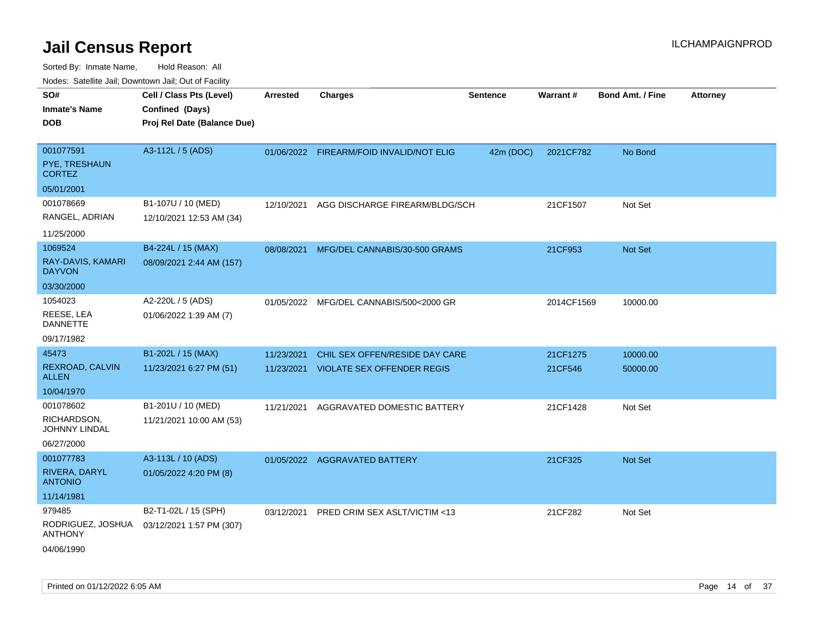Sorted By: Inmate Name, Hold Reason: All

|                                     | Nodes: Satellite Jail; Downtown Jail; Out of Facility |                 |                                          |                 |            |                  |                 |  |  |
|-------------------------------------|-------------------------------------------------------|-----------------|------------------------------------------|-----------------|------------|------------------|-----------------|--|--|
| SO#                                 | Cell / Class Pts (Level)                              | <b>Arrested</b> | <b>Charges</b>                           | <b>Sentence</b> | Warrant#   | Bond Amt. / Fine | <b>Attorney</b> |  |  |
| <b>Inmate's Name</b>                | Confined (Days)                                       |                 |                                          |                 |            |                  |                 |  |  |
| <b>DOB</b>                          | Proj Rel Date (Balance Due)                           |                 |                                          |                 |            |                  |                 |  |  |
|                                     |                                                       |                 |                                          |                 |            |                  |                 |  |  |
| 001077591                           | A3-112L / 5 (ADS)                                     |                 | 01/06/2022 FIREARM/FOID INVALID/NOT ELIG | 42m (DOC)       | 2021CF782  | No Bond          |                 |  |  |
| PYE, TRESHAUN<br><b>CORTEZ</b>      |                                                       |                 |                                          |                 |            |                  |                 |  |  |
| 05/01/2001                          |                                                       |                 |                                          |                 |            |                  |                 |  |  |
| 001078669                           | B1-107U / 10 (MED)                                    | 12/10/2021      | AGG DISCHARGE FIREARM/BLDG/SCH           |                 | 21CF1507   | Not Set          |                 |  |  |
| RANGEL, ADRIAN                      | 12/10/2021 12:53 AM (34)                              |                 |                                          |                 |            |                  |                 |  |  |
| 11/25/2000                          |                                                       |                 |                                          |                 |            |                  |                 |  |  |
| 1069524                             | B4-224L / 15 (MAX)                                    | 08/08/2021      | MFG/DEL CANNABIS/30-500 GRAMS            |                 | 21CF953    | Not Set          |                 |  |  |
| RAY-DAVIS, KAMARI<br><b>DAYVON</b>  | 08/09/2021 2:44 AM (157)                              |                 |                                          |                 |            |                  |                 |  |  |
| 03/30/2000                          |                                                       |                 |                                          |                 |            |                  |                 |  |  |
| 1054023                             | A2-220L / 5 (ADS)                                     | 01/05/2022      | MFG/DEL CANNABIS/500<2000 GR             |                 | 2014CF1569 | 10000.00         |                 |  |  |
| REESE, LEA<br><b>DANNETTE</b>       | 01/06/2022 1:39 AM (7)                                |                 |                                          |                 |            |                  |                 |  |  |
| 09/17/1982                          |                                                       |                 |                                          |                 |            |                  |                 |  |  |
| 45473                               | B1-202L / 15 (MAX)                                    | 11/23/2021      | CHIL SEX OFFEN/RESIDE DAY CARE           |                 | 21CF1275   | 10000.00         |                 |  |  |
| REXROAD, CALVIN<br><b>ALLEN</b>     | 11/23/2021 6:27 PM (51)                               |                 | 11/23/2021 VIOLATE SEX OFFENDER REGIS    |                 | 21CF546    | 50000.00         |                 |  |  |
| 10/04/1970                          |                                                       |                 |                                          |                 |            |                  |                 |  |  |
| 001078602                           | B1-201U / 10 (MED)                                    | 11/21/2021      | AGGRAVATED DOMESTIC BATTERY              |                 | 21CF1428   | Not Set          |                 |  |  |
| RICHARDSON,<br>JOHNNY LINDAL        | 11/21/2021 10:00 AM (53)                              |                 |                                          |                 |            |                  |                 |  |  |
| 06/27/2000                          |                                                       |                 |                                          |                 |            |                  |                 |  |  |
| 001077783                           | A3-113L / 10 (ADS)                                    |                 | 01/05/2022 AGGRAVATED BATTERY            |                 | 21CF325    | Not Set          |                 |  |  |
| RIVERA, DARYL<br><b>ANTONIO</b>     | 01/05/2022 4:20 PM (8)                                |                 |                                          |                 |            |                  |                 |  |  |
| 11/14/1981                          |                                                       |                 |                                          |                 |            |                  |                 |  |  |
| 979485                              | B2-T1-02L / 15 (SPH)                                  | 03/12/2021      | PRED CRIM SEX ASLT/VICTIM <13            |                 | 21CF282    | Not Set          |                 |  |  |
| RODRIGUEZ, JOSHUA<br><b>ANTHONY</b> | 03/12/2021 1:57 PM (307)                              |                 |                                          |                 |            |                  |                 |  |  |
| 04/06/1990                          |                                                       |                 |                                          |                 |            |                  |                 |  |  |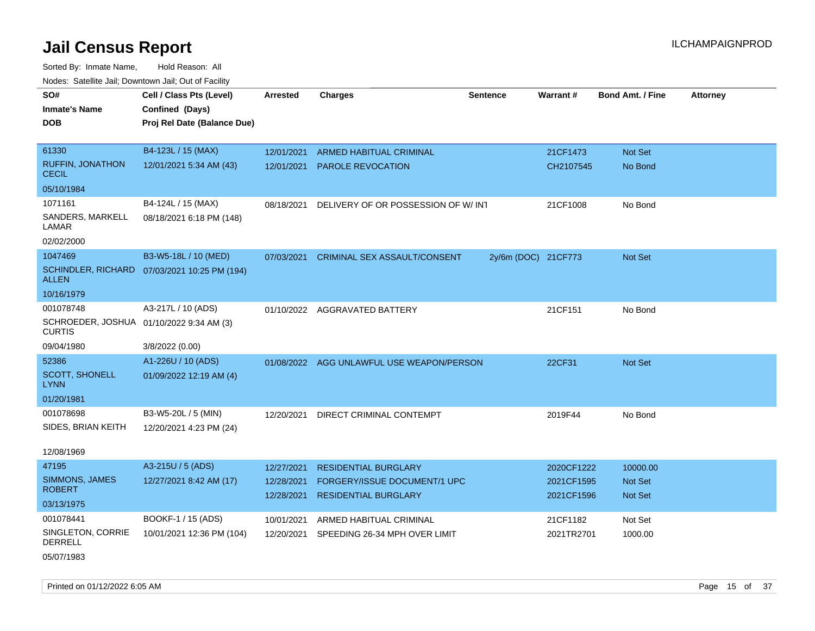Sorted By: Inmate Name, Hold Reason: All Nodes: Satellite Jail; Downtown Jail; Out of Facility

| SO#<br><b>Inmate's Name</b><br><b>DOB</b>                 | Cell / Class Pts (Level)<br>Confined (Days)<br>Proj Rel Date (Balance Due) | <b>Arrested</b>          | <b>Charges</b>                      | <b>Sentence</b>     | Warrant#                 | <b>Bond Amt. / Fine</b>   | <b>Attorney</b> |
|-----------------------------------------------------------|----------------------------------------------------------------------------|--------------------------|-------------------------------------|---------------------|--------------------------|---------------------------|-----------------|
| 61330                                                     | B4-123L / 15 (MAX)                                                         | 12/01/2021               | <b>ARMED HABITUAL CRIMINAL</b>      |                     | 21CF1473                 | Not Set                   |                 |
| <b>RUFFIN, JONATHON</b><br><b>CECIL</b>                   | 12/01/2021 5:34 AM (43)                                                    | 12/01/2021               | PAROLE REVOCATION                   |                     | CH2107545                | No Bond                   |                 |
| 05/10/1984                                                |                                                                            |                          |                                     |                     |                          |                           |                 |
| 1071161                                                   | B4-124L / 15 (MAX)                                                         | 08/18/2021               | DELIVERY OF OR POSSESSION OF W/INT  |                     | 21CF1008                 | No Bond                   |                 |
| SANDERS, MARKELL<br>LAMAR                                 | 08/18/2021 6:18 PM (148)                                                   |                          |                                     |                     |                          |                           |                 |
| 02/02/2000                                                |                                                                            |                          |                                     |                     |                          |                           |                 |
| 1047469                                                   | B3-W5-18L / 10 (MED)                                                       | 07/03/2021               | <b>CRIMINAL SEX ASSAULT/CONSENT</b> | 2y/6m (DOC) 21CF773 |                          | Not Set                   |                 |
| ALLEN                                                     | SCHINDLER, RICHARD 07/03/2021 10:25 PM (194)                               |                          |                                     |                     |                          |                           |                 |
| 10/16/1979                                                |                                                                            |                          |                                     |                     |                          |                           |                 |
| 001078748                                                 | A3-217L / 10 (ADS)                                                         |                          | 01/10/2022 AGGRAVATED BATTERY       |                     | 21CF151                  | No Bond                   |                 |
| SCHROEDER, JOSHUA 01/10/2022 9:34 AM (3)<br><b>CURTIS</b> |                                                                            |                          |                                     |                     |                          |                           |                 |
| 09/04/1980                                                | 3/8/2022 (0.00)                                                            |                          |                                     |                     |                          |                           |                 |
| 52386                                                     | A1-226U / 10 (ADS)                                                         | 01/08/2022               | AGG UNLAWFUL USE WEAPON/PERSON      |                     | 22CF31                   | Not Set                   |                 |
| <b>SCOTT, SHONELL</b><br><b>LYNN</b>                      | 01/09/2022 12:19 AM (4)                                                    |                          |                                     |                     |                          |                           |                 |
| 01/20/1981                                                |                                                                            |                          |                                     |                     |                          |                           |                 |
| 001078698                                                 | B3-W5-20L / 5 (MIN)                                                        | 12/20/2021               | DIRECT CRIMINAL CONTEMPT            |                     | 2019F44                  | No Bond                   |                 |
| SIDES, BRIAN KEITH                                        | 12/20/2021 4:23 PM (24)                                                    |                          |                                     |                     |                          |                           |                 |
| 12/08/1969                                                |                                                                            |                          |                                     |                     |                          |                           |                 |
| 47195                                                     | A3-215U / 5 (ADS)                                                          | 12/27/2021               | <b>RESIDENTIAL BURGLARY</b>         |                     | 2020CF1222               | 10000.00                  |                 |
| <b>SIMMONS, JAMES</b><br><b>ROBERT</b>                    | 12/27/2021 8:42 AM (17)                                                    | 12/28/2021<br>12/28/2021 | FORGERY/ISSUE DOCUMENT/1 UPC        |                     | 2021CF1595<br>2021CF1596 | <b>Not Set</b><br>Not Set |                 |
| 03/13/1975                                                |                                                                            |                          | RESIDENTIAL BURGLARY                |                     |                          |                           |                 |
| 001078441                                                 | BOOKF-1 / 15 (ADS)                                                         | 10/01/2021               | ARMED HABITUAL CRIMINAL             |                     | 21CF1182                 | Not Set                   |                 |
| SINGLETON, CORRIE<br><b>DERRELL</b>                       | 10/01/2021 12:36 PM (104)                                                  | 12/20/2021               | SPEEDING 26-34 MPH OVER LIMIT       |                     | 2021TR2701               | 1000.00                   |                 |

05/07/1983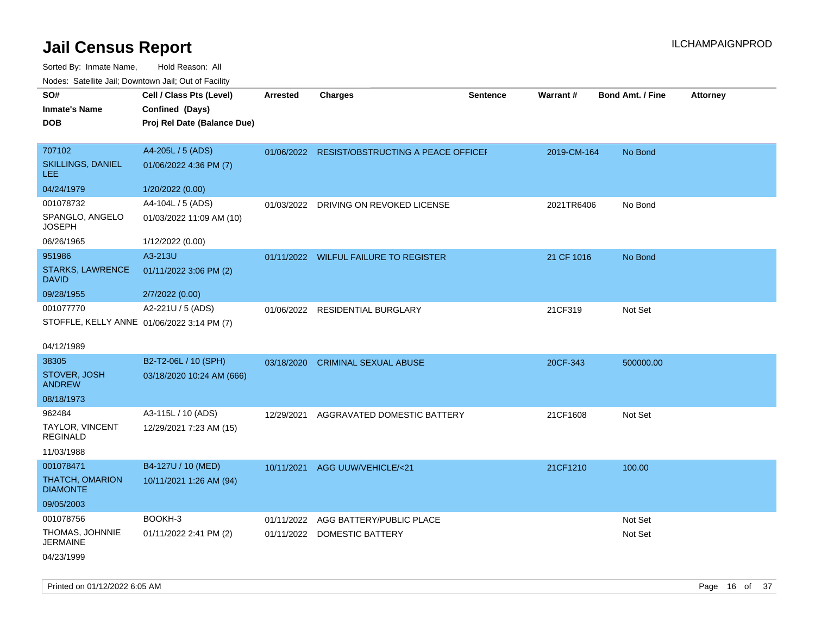| noaco. Catomto can, Domntonn can, Cat or I domt                       |                                                                            |                 |                                              |                 |             |                         |                 |
|-----------------------------------------------------------------------|----------------------------------------------------------------------------|-----------------|----------------------------------------------|-----------------|-------------|-------------------------|-----------------|
| SO#<br>Inmate's Name<br>DOB                                           | Cell / Class Pts (Level)<br>Confined (Days)<br>Proj Rel Date (Balance Due) | <b>Arrested</b> | <b>Charges</b>                               | <b>Sentence</b> | Warrant#    | <b>Bond Amt. / Fine</b> | <b>Attorney</b> |
| 707102<br>SKILLINGS, DANIEL<br>LEE                                    | A4-205L / 5 (ADS)<br>01/06/2022 4:36 PM (7)                                |                 | 01/06/2022 RESIST/OBSTRUCTING A PEACE OFFICE |                 | 2019-CM-164 | No Bond                 |                 |
| 04/24/1979                                                            | 1/20/2022 (0.00)                                                           |                 |                                              |                 |             |                         |                 |
| 001078732<br>SPANGLO, ANGELO<br>JOSEPH                                | A4-104L / 5 (ADS)<br>01/03/2022 11:09 AM (10)                              | 01/03/2022      | DRIVING ON REVOKED LICENSE                   |                 | 2021TR6406  | No Bond                 |                 |
| 06/26/1965                                                            | 1/12/2022 (0.00)                                                           |                 |                                              |                 |             |                         |                 |
| 951986<br><b>STARKS, LAWRENCE</b><br>DAVID                            | A3-213U<br>01/11/2022 3:06 PM (2)                                          |                 | 01/11/2022 WILFUL FAILURE TO REGISTER        |                 | 21 CF 1016  | No Bond                 |                 |
| 09/28/1955                                                            | 2/7/2022 (0.00)                                                            |                 |                                              |                 |             |                         |                 |
| 001077770<br>STOFFLE, KELLY ANNE 01/06/2022 3:14 PM (7)<br>04/12/1989 | A2-221U / 5 (ADS)                                                          |                 | 01/06/2022 RESIDENTIAL BURGLARY              |                 | 21CF319     | Not Set                 |                 |
| 38305                                                                 | B2-T2-06L / 10 (SPH)                                                       | 03/18/2020      | <b>CRIMINAL SEXUAL ABUSE</b>                 |                 | 20CF-343    | 500000.00               |                 |
| STOVER, JOSH<br>ANDREW                                                | 03/18/2020 10:24 AM (666)                                                  |                 |                                              |                 |             |                         |                 |
| 08/18/1973                                                            |                                                                            |                 |                                              |                 |             |                         |                 |
| 962484<br>TAYLOR, VINCENT<br><b>REGINALD</b><br>11/03/1988            | A3-115L / 10 (ADS)<br>12/29/2021 7:23 AM (15)                              |                 | 12/29/2021 AGGRAVATED DOMESTIC BATTERY       |                 | 21CF1608    | Not Set                 |                 |
| 001078471<br>THATCH, OMARION<br><b>DIAMONTE</b><br>09/05/2003         | B4-127U / 10 (MED)<br>10/11/2021 1:26 AM (94)                              |                 | 10/11/2021 AGG UUW/VEHICLE/<21               |                 | 21CF1210    | 100.00                  |                 |
| 001078756                                                             | BOOKH-3                                                                    | 01/11/2022      | AGG BATTERY/PUBLIC PLACE                     |                 |             | Not Set                 |                 |
| THOMAS, JOHNNIE<br>JERMAINE                                           | 01/11/2022 2:41 PM (2)                                                     |                 | 01/11/2022 DOMESTIC BATTERY                  |                 |             | Not Set                 |                 |
| 04/23/1999                                                            |                                                                            |                 |                                              |                 |             |                         |                 |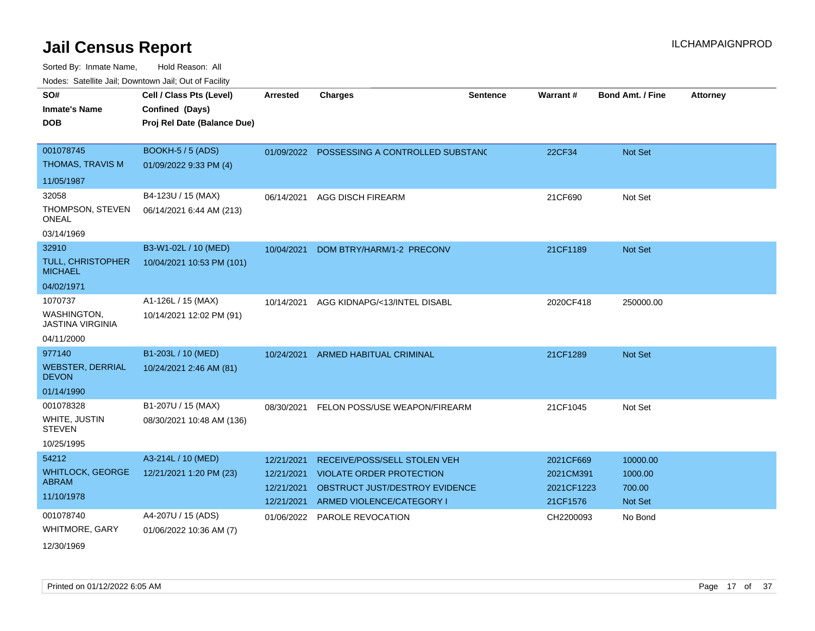| SO#                                     | Cell / Class Pts (Level)    | <b>Arrested</b> | <b>Charges</b>                              | <b>Sentence</b> | Warrant#   | <b>Bond Amt. / Fine</b> | <b>Attorney</b> |
|-----------------------------------------|-----------------------------|-----------------|---------------------------------------------|-----------------|------------|-------------------------|-----------------|
| <b>Inmate's Name</b>                    | Confined (Days)             |                 |                                             |                 |            |                         |                 |
| <b>DOB</b>                              | Proj Rel Date (Balance Due) |                 |                                             |                 |            |                         |                 |
|                                         |                             |                 |                                             |                 |            |                         |                 |
| 001078745                               | BOOKH-5 / 5 (ADS)           |                 | 01/09/2022 POSSESSING A CONTROLLED SUBSTANC |                 | 22CF34     | Not Set                 |                 |
| <b>THOMAS, TRAVIS M</b>                 | 01/09/2022 9:33 PM (4)      |                 |                                             |                 |            |                         |                 |
| 11/05/1987                              |                             |                 |                                             |                 |            |                         |                 |
| 32058                                   | B4-123U / 15 (MAX)          | 06/14/2021      | <b>AGG DISCH FIREARM</b>                    |                 | 21CF690    | Not Set                 |                 |
| THOMPSON, STEVEN<br><b>ONEAL</b>        | 06/14/2021 6:44 AM (213)    |                 |                                             |                 |            |                         |                 |
| 03/14/1969                              |                             |                 |                                             |                 |            |                         |                 |
| 32910                                   | B3-W1-02L / 10 (MED)        | 10/04/2021      | DOM BTRY/HARM/1-2 PRECONV                   |                 | 21CF1189   | Not Set                 |                 |
| TULL, CHRISTOPHER<br><b>MICHAEL</b>     | 10/04/2021 10:53 PM (101)   |                 |                                             |                 |            |                         |                 |
| 04/02/1971                              |                             |                 |                                             |                 |            |                         |                 |
| 1070737                                 | A1-126L / 15 (MAX)          | 10/14/2021      | AGG KIDNAPG/<13/INTEL DISABL                |                 | 2020CF418  | 250000.00               |                 |
| WASHINGTON,<br><b>JASTINA VIRGINIA</b>  | 10/14/2021 12:02 PM (91)    |                 |                                             |                 |            |                         |                 |
| 04/11/2000                              |                             |                 |                                             |                 |            |                         |                 |
| 977140                                  | B1-203L / 10 (MED)          | 10/24/2021      | ARMED HABITUAL CRIMINAL                     |                 | 21CF1289   | Not Set                 |                 |
| <b>WEBSTER, DERRIAL</b><br><b>DEVON</b> | 10/24/2021 2:46 AM (81)     |                 |                                             |                 |            |                         |                 |
| 01/14/1990                              |                             |                 |                                             |                 |            |                         |                 |
| 001078328                               | B1-207U / 15 (MAX)          |                 | 08/30/2021 FELON POSS/USE WEAPON/FIREARM    |                 | 21CF1045   | Not Set                 |                 |
| WHITE, JUSTIN<br><b>STEVEN</b>          | 08/30/2021 10:48 AM (136)   |                 |                                             |                 |            |                         |                 |
| 10/25/1995                              |                             |                 |                                             |                 |            |                         |                 |
| 54212                                   | A3-214L / 10 (MED)          | 12/21/2021      | RECEIVE/POSS/SELL STOLEN VEH                |                 | 2021CF669  | 10000.00                |                 |
| <b>WHITLOCK, GEORGE</b>                 | 12/21/2021 1:20 PM (23)     | 12/21/2021      | <b>VIOLATE ORDER PROTECTION</b>             |                 | 2021CM391  | 1000.00                 |                 |
| <b>ABRAM</b>                            |                             | 12/21/2021      | OBSTRUCT JUST/DESTROY EVIDENCE              |                 | 2021CF1223 | 700.00                  |                 |
| 11/10/1978                              |                             |                 | 12/21/2021 ARMED VIOLENCE/CATEGORY I        |                 | 21CF1576   | Not Set                 |                 |
| 001078740                               | A4-207U / 15 (ADS)          |                 | 01/06/2022 PAROLE REVOCATION                |                 | CH2200093  | No Bond                 |                 |
| <b>WHITMORE, GARY</b>                   | 01/06/2022 10:36 AM (7)     |                 |                                             |                 |            |                         |                 |
| 12/30/1969                              |                             |                 |                                             |                 |            |                         |                 |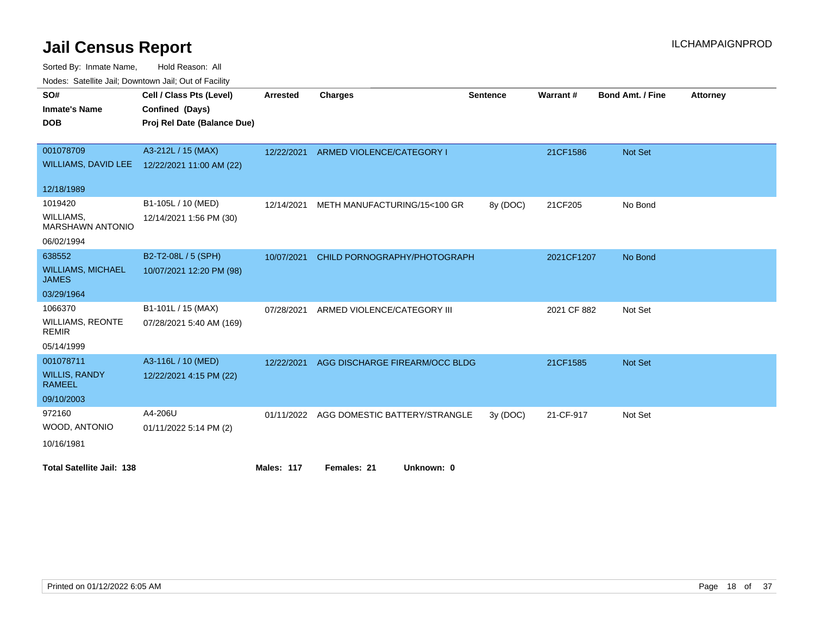Sorted Node:

| Sorted By: Inmate Name,                               | Hold Reason: All            |                 |                                  |                 |             |                         |                 |
|-------------------------------------------------------|-----------------------------|-----------------|----------------------------------|-----------------|-------------|-------------------------|-----------------|
| Nodes: Satellite Jail; Downtown Jail; Out of Facility |                             |                 |                                  |                 |             |                         |                 |
| SO#                                                   | Cell / Class Pts (Level)    | <b>Arrested</b> | <b>Charges</b>                   | <b>Sentence</b> | Warrant#    | <b>Bond Amt. / Fine</b> | <b>Attorney</b> |
| <b>Inmate's Name</b>                                  | Confined (Days)             |                 |                                  |                 |             |                         |                 |
| <b>DOB</b>                                            | Proj Rel Date (Balance Due) |                 |                                  |                 |             |                         |                 |
|                                                       |                             |                 |                                  |                 |             |                         |                 |
| 001078709                                             | A3-212L / 15 (MAX)          | 12/22/2021      | <b>ARMED VIOLENCE/CATEGORY I</b> |                 | 21CF1586    | Not Set                 |                 |
| WILLIAMS, DAVID LEE                                   | 12/22/2021 11:00 AM (22)    |                 |                                  |                 |             |                         |                 |
|                                                       |                             |                 |                                  |                 |             |                         |                 |
| 12/18/1989                                            |                             |                 |                                  |                 |             |                         |                 |
| 1019420                                               | B1-105L / 10 (MED)          | 12/14/2021      | METH MANUFACTURING/15<100 GR     | 8y (DOC)        | 21CF205     | No Bond                 |                 |
| WILLIAMS,<br><b>MARSHAWN ANTONIO</b>                  | 12/14/2021 1:56 PM (30)     |                 |                                  |                 |             |                         |                 |
| 06/02/1994                                            |                             |                 |                                  |                 |             |                         |                 |
| 638552                                                | B2-T2-08L / 5 (SPH)         | 10/07/2021      | CHILD PORNOGRAPHY/PHOTOGRAPH     |                 | 2021CF1207  | No Bond                 |                 |
| <b>WILLIAMS, MICHAEL</b><br><b>JAMES</b>              | 10/07/2021 12:20 PM (98)    |                 |                                  |                 |             |                         |                 |
| 03/29/1964                                            |                             |                 |                                  |                 |             |                         |                 |
| 1066370                                               | B1-101L / 15 (MAX)          | 07/28/2021      | ARMED VIOLENCE/CATEGORY III      |                 | 2021 CF 882 | Not Set                 |                 |
| <b>WILLIAMS, REONTE</b><br><b>REMIR</b>               | 07/28/2021 5:40 AM (169)    |                 |                                  |                 |             |                         |                 |
| 05/14/1999                                            |                             |                 |                                  |                 |             |                         |                 |
| 001078711                                             | A3-116L / 10 (MED)          | 12/22/2021      | AGG DISCHARGE FIREARM/OCC BLDG   |                 | 21CF1585    | Not Set                 |                 |
| <b>WILLIS, RANDY</b><br><b>RAMEEL</b>                 | 12/22/2021 4:15 PM (22)     |                 |                                  |                 |             |                         |                 |
| 09/10/2003                                            |                             |                 |                                  |                 |             |                         |                 |
| 972160                                                | A4-206U                     | 01/11/2022      | AGG DOMESTIC BATTERY/STRANGLE    | 3y(DOC)         | 21-CF-917   | Not Set                 |                 |
| WOOD, ANTONIO                                         | 01/11/2022 5:14 PM (2)      |                 |                                  |                 |             |                         |                 |
| 10/16/1981                                            |                             |                 |                                  |                 |             |                         |                 |
|                                                       |                             |                 |                                  |                 |             |                         |                 |

**Total Satellite Jail: 138 Males: 117 Females: 21 Unknown: 0**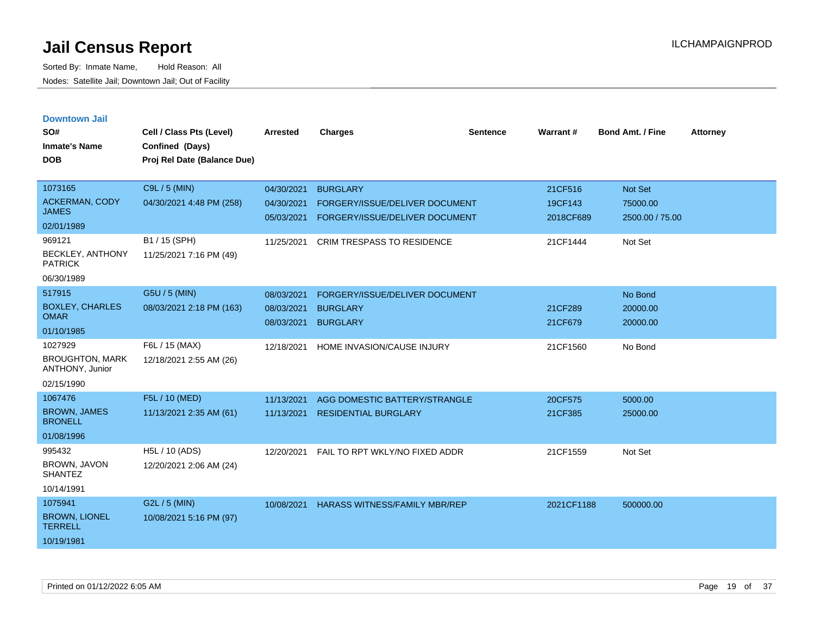| <b>Downtown Jail</b>                             |                             |                 |                                      |                 |            |                         |                 |
|--------------------------------------------------|-----------------------------|-----------------|--------------------------------------|-----------------|------------|-------------------------|-----------------|
| SO#                                              | Cell / Class Pts (Level)    | <b>Arrested</b> | <b>Charges</b>                       | <b>Sentence</b> | Warrant#   | <b>Bond Amt. / Fine</b> | <b>Attorney</b> |
| <b>Inmate's Name</b>                             | Confined (Days)             |                 |                                      |                 |            |                         |                 |
| <b>DOB</b>                                       | Proj Rel Date (Balance Due) |                 |                                      |                 |            |                         |                 |
|                                                  |                             |                 |                                      |                 |            |                         |                 |
| 1073165                                          | C9L / 5 (MIN)               | 04/30/2021      | <b>BURGLARY</b>                      |                 | 21CF516    | Not Set                 |                 |
| <b>ACKERMAN, CODY</b>                            | 04/30/2021 4:48 PM (258)    | 04/30/2021      | FORGERY/ISSUE/DELIVER DOCUMENT       |                 | 19CF143    | 75000.00                |                 |
| <b>JAMES</b>                                     |                             | 05/03/2021      | FORGERY/ISSUE/DELIVER DOCUMENT       |                 | 2018CF689  | 2500.00 / 75.00         |                 |
| 02/01/1989                                       |                             |                 |                                      |                 |            |                         |                 |
| 969121                                           | B1 / 15 (SPH)               | 11/25/2021      | <b>CRIM TRESPASS TO RESIDENCE</b>    |                 | 21CF1444   | Not Set                 |                 |
| <b>BECKLEY, ANTHONY</b><br><b>PATRICK</b>        | 11/25/2021 7:16 PM (49)     |                 |                                      |                 |            |                         |                 |
| 06/30/1989                                       |                             |                 |                                      |                 |            |                         |                 |
| 517915                                           | G5U / 5 (MIN)               | 08/03/2021      | FORGERY/ISSUE/DELIVER DOCUMENT       |                 |            | No Bond                 |                 |
| <b>BOXLEY, CHARLES</b>                           | 08/03/2021 2:18 PM (163)    | 08/03/2021      | <b>BURGLARY</b>                      |                 | 21CF289    | 20000.00                |                 |
| <b>OMAR</b>                                      |                             | 08/03/2021      | <b>BURGLARY</b>                      |                 | 21CF679    | 20000.00                |                 |
| 01/10/1985                                       |                             |                 |                                      |                 |            |                         |                 |
| 1027929                                          | F6L / 15 (MAX)              | 12/18/2021      | HOME INVASION/CAUSE INJURY           |                 | 21CF1560   | No Bond                 |                 |
| <b>BROUGHTON, MARK</b><br><b>ANTHONY, Junior</b> | 12/18/2021 2:55 AM (26)     |                 |                                      |                 |            |                         |                 |
| 02/15/1990                                       |                             |                 |                                      |                 |            |                         |                 |
| 1067476                                          | F5L / 10 (MED)              | 11/13/2021      | AGG DOMESTIC BATTERY/STRANGLE        |                 | 20CF575    | 5000.00                 |                 |
| <b>BROWN, JAMES</b><br><b>BRONELL</b>            | 11/13/2021 2:35 AM (61)     | 11/13/2021      | <b>RESIDENTIAL BURGLARY</b>          |                 | 21CF385    | 25000.00                |                 |
| 01/08/1996                                       |                             |                 |                                      |                 |            |                         |                 |
| 995432                                           | H5L / 10 (ADS)              | 12/20/2021      | FAIL TO RPT WKLY/NO FIXED ADDR       |                 | 21CF1559   | Not Set                 |                 |
| <b>BROWN, JAVON</b><br><b>SHANTEZ</b>            | 12/20/2021 2:06 AM (24)     |                 |                                      |                 |            |                         |                 |
| 10/14/1991                                       |                             |                 |                                      |                 |            |                         |                 |
| 1075941                                          | G2L / 5 (MIN)               | 10/08/2021      | <b>HARASS WITNESS/FAMILY MBR/REP</b> |                 | 2021CF1188 | 500000.00               |                 |
| <b>BROWN, LIONEL</b><br><b>TERRELL</b>           | 10/08/2021 5:16 PM (97)     |                 |                                      |                 |            |                         |                 |
| 10/19/1981                                       |                             |                 |                                      |                 |            |                         |                 |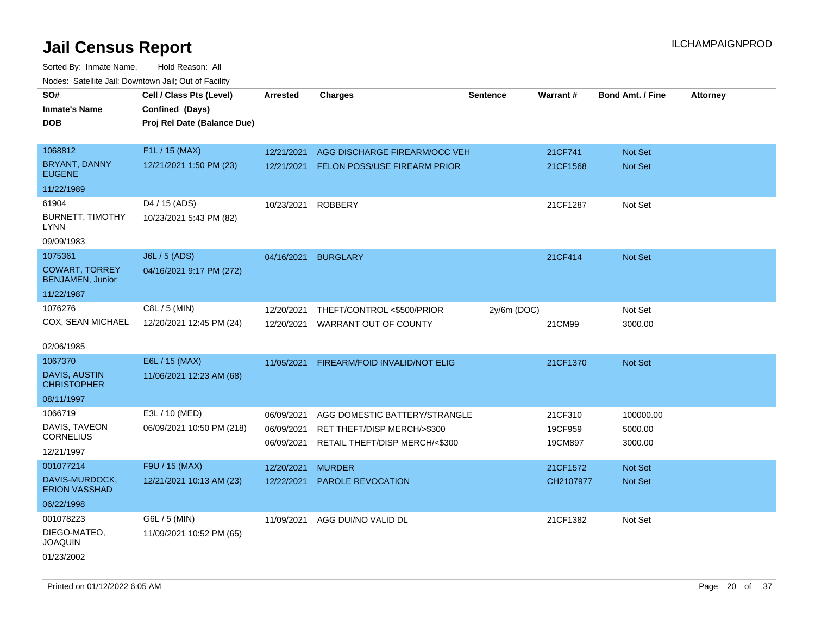| SO#                                              | Cell / Class Pts (Level)    | <b>Arrested</b> | <b>Charges</b>                          | <b>Sentence</b> | Warrant#  | <b>Bond Amt. / Fine</b> | <b>Attorney</b> |
|--------------------------------------------------|-----------------------------|-----------------|-----------------------------------------|-----------------|-----------|-------------------------|-----------------|
| <b>Inmate's Name</b>                             |                             |                 |                                         |                 |           |                         |                 |
|                                                  | Confined (Days)             |                 |                                         |                 |           |                         |                 |
| <b>DOB</b>                                       | Proj Rel Date (Balance Due) |                 |                                         |                 |           |                         |                 |
| 1068812                                          | F1L / 15 (MAX)              |                 |                                         |                 |           |                         |                 |
|                                                  |                             | 12/21/2021      | AGG DISCHARGE FIREARM/OCC VEH           |                 | 21CF741   | Not Set                 |                 |
| BRYANT, DANNY<br><b>EUGENE</b>                   | 12/21/2021 1:50 PM (23)     |                 | 12/21/2021 FELON POSS/USE FIREARM PRIOR |                 | 21CF1568  | Not Set                 |                 |
| 11/22/1989                                       |                             |                 |                                         |                 |           |                         |                 |
| 61904                                            | D4 / 15 (ADS)               | 10/23/2021      | <b>ROBBERY</b>                          |                 | 21CF1287  | Not Set                 |                 |
| <b>BURNETT, TIMOTHY</b><br><b>LYNN</b>           | 10/23/2021 5:43 PM (82)     |                 |                                         |                 |           |                         |                 |
| 09/09/1983                                       |                             |                 |                                         |                 |           |                         |                 |
| 1075361                                          | <b>J6L / 5 (ADS)</b>        | 04/16/2021      | <b>BURGLARY</b>                         |                 | 21CF414   | <b>Not Set</b>          |                 |
| <b>COWART, TORREY</b><br><b>BENJAMEN, Junior</b> | 04/16/2021 9:17 PM (272)    |                 |                                         |                 |           |                         |                 |
| 11/22/1987                                       |                             |                 |                                         |                 |           |                         |                 |
| 1076276                                          | C8L / 5 (MIN)               | 12/20/2021      | THEFT/CONTROL <\$500/PRIOR              | $2y/6m$ (DOC)   |           | Not Set                 |                 |
| COX, SEAN MICHAEL                                | 12/20/2021 12:45 PM (24)    | 12/20/2021      | WARRANT OUT OF COUNTY                   |                 | 21CM99    | 3000.00                 |                 |
|                                                  |                             |                 |                                         |                 |           |                         |                 |
| 02/06/1985                                       |                             |                 |                                         |                 |           |                         |                 |
| 1067370                                          | E6L / 15 (MAX)              | 11/05/2021      | FIREARM/FOID INVALID/NOT ELIG           |                 | 21CF1370  | <b>Not Set</b>          |                 |
| DAVIS, AUSTIN<br><b>CHRISTOPHER</b>              | 11/06/2021 12:23 AM (68)    |                 |                                         |                 |           |                         |                 |
| 08/11/1997                                       |                             |                 |                                         |                 |           |                         |                 |
| 1066719                                          | E3L / 10 (MED)              | 06/09/2021      | AGG DOMESTIC BATTERY/STRANGLE           |                 | 21CF310   | 100000.00               |                 |
| DAVIS, TAVEON                                    | 06/09/2021 10:50 PM (218)   | 06/09/2021      | RET THEFT/DISP MERCH/>\$300             |                 | 19CF959   | 5000.00                 |                 |
| <b>CORNELIUS</b>                                 |                             | 06/09/2021      | RETAIL THEFT/DISP MERCH/<\$300          |                 | 19CM897   | 3000.00                 |                 |
| 12/21/1997                                       |                             |                 |                                         |                 |           |                         |                 |
| 001077214                                        | F9U / 15 (MAX)              | 12/20/2021      | <b>MURDER</b>                           |                 | 21CF1572  | Not Set                 |                 |
| DAVIS-MURDOCK,<br><b>ERION VASSHAD</b>           | 12/21/2021 10:13 AM (23)    | 12/22/2021      | PAROLE REVOCATION                       |                 | CH2107977 | Not Set                 |                 |
| 06/22/1998                                       |                             |                 |                                         |                 |           |                         |                 |
| 001078223                                        | G6L / 5 (MIN)               | 11/09/2021      | AGG DUI/NO VALID DL                     |                 | 21CF1382  | Not Set                 |                 |
| DIEGO-MATEO,<br><b>JOAQUIN</b>                   | 11/09/2021 10:52 PM (65)    |                 |                                         |                 |           |                         |                 |
| 01/23/2002                                       |                             |                 |                                         |                 |           |                         |                 |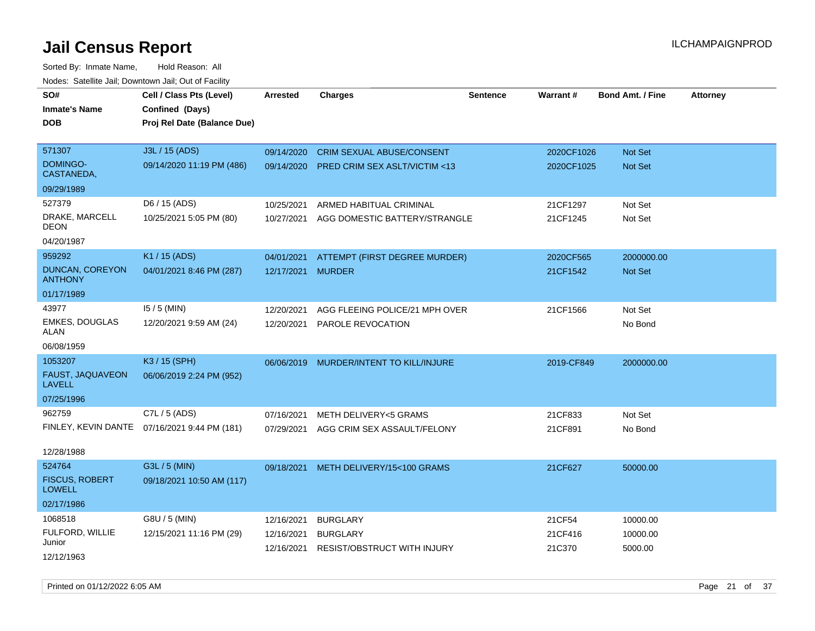Sorted By: Inmate Name, Hold Reason: All Nodes: Satellite Jail; Downtown Jail; Out of Facility

| roaco. Calcinio can, Downtown can, Out or Faoint |                                              |                 |                                         |                 |            |                         |                 |
|--------------------------------------------------|----------------------------------------------|-----------------|-----------------------------------------|-----------------|------------|-------------------------|-----------------|
| SO#                                              | Cell / Class Pts (Level)                     | <b>Arrested</b> | <b>Charges</b>                          | <b>Sentence</b> | Warrant#   | <b>Bond Amt. / Fine</b> | <b>Attorney</b> |
| <b>Inmate's Name</b>                             | Confined (Days)                              |                 |                                         |                 |            |                         |                 |
| <b>DOB</b>                                       | Proj Rel Date (Balance Due)                  |                 |                                         |                 |            |                         |                 |
|                                                  |                                              |                 |                                         |                 |            |                         |                 |
| 571307                                           | J3L / 15 (ADS)                               | 09/14/2020      | <b>CRIM SEXUAL ABUSE/CONSENT</b>        |                 | 2020CF1026 | Not Set                 |                 |
| <b>DOMINGO-</b><br>CASTANEDA,                    | 09/14/2020 11:19 PM (486)                    | 09/14/2020      | <b>PRED CRIM SEX ASLT/VICTIM &lt;13</b> |                 | 2020CF1025 | <b>Not Set</b>          |                 |
| 09/29/1989                                       |                                              |                 |                                         |                 |            |                         |                 |
| 527379                                           | D6 / 15 (ADS)                                | 10/25/2021      | ARMED HABITUAL CRIMINAL                 |                 | 21CF1297   | Not Set                 |                 |
| DRAKE, MARCELL<br>DEON                           | 10/25/2021 5:05 PM (80)                      | 10/27/2021      | AGG DOMESTIC BATTERY/STRANGLE           |                 | 21CF1245   | Not Set                 |                 |
| 04/20/1987                                       |                                              |                 |                                         |                 |            |                         |                 |
| 959292                                           | K1 / 15 (ADS)                                | 04/01/2021      | ATTEMPT (FIRST DEGREE MURDER)           |                 | 2020CF565  | 2000000.00              |                 |
| DUNCAN, COREYON<br><b>ANTHONY</b>                | 04/01/2021 8:46 PM (287)                     | 12/17/2021      | <b>MURDER</b>                           |                 | 21CF1542   | <b>Not Set</b>          |                 |
| 01/17/1989                                       |                                              |                 |                                         |                 |            |                         |                 |
| 43977                                            | $15/5$ (MIN)                                 | 12/20/2021      | AGG FLEEING POLICE/21 MPH OVER          |                 | 21CF1566   | Not Set                 |                 |
| <b>EMKES, DOUGLAS</b><br>ALAN                    | 12/20/2021 9:59 AM (24)                      | 12/20/2021      | PAROLE REVOCATION                       |                 |            | No Bond                 |                 |
| 06/08/1959                                       |                                              |                 |                                         |                 |            |                         |                 |
| 1053207                                          | K3 / 15 (SPH)                                | 06/06/2019      | MURDER/INTENT TO KILL/INJURE            |                 | 2019-CF849 | 2000000.00              |                 |
| FAUST, JAQUAVEON<br>LAVELL                       | 06/06/2019 2:24 PM (952)                     |                 |                                         |                 |            |                         |                 |
| 07/25/1996                                       |                                              |                 |                                         |                 |            |                         |                 |
| 962759                                           | C7L / 5 (ADS)                                | 07/16/2021      | <b>METH DELIVERY&lt;5 GRAMS</b>         |                 | 21CF833    | Not Set                 |                 |
|                                                  | FINLEY, KEVIN DANTE 07/16/2021 9:44 PM (181) | 07/29/2021      | AGG CRIM SEX ASSAULT/FELONY             |                 | 21CF891    | No Bond                 |                 |
| 12/28/1988                                       |                                              |                 |                                         |                 |            |                         |                 |
| 524764                                           | G3L / 5 (MIN)                                | 09/18/2021      | METH DELIVERY/15<100 GRAMS              |                 | 21CF627    | 50000.00                |                 |
| <b>FISCUS, ROBERT</b><br><b>LOWELL</b>           | 09/18/2021 10:50 AM (117)                    |                 |                                         |                 |            |                         |                 |
| 02/17/1986                                       |                                              |                 |                                         |                 |            |                         |                 |
| 1068518                                          | G8U / 5 (MIN)                                | 12/16/2021      | <b>BURGLARY</b>                         |                 | 21CF54     | 10000.00                |                 |
| FULFORD, WILLIE                                  | 12/15/2021 11:16 PM (29)                     | 12/16/2021      | <b>BURGLARY</b>                         |                 | 21CF416    | 10000.00                |                 |
| Junior                                           |                                              | 12/16/2021      | <b>RESIST/OBSTRUCT WITH INJURY</b>      |                 | 21C370     | 5000.00                 |                 |
| 12/12/1963                                       |                                              |                 |                                         |                 |            |                         |                 |

Printed on 01/12/2022 6:05 AM Page 21 of 37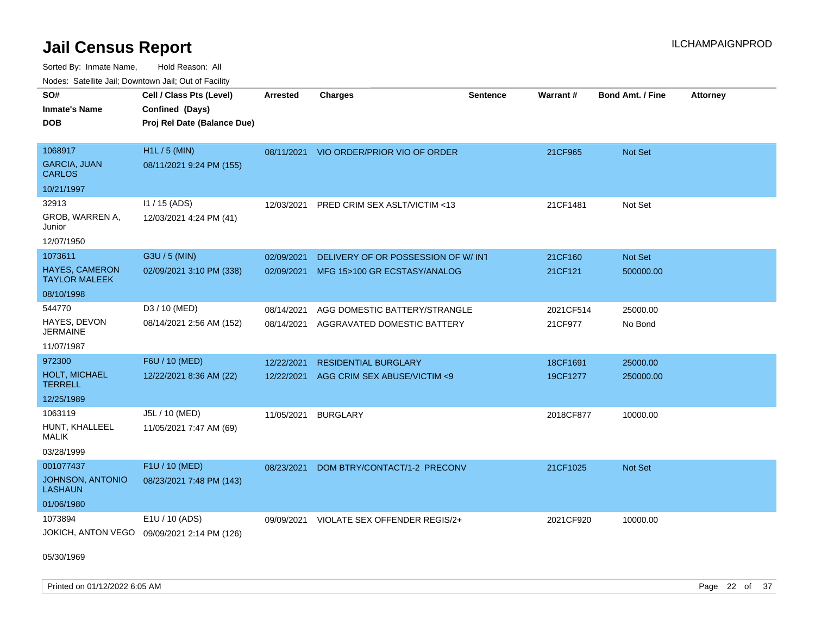Sorted By: Inmate Name, Hold Reason: All Nodes: Satellite Jail; Downtown Jail; Out of Facility

| rouco. Calcinic Jan, Downtown Jan, Out of Facility |                                             |                 |                                         |                 |           |                         |                 |
|----------------------------------------------------|---------------------------------------------|-----------------|-----------------------------------------|-----------------|-----------|-------------------------|-----------------|
| SO#                                                | Cell / Class Pts (Level)                    | <b>Arrested</b> | <b>Charges</b>                          | <b>Sentence</b> | Warrant#  | <b>Bond Amt. / Fine</b> | <b>Attorney</b> |
| Inmate's Name                                      | Confined (Days)                             |                 |                                         |                 |           |                         |                 |
| DOB                                                | Proj Rel Date (Balance Due)                 |                 |                                         |                 |           |                         |                 |
|                                                    |                                             |                 |                                         |                 |           |                         |                 |
| 1068917                                            | $H1L / 5$ (MIN)                             |                 | 08/11/2021 VIO ORDER/PRIOR VIO OF ORDER |                 | 21CF965   | Not Set                 |                 |
| <b>GARCIA, JUAN</b><br><b>CARLOS</b>               | 08/11/2021 9:24 PM (155)                    |                 |                                         |                 |           |                         |                 |
| 10/21/1997                                         |                                             |                 |                                         |                 |           |                         |                 |
| 32913                                              | 11 / 15 (ADS)                               | 12/03/2021      | <b>PRED CRIM SEX ASLT/VICTIM &lt;13</b> |                 | 21CF1481  | Not Set                 |                 |
| GROB, WARREN A,<br>Junior                          | 12/03/2021 4:24 PM (41)                     |                 |                                         |                 |           |                         |                 |
| 12/07/1950                                         |                                             |                 |                                         |                 |           |                         |                 |
| 1073611                                            | G3U / 5 (MIN)                               | 02/09/2021      | DELIVERY OF OR POSSESSION OF W/INT      |                 | 21CF160   | Not Set                 |                 |
| <b>HAYES, CAMERON</b><br><b>TAYLOR MALEEK</b>      | 02/09/2021 3:10 PM (338)                    | 02/09/2021      | MFG 15>100 GR ECSTASY/ANALOG            |                 | 21CF121   | 500000.00               |                 |
| 08/10/1998                                         |                                             |                 |                                         |                 |           |                         |                 |
| 544770                                             | D3 / 10 (MED)                               | 08/14/2021      | AGG DOMESTIC BATTERY/STRANGLE           |                 | 2021CF514 | 25000.00                |                 |
| HAYES, DEVON<br>JERMAINE                           | 08/14/2021 2:56 AM (152)                    | 08/14/2021      | AGGRAVATED DOMESTIC BATTERY             |                 | 21CF977   | No Bond                 |                 |
| 11/07/1987                                         |                                             |                 |                                         |                 |           |                         |                 |
| 972300                                             | F6U / 10 (MED)                              | 12/22/2021      | <b>RESIDENTIAL BURGLARY</b>             |                 | 18CF1691  | 25000.00                |                 |
| <b>HOLT, MICHAEL</b><br>TERRELL                    | 12/22/2021 8:36 AM (22)                     | 12/22/2021      | AGG CRIM SEX ABUSE/VICTIM <9            |                 | 19CF1277  | 250000.00               |                 |
| 12/25/1989                                         |                                             |                 |                                         |                 |           |                         |                 |
| 1063119                                            | J5L / 10 (MED)                              | 11/05/2021      | BURGLARY                                |                 | 2018CF877 | 10000.00                |                 |
| HUNT, KHALLEEL<br>MALIK                            | 11/05/2021 7:47 AM (69)                     |                 |                                         |                 |           |                         |                 |
| 03/28/1999                                         |                                             |                 |                                         |                 |           |                         |                 |
| 001077437                                          | F1U / 10 (MED)                              | 08/23/2021      | DOM BTRY/CONTACT/1-2 PRECONV            |                 | 21CF1025  | Not Set                 |                 |
| <b>JOHNSON, ANTONIO</b><br><b>LASHAUN</b>          | 08/23/2021 7:48 PM (143)                    |                 |                                         |                 |           |                         |                 |
| 01/06/1980                                         |                                             |                 |                                         |                 |           |                         |                 |
| 1073894                                            | E1U / 10 (ADS)                              | 09/09/2021      | VIOLATE SEX OFFENDER REGIS/2+           |                 | 2021CF920 | 10000.00                |                 |
|                                                    | JOKICH, ANTON VEGO 09/09/2021 2:14 PM (126) |                 |                                         |                 |           |                         |                 |

05/30/1969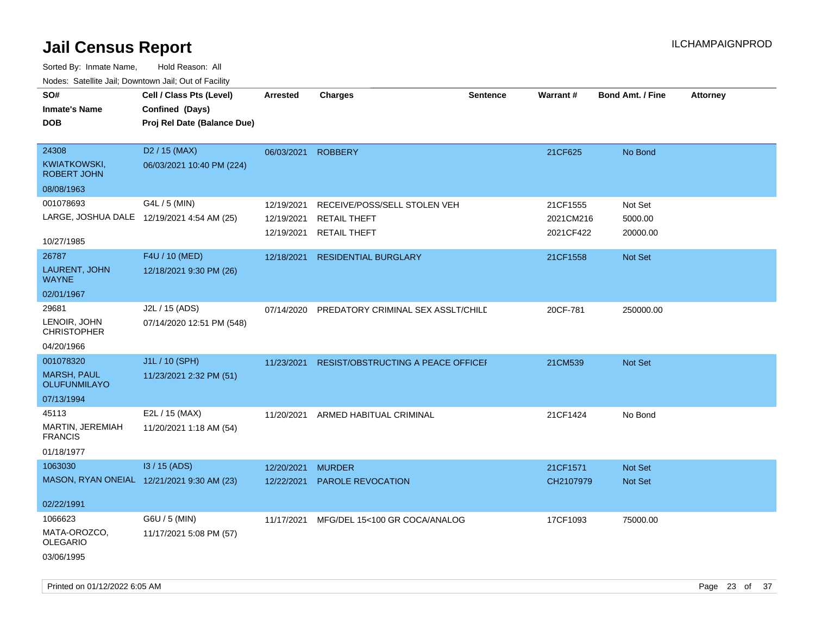| SO#<br><b>Inmate's Name</b><br><b>DOB</b>                            | Cell / Class Pts (Level)<br>Confined (Days)<br>Proj Rel Date (Balance Due) | <b>Arrested</b>                        | <b>Charges</b>                                                             | <b>Sentence</b> | <b>Warrant#</b>                    | Bond Amt. / Fine               | <b>Attorney</b> |
|----------------------------------------------------------------------|----------------------------------------------------------------------------|----------------------------------------|----------------------------------------------------------------------------|-----------------|------------------------------------|--------------------------------|-----------------|
| 24308<br>KWIATKOWSKI,<br>ROBERT JOHN<br>08/08/1963                   | D <sub>2</sub> / 15 (MAX)<br>06/03/2021 10:40 PM (224)                     | 06/03/2021                             | <b>ROBBERY</b>                                                             |                 | 21CF625                            | No Bond                        |                 |
| 001078693<br>10/27/1985                                              | G4L / 5 (MIN)<br>LARGE, JOSHUA DALE 12/19/2021 4:54 AM (25)                | 12/19/2021<br>12/19/2021<br>12/19/2021 | RECEIVE/POSS/SELL STOLEN VEH<br><b>RETAIL THEFT</b><br><b>RETAIL THEFT</b> |                 | 21CF1555<br>2021CM216<br>2021CF422 | Not Set<br>5000.00<br>20000.00 |                 |
| 26787<br>LAURENT, JOHN<br><b>WAYNE</b><br>02/01/1967                 | F4U / 10 (MED)<br>12/18/2021 9:30 PM (26)                                  | 12/18/2021                             | <b>RESIDENTIAL BURGLARY</b>                                                |                 | 21CF1558                           | Not Set                        |                 |
| 29681<br>LENOIR, JOHN<br><b>CHRISTOPHER</b><br>04/20/1966            | J2L / 15 (ADS)<br>07/14/2020 12:51 PM (548)                                | 07/14/2020                             | PREDATORY CRIMINAL SEX ASSLT/CHILD                                         |                 | 20CF-781                           | 250000.00                      |                 |
| 001078320<br><b>MARSH, PAUL</b><br><b>OLUFUNMILAYO</b><br>07/13/1994 | J1L / 10 (SPH)<br>11/23/2021 2:32 PM (51)                                  | 11/23/2021                             | <b>RESIST/OBSTRUCTING A PEACE OFFICEF</b>                                  |                 | 21CM539                            | Not Set                        |                 |
| 45113<br>MARTIN, JEREMIAH<br><b>FRANCIS</b><br>01/18/1977            | E2L / 15 (MAX)<br>11/20/2021 1:18 AM (54)                                  | 11/20/2021                             | ARMED HABITUAL CRIMINAL                                                    |                 | 21CF1424                           | No Bond                        |                 |
| 1063030<br>02/22/1991                                                | 13 / 15 (ADS)<br>MASON, RYAN ONEIAL 12/21/2021 9:30 AM (23)                | 12/20/2021<br>12/22/2021               | <b>MURDER</b><br>PAROLE REVOCATION                                         |                 | 21CF1571<br>CH2107979              | Not Set<br>Not Set             |                 |
| 1066623<br>MATA-OROZCO,<br><b>OLEGARIO</b><br>03/06/1995             | G6U / 5 (MIN)<br>11/17/2021 5:08 PM (57)                                   |                                        | 11/17/2021 MFG/DEL 15<100 GR COCA/ANALOG                                   |                 | 17CF1093                           | 75000.00                       |                 |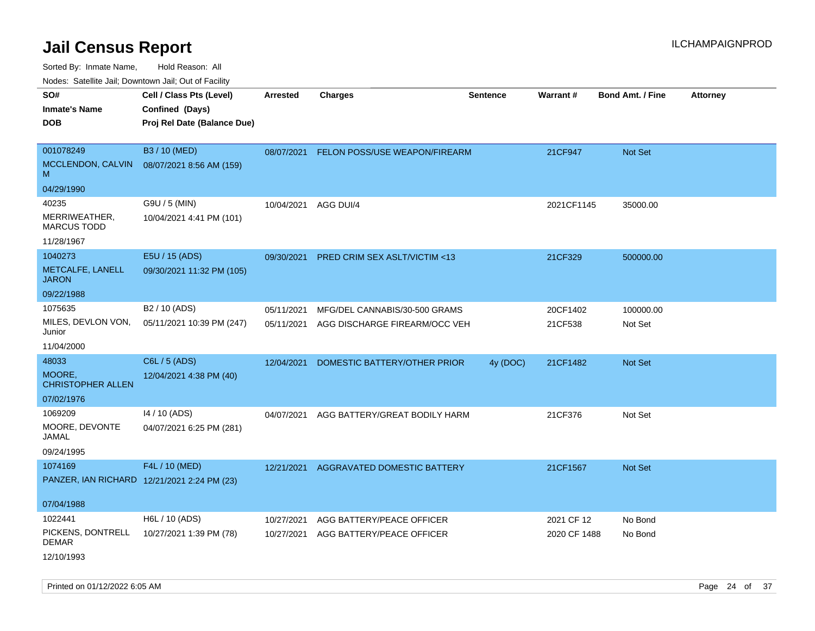Sorted By: Inmate Name, Hold Reason: All

Nodes: Satellite Jail; Downtown Jail; Out of Facility

| roaco. Catolino dall, Downtown dall, Out of Fability |                             |                 |                                          |                 |                 |                         |                 |
|------------------------------------------------------|-----------------------------|-----------------|------------------------------------------|-----------------|-----------------|-------------------------|-----------------|
| SO#                                                  | Cell / Class Pts (Level)    | <b>Arrested</b> | <b>Charges</b>                           | <b>Sentence</b> | <b>Warrant#</b> | <b>Bond Amt. / Fine</b> | <b>Attorney</b> |
| <b>Inmate's Name</b>                                 | Confined (Days)             |                 |                                          |                 |                 |                         |                 |
| <b>DOB</b>                                           | Proj Rel Date (Balance Due) |                 |                                          |                 |                 |                         |                 |
|                                                      |                             |                 |                                          |                 |                 |                         |                 |
| 001078249                                            | B3 / 10 (MED)               |                 | 08/07/2021 FELON POSS/USE WEAPON/FIREARM |                 | 21CF947         | Not Set                 |                 |
| MCCLENDON, CALVIN<br>M                               | 08/07/2021 8:56 AM (159)    |                 |                                          |                 |                 |                         |                 |
| 04/29/1990                                           |                             |                 |                                          |                 |                 |                         |                 |
| 40235                                                | G9U / 5 (MIN)               | 10/04/2021      | AGG DUI/4                                |                 | 2021CF1145      | 35000.00                |                 |
| MERRIWEATHER,<br><b>MARCUS TODD</b>                  | 10/04/2021 4:41 PM (101)    |                 |                                          |                 |                 |                         |                 |
| 11/28/1967                                           |                             |                 |                                          |                 |                 |                         |                 |
| 1040273                                              | E5U / 15 (ADS)              | 09/30/2021      | <b>PRED CRIM SEX ASLT/VICTIM &lt;13</b>  |                 | 21CF329         | 500000.00               |                 |
| METCALFE, LANELL<br><b>JARON</b>                     | 09/30/2021 11:32 PM (105)   |                 |                                          |                 |                 |                         |                 |
| 09/22/1988                                           |                             |                 |                                          |                 |                 |                         |                 |
| 1075635                                              | B <sub>2</sub> / 10 (ADS)   | 05/11/2021      | MFG/DEL CANNABIS/30-500 GRAMS            |                 | 20CF1402        | 100000.00               |                 |
| MILES, DEVLON VON,<br>Junior                         | 05/11/2021 10:39 PM (247)   | 05/11/2021      | AGG DISCHARGE FIREARM/OCC VEH            |                 | 21CF538         | Not Set                 |                 |
| 11/04/2000                                           |                             |                 |                                          |                 |                 |                         |                 |
| 48033                                                | C6L / 5 (ADS)               | 12/04/2021      | DOMESTIC BATTERY/OTHER PRIOR             | 4y (DOC)        | 21CF1482        | <b>Not Set</b>          |                 |
| MOORE,<br><b>CHRISTOPHER ALLEN</b>                   | 12/04/2021 4:38 PM (40)     |                 |                                          |                 |                 |                         |                 |
| 07/02/1976                                           |                             |                 |                                          |                 |                 |                         |                 |
| 1069209                                              | 14 / 10 (ADS)               | 04/07/2021      | AGG BATTERY/GREAT BODILY HARM            |                 | 21CF376         | Not Set                 |                 |
| MOORE, DEVONTE<br>JAMAL                              | 04/07/2021 6:25 PM (281)    |                 |                                          |                 |                 |                         |                 |
| 09/24/1995                                           |                             |                 |                                          |                 |                 |                         |                 |
| 1074169                                              | F4L / 10 (MED)              | 12/21/2021      | AGGRAVATED DOMESTIC BATTERY              |                 | 21CF1567        | <b>Not Set</b>          |                 |
| PANZER, IAN RICHARD 12/21/2021 2:24 PM (23)          |                             |                 |                                          |                 |                 |                         |                 |
|                                                      |                             |                 |                                          |                 |                 |                         |                 |
| 07/04/1988                                           |                             |                 |                                          |                 |                 |                         |                 |
| 1022441                                              | H6L / 10 (ADS)              | 10/27/2021      | AGG BATTERY/PEACE OFFICER                |                 | 2021 CF 12      | No Bond                 |                 |
| PICKENS, DONTRELL<br><b>DEMAR</b>                    | 10/27/2021 1:39 PM (78)     | 10/27/2021      | AGG BATTERY/PEACE OFFICER                |                 | 2020 CF 1488    | No Bond                 |                 |
| 12/10/1993                                           |                             |                 |                                          |                 |                 |                         |                 |

Printed on 01/12/2022 6:05 AM Page 24 of 37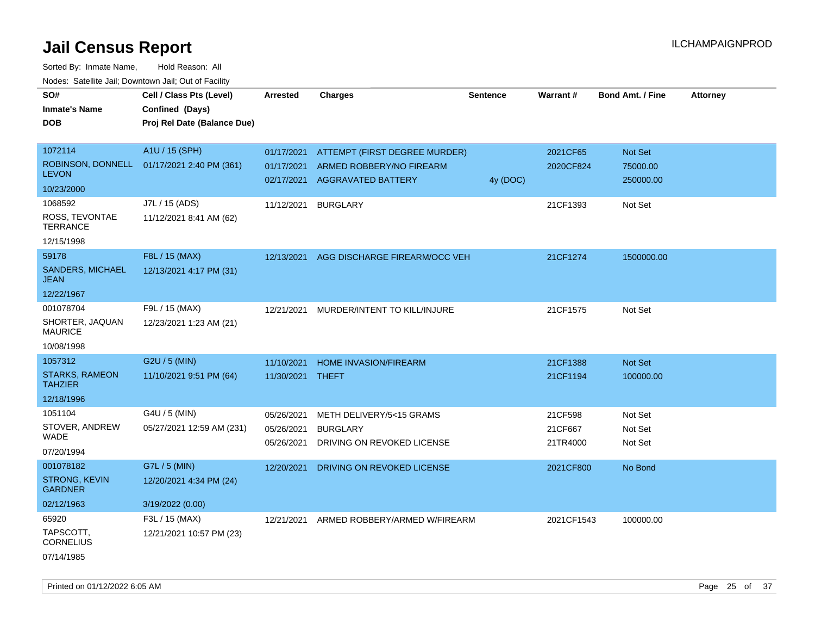| SO#<br><b>Inmate's Name</b>             | Cell / Class Pts (Level)<br>Confined (Days) | <b>Arrested</b> | <b>Charges</b>                | <b>Sentence</b> | Warrant#   | <b>Bond Amt. / Fine</b> | <b>Attorney</b> |
|-----------------------------------------|---------------------------------------------|-----------------|-------------------------------|-----------------|------------|-------------------------|-----------------|
| <b>DOB</b>                              | Proj Rel Date (Balance Due)                 |                 |                               |                 |            |                         |                 |
|                                         |                                             |                 |                               |                 |            |                         |                 |
| 1072114                                 | A1U / 15 (SPH)                              | 01/17/2021      |                               |                 | 2021CF65   | Not Set                 |                 |
| ROBINSON, DONNELL                       |                                             |                 | ATTEMPT (FIRST DEGREE MURDER) |                 |            |                         |                 |
| <b>LEVON</b>                            | 01/17/2021 2:40 PM (361)                    | 01/17/2021      | ARMED ROBBERY/NO FIREARM      |                 | 2020CF824  | 75000.00                |                 |
| 10/23/2000                              |                                             | 02/17/2021      | AGGRAVATED BATTERY            | 4y (DOC)        |            | 250000.00               |                 |
| 1068592                                 | J7L / 15 (ADS)                              | 11/12/2021      | <b>BURGLARY</b>               |                 | 21CF1393   | Not Set                 |                 |
| ROSS, TEVONTAE<br><b>TERRANCE</b>       | 11/12/2021 8:41 AM (62)                     |                 |                               |                 |            |                         |                 |
| 12/15/1998                              |                                             |                 |                               |                 |            |                         |                 |
| 59178                                   | F8L / 15 (MAX)                              | 12/13/2021      | AGG DISCHARGE FIREARM/OCC VEH |                 | 21CF1274   | 1500000.00              |                 |
| <b>SANDERS, MICHAEL</b><br><b>JEAN</b>  | 12/13/2021 4:17 PM (31)                     |                 |                               |                 |            |                         |                 |
| 12/22/1967                              |                                             |                 |                               |                 |            |                         |                 |
| 001078704                               | F9L / 15 (MAX)                              | 12/21/2021      | MURDER/INTENT TO KILL/INJURE  |                 | 21CF1575   | Not Set                 |                 |
| SHORTER, JAQUAN<br><b>MAURICE</b>       | 12/23/2021 1:23 AM (21)                     |                 |                               |                 |            |                         |                 |
| 10/08/1998                              |                                             |                 |                               |                 |            |                         |                 |
| 1057312                                 | G2U / 5 (MIN)                               | 11/10/2021      | <b>HOME INVASION/FIREARM</b>  |                 | 21CF1388   | Not Set                 |                 |
| <b>STARKS, RAMEON</b><br><b>TAHZIER</b> | 11/10/2021 9:51 PM (64)                     | 11/30/2021      | THEFT                         |                 | 21CF1194   | 100000.00               |                 |
| 12/18/1996                              |                                             |                 |                               |                 |            |                         |                 |
| 1051104                                 | G4U / 5 (MIN)                               | 05/26/2021      | METH DELIVERY/5<15 GRAMS      |                 | 21CF598    | Not Set                 |                 |
| STOVER, ANDREW                          | 05/27/2021 12:59 AM (231)                   | 05/26/2021      | <b>BURGLARY</b>               |                 | 21CF667    | Not Set                 |                 |
| <b>WADE</b>                             |                                             | 05/26/2021      | DRIVING ON REVOKED LICENSE    |                 | 21TR4000   | Not Set                 |                 |
| 07/20/1994                              |                                             |                 |                               |                 |            |                         |                 |
| 001078182                               | G7L / 5 (MIN)                               | 12/20/2021      | DRIVING ON REVOKED LICENSE    |                 | 2021CF800  | No Bond                 |                 |
| <b>STRONG, KEVIN</b><br><b>GARDNER</b>  | 12/20/2021 4:34 PM (24)                     |                 |                               |                 |            |                         |                 |
| 02/12/1963                              | 3/19/2022 (0.00)                            |                 |                               |                 |            |                         |                 |
| 65920                                   | F3L / 15 (MAX)                              | 12/21/2021      | ARMED ROBBERY/ARMED W/FIREARM |                 | 2021CF1543 | 100000.00               |                 |
| TAPSCOTT,<br><b>CORNELIUS</b>           | 12/21/2021 10:57 PM (23)                    |                 |                               |                 |            |                         |                 |
| 07/14/1985                              |                                             |                 |                               |                 |            |                         |                 |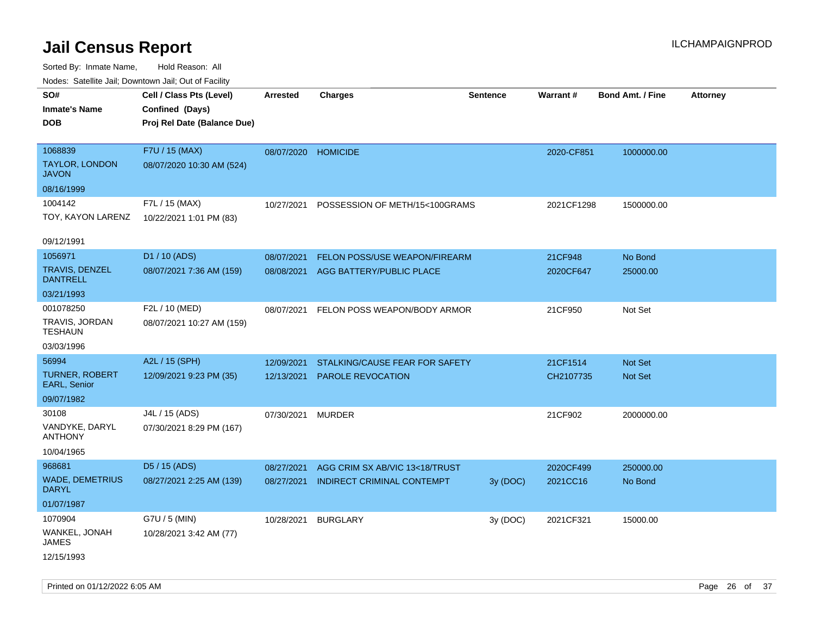| SO#<br>Inmate's Name<br><b>DOB</b>               | Cell / Class Pts (Level)<br>Confined (Days)<br>Proj Rel Date (Balance Due) | <b>Arrested</b>          | <b>Charges</b>                                               | <b>Sentence</b> | Warrant#              | <b>Bond Amt. / Fine</b> | Attorney |
|--------------------------------------------------|----------------------------------------------------------------------------|--------------------------|--------------------------------------------------------------|-----------------|-----------------------|-------------------------|----------|
| 1068839<br><b>TAYLOR, LONDON</b><br><b>JAVON</b> | F7U / 15 (MAX)<br>08/07/2020 10:30 AM (524)                                | 08/07/2020               | <b>HOMICIDE</b>                                              |                 | 2020-CF851            | 1000000.00              |          |
| 08/16/1999                                       |                                                                            |                          |                                                              |                 |                       |                         |          |
| 1004142<br>TOY, KAYON LARENZ                     | F7L / 15 (MAX)<br>10/22/2021 1:01 PM (83)                                  | 10/27/2021               | POSSESSION OF METH/15<100GRAMS                               |                 | 2021CF1298            | 1500000.00              |          |
| 09/12/1991                                       |                                                                            |                          |                                                              |                 |                       |                         |          |
| 1056971                                          | D1 / 10 (ADS)                                                              | 08/07/2021               | FELON POSS/USE WEAPON/FIREARM                                |                 | 21CF948               | No Bond                 |          |
| <b>TRAVIS, DENZEL</b><br><b>DANTRELL</b>         | 08/07/2021 7:36 AM (159)                                                   | 08/08/2021               | AGG BATTERY/PUBLIC PLACE                                     |                 | 2020CF647             | 25000.00                |          |
| 03/21/1993                                       |                                                                            |                          |                                                              |                 |                       |                         |          |
| 001078250<br>TRAVIS, JORDAN<br><b>TESHAUN</b>    | F2L / 10 (MED)<br>08/07/2021 10:27 AM (159)                                | 08/07/2021               | FELON POSS WEAPON/BODY ARMOR                                 |                 | 21CF950               | Not Set                 |          |
| 03/03/1996                                       |                                                                            |                          |                                                              |                 |                       |                         |          |
| 56994                                            | A2L / 15 (SPH)                                                             | 12/09/2021               | STALKING/CAUSE FEAR FOR SAFETY                               |                 | 21CF1514              | <b>Not Set</b>          |          |
| <b>TURNER, ROBERT</b><br>EARL, Senior            | 12/09/2021 9:23 PM (35)                                                    | 12/13/2021               | PAROLE REVOCATION                                            |                 | CH2107735             | Not Set                 |          |
| 09/07/1982                                       |                                                                            |                          |                                                              |                 |                       |                         |          |
| 30108                                            | J4L / 15 (ADS)                                                             | 07/30/2021               | <b>MURDER</b>                                                |                 | 21CF902               | 2000000.00              |          |
| VANDYKE, DARYL<br><b>ANTHONY</b>                 | 07/30/2021 8:29 PM (167)                                                   |                          |                                                              |                 |                       |                         |          |
| 10/04/1965                                       |                                                                            |                          |                                                              |                 |                       |                         |          |
| 968681<br><b>WADE, DEMETRIUS</b>                 | D5 / 15 (ADS)<br>08/27/2021 2:25 AM (139)                                  | 08/27/2021<br>08/27/2021 | AGG CRIM SX AB/VIC 13<18/TRUST<br>INDIRECT CRIMINAL CONTEMPT | 3y(DOC)         | 2020CF499<br>2021CC16 | 250000.00<br>No Bond    |          |
| DARYL<br>01/07/1987                              |                                                                            |                          |                                                              |                 |                       |                         |          |
| 1070904                                          | G7U / 5 (MIN)                                                              | 10/28/2021               | <b>BURGLARY</b>                                              | 3y (DOC)        | 2021CF321             | 15000.00                |          |
| WANKEL, JONAH<br><b>JAMES</b>                    | 10/28/2021 3:42 AM (77)                                                    |                          |                                                              |                 |                       |                         |          |
| 12/15/1993                                       |                                                                            |                          |                                                              |                 |                       |                         |          |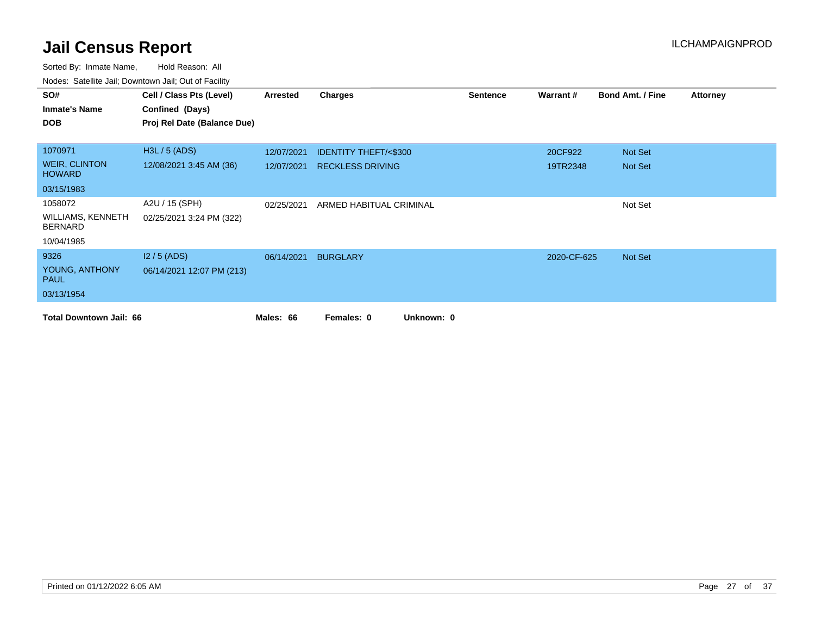| SO#                                        | Cell / Class Pts (Level)    | Arrested   | <b>Charges</b>                  | <b>Sentence</b> | Warrant#    | <b>Bond Amt. / Fine</b> | <b>Attorney</b> |
|--------------------------------------------|-----------------------------|------------|---------------------------------|-----------------|-------------|-------------------------|-----------------|
| <b>Inmate's Name</b>                       | Confined (Days)             |            |                                 |                 |             |                         |                 |
| <b>DOB</b>                                 | Proj Rel Date (Balance Due) |            |                                 |                 |             |                         |                 |
|                                            |                             |            |                                 |                 |             |                         |                 |
| 1070971                                    | H3L / 5 (ADS)               | 12/07/2021 | <b>IDENTITY THEFT/&lt;\$300</b> |                 | 20CF922     | Not Set                 |                 |
| <b>WEIR, CLINTON</b><br><b>HOWARD</b>      | 12/08/2021 3:45 AM (36)     | 12/07/2021 | <b>RECKLESS DRIVING</b>         |                 | 19TR2348    | Not Set                 |                 |
| 03/15/1983                                 |                             |            |                                 |                 |             |                         |                 |
| 1058072                                    | A2U / 15 (SPH)              | 02/25/2021 | ARMED HABITUAL CRIMINAL         |                 |             | Not Set                 |                 |
| <b>WILLIAMS, KENNETH</b><br><b>BERNARD</b> | 02/25/2021 3:24 PM (322)    |            |                                 |                 |             |                         |                 |
| 10/04/1985                                 |                             |            |                                 |                 |             |                         |                 |
| 9326                                       | $12/5$ (ADS)                | 06/14/2021 | <b>BURGLARY</b>                 |                 | 2020-CF-625 | Not Set                 |                 |
| YOUNG, ANTHONY<br><b>PAUL</b>              | 06/14/2021 12:07 PM (213)   |            |                                 |                 |             |                         |                 |
| 03/13/1954                                 |                             |            |                                 |                 |             |                         |                 |
| <b>Total Downtown Jail: 66</b>             |                             | Males: 66  | Unknown: 0<br>Females: 0        |                 |             |                         |                 |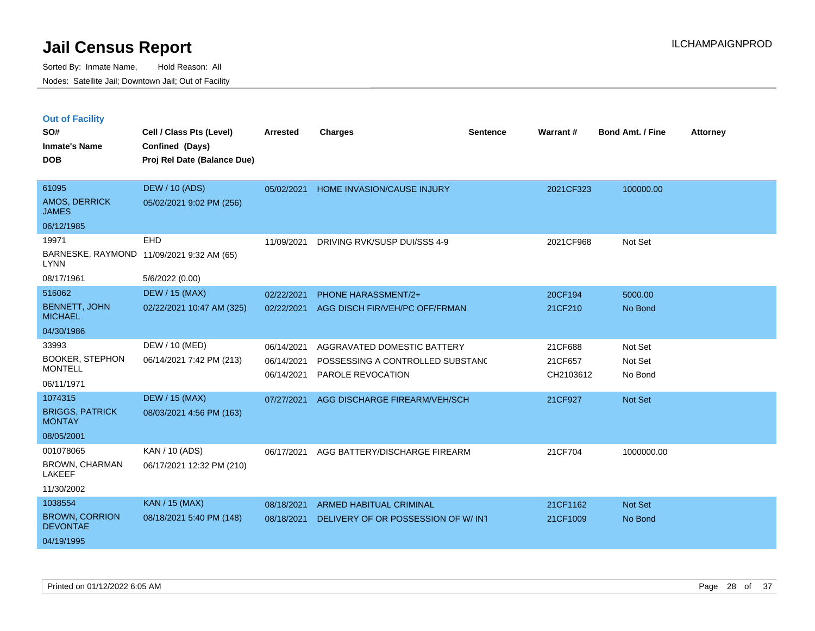|  |  | <b>Out of Facility</b> |
|--|--|------------------------|
|  |  |                        |

| SO#<br><b>Inmate's Name</b><br><b>DOB</b> | Cell / Class Pts (Level)<br>Confined (Days)<br>Proj Rel Date (Balance Due) | <b>Arrested</b> | <b>Charges</b>                      | <b>Sentence</b> | <b>Warrant#</b> | <b>Bond Amt. / Fine</b> | <b>Attorney</b> |
|-------------------------------------------|----------------------------------------------------------------------------|-----------------|-------------------------------------|-----------------|-----------------|-------------------------|-----------------|
| 61095<br>AMOS, DERRICK<br><b>JAMES</b>    | <b>DEW / 10 (ADS)</b><br>05/02/2021 9:02 PM (256)                          | 05/02/2021      | <b>HOME INVASION/CAUSE INJURY</b>   |                 | 2021CF323       | 100000.00               |                 |
| 06/12/1985                                |                                                                            |                 |                                     |                 |                 |                         |                 |
| 19971<br><b>LYNN</b>                      | EHD<br>BARNESKE, RAYMOND 11/09/2021 9:32 AM (65)                           | 11/09/2021      | DRIVING RVK/SUSP DUI/SSS 4-9        |                 | 2021CF968       | Not Set                 |                 |
| 08/17/1961                                | 5/6/2022 (0.00)                                                            |                 |                                     |                 |                 |                         |                 |
| 516062                                    | <b>DEW / 15 (MAX)</b>                                                      | 02/22/2021      | PHONE HARASSMENT/2+                 |                 | 20CF194         | 5000.00                 |                 |
| <b>BENNETT, JOHN</b><br><b>MICHAEL</b>    | 02/22/2021 10:47 AM (325)                                                  | 02/22/2021      | AGG DISCH FIR/VEH/PC OFF/FRMAN      |                 | 21CF210         | No Bond                 |                 |
| 04/30/1986                                |                                                                            |                 |                                     |                 |                 |                         |                 |
| 33993                                     | DEW / 10 (MED)                                                             | 06/14/2021      | AGGRAVATED DOMESTIC BATTERY         |                 | 21CF688         | Not Set                 |                 |
| <b>BOOKER, STEPHON</b><br><b>MONTELL</b>  | 06/14/2021 7:42 PM (213)                                                   | 06/14/2021      | POSSESSING A CONTROLLED SUBSTAND    |                 | 21CF657         | Not Set                 |                 |
| 06/11/1971                                |                                                                            | 06/14/2021      | PAROLE REVOCATION                   |                 | CH2103612       | No Bond                 |                 |
| 1074315                                   | <b>DEW / 15 (MAX)</b>                                                      | 07/27/2021      | AGG DISCHARGE FIREARM/VEH/SCH       |                 | 21CF927         | Not Set                 |                 |
| <b>BRIGGS, PATRICK</b><br><b>MONTAY</b>   | 08/03/2021 4:56 PM (163)                                                   |                 |                                     |                 |                 |                         |                 |
| 08/05/2001                                |                                                                            |                 |                                     |                 |                 |                         |                 |
| 001078065                                 | KAN / 10 (ADS)                                                             | 06/17/2021      | AGG BATTERY/DISCHARGE FIREARM       |                 | 21CF704         | 1000000.00              |                 |
| <b>BROWN, CHARMAN</b><br><b>LAKEEF</b>    | 06/17/2021 12:32 PM (210)                                                  |                 |                                     |                 |                 |                         |                 |
| 11/30/2002                                |                                                                            |                 |                                     |                 |                 |                         |                 |
| 1038554                                   | KAN / 15 (MAX)                                                             | 08/18/2021      | <b>ARMED HABITUAL CRIMINAL</b>      |                 | 21CF1162        | Not Set                 |                 |
| <b>BROWN, CORRION</b><br><b>DEVONTAE</b>  | 08/18/2021 5:40 PM (148)                                                   | 08/18/2021      | DELIVERY OF OR POSSESSION OF W/ INT |                 | 21CF1009        | No Bond                 |                 |
| 04/19/1995                                |                                                                            |                 |                                     |                 |                 |                         |                 |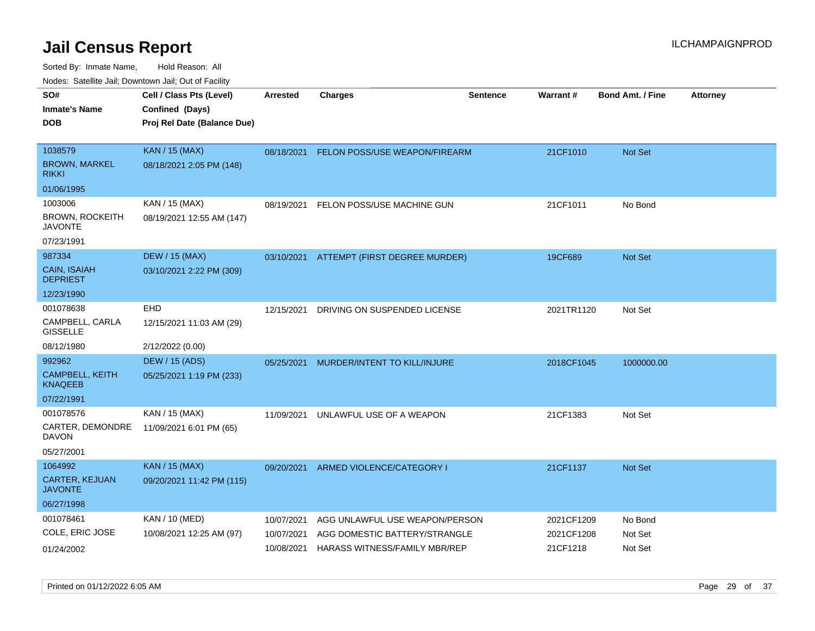| rougs. Calcing Jan, Downtown Jan, Out of Facility |                                                                            |                 |                                |                 |                 |                         |                 |
|---------------------------------------------------|----------------------------------------------------------------------------|-----------------|--------------------------------|-----------------|-----------------|-------------------------|-----------------|
| SO#<br><b>Inmate's Name</b><br><b>DOB</b>         | Cell / Class Pts (Level)<br>Confined (Days)<br>Proj Rel Date (Balance Due) | <b>Arrested</b> | <b>Charges</b>                 | <b>Sentence</b> | <b>Warrant#</b> | <b>Bond Amt. / Fine</b> | <b>Attorney</b> |
|                                                   |                                                                            |                 |                                |                 |                 |                         |                 |
| 1038579                                           | <b>KAN / 15 (MAX)</b>                                                      | 08/18/2021      | FELON POSS/USE WEAPON/FIREARM  |                 | 21CF1010        | <b>Not Set</b>          |                 |
| <b>BROWN, MARKEL</b><br><b>RIKKI</b>              | 08/18/2021 2:05 PM (148)                                                   |                 |                                |                 |                 |                         |                 |
| 01/06/1995                                        |                                                                            |                 |                                |                 |                 |                         |                 |
| 1003006                                           | KAN / 15 (MAX)                                                             | 08/19/2021      | FELON POSS/USE MACHINE GUN     |                 | 21CF1011        | No Bond                 |                 |
| <b>BROWN, ROCKEITH</b><br>JAVONTE                 | 08/19/2021 12:55 AM (147)                                                  |                 |                                |                 |                 |                         |                 |
| 07/23/1991                                        |                                                                            |                 |                                |                 |                 |                         |                 |
| 987334                                            | <b>DEW / 15 (MAX)</b>                                                      | 03/10/2021      | ATTEMPT (FIRST DEGREE MURDER)  |                 | 19CF689         | Not Set                 |                 |
| CAIN, ISAIAH<br><b>DEPRIEST</b>                   | 03/10/2021 2:22 PM (309)                                                   |                 |                                |                 |                 |                         |                 |
| 12/23/1990                                        |                                                                            |                 |                                |                 |                 |                         |                 |
| 001078638                                         | EHD                                                                        | 12/15/2021      | DRIVING ON SUSPENDED LICENSE   |                 | 2021TR1120      | Not Set                 |                 |
| CAMPBELL, CARLA<br><b>GISSELLE</b>                | 12/15/2021 11:03 AM (29)                                                   |                 |                                |                 |                 |                         |                 |
| 08/12/1980                                        | 2/12/2022 (0.00)                                                           |                 |                                |                 |                 |                         |                 |
| 992962                                            | <b>DEW / 15 (ADS)</b>                                                      | 05/25/2021      | MURDER/INTENT TO KILL/INJURE   |                 | 2018CF1045      | 1000000.00              |                 |
| <b>CAMPBELL, KEITH</b><br><b>KNAQEEB</b>          | 05/25/2021 1:19 PM (233)                                                   |                 |                                |                 |                 |                         |                 |
| 07/22/1991                                        |                                                                            |                 |                                |                 |                 |                         |                 |
| 001078576                                         | KAN / 15 (MAX)                                                             | 11/09/2021      | UNLAWFUL USE OF A WEAPON       |                 | 21CF1383        | Not Set                 |                 |
| CARTER, DEMONDRE<br>DAVON                         | 11/09/2021 6:01 PM (65)                                                    |                 |                                |                 |                 |                         |                 |
| 05/27/2001                                        |                                                                            |                 |                                |                 |                 |                         |                 |
| 1064992                                           | <b>KAN / 15 (MAX)</b>                                                      | 09/20/2021      | ARMED VIOLENCE/CATEGORY I      |                 | 21CF1137        | <b>Not Set</b>          |                 |
| CARTER, KEJUAN<br><b>JAVONTE</b>                  | 09/20/2021 11:42 PM (115)                                                  |                 |                                |                 |                 |                         |                 |
| 06/27/1998                                        |                                                                            |                 |                                |                 |                 |                         |                 |
| 001078461                                         | <b>KAN / 10 (MED)</b>                                                      | 10/07/2021      | AGG UNLAWFUL USE WEAPON/PERSON |                 | 2021CF1209      | No Bond                 |                 |
| COLE, ERIC JOSE                                   | 10/08/2021 12:25 AM (97)                                                   | 10/07/2021      | AGG DOMESTIC BATTERY/STRANGLE  |                 | 2021CF1208      | Not Set                 |                 |
| 01/24/2002                                        |                                                                            | 10/08/2021      | HARASS WITNESS/FAMILY MBR/REP  |                 | 21CF1218        | Not Set                 |                 |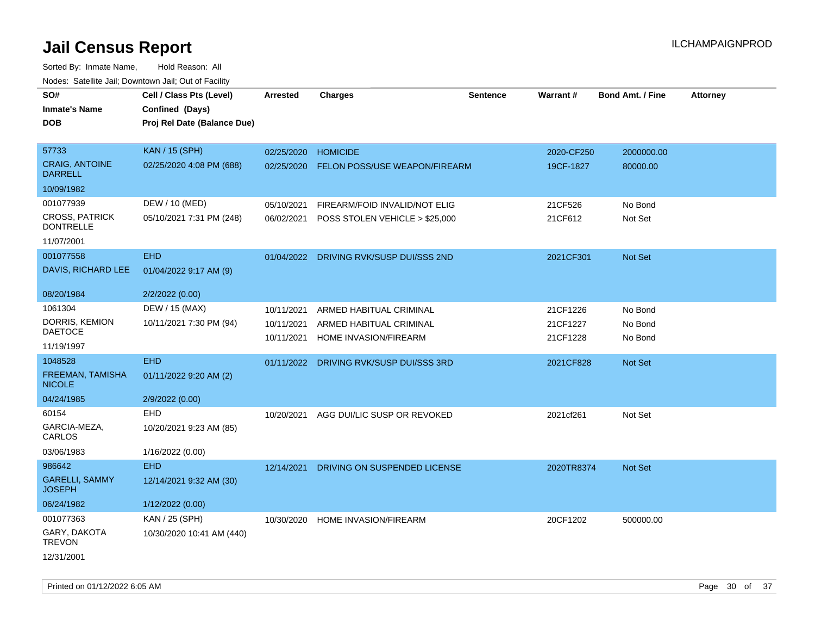| rouce. Calcinic Jan, Downtown Jan, Out or Facility |                             |                 |                                         |                 |            |                         |                 |
|----------------------------------------------------|-----------------------------|-----------------|-----------------------------------------|-----------------|------------|-------------------------|-----------------|
| SO#                                                | Cell / Class Pts (Level)    | <b>Arrested</b> | <b>Charges</b>                          | <b>Sentence</b> | Warrant#   | <b>Bond Amt. / Fine</b> | <b>Attorney</b> |
| <b>Inmate's Name</b>                               | Confined (Days)             |                 |                                         |                 |            |                         |                 |
| <b>DOB</b>                                         | Proj Rel Date (Balance Due) |                 |                                         |                 |            |                         |                 |
|                                                    |                             |                 |                                         |                 |            |                         |                 |
| 57733                                              | <b>KAN / 15 (SPH)</b>       | 02/25/2020      | <b>HOMICIDE</b>                         |                 | 2020-CF250 | 2000000.00              |                 |
| <b>CRAIG, ANTOINE</b><br><b>DARRELL</b>            | 02/25/2020 4:08 PM (688)    | 02/25/2020      | <b>FELON POSS/USE WEAPON/FIREARM</b>    |                 | 19CF-1827  | 80000.00                |                 |
| 10/09/1982                                         |                             |                 |                                         |                 |            |                         |                 |
| 001077939                                          | DEW / 10 (MED)              | 05/10/2021      | FIREARM/FOID INVALID/NOT ELIG           |                 | 21CF526    | No Bond                 |                 |
| <b>CROSS, PATRICK</b><br><b>DONTRELLE</b>          | 05/10/2021 7:31 PM (248)    | 06/02/2021      | POSS STOLEN VEHICLE > \$25,000          |                 | 21CF612    | Not Set                 |                 |
| 11/07/2001                                         |                             |                 |                                         |                 |            |                         |                 |
| 001077558                                          | <b>EHD</b>                  |                 | 01/04/2022 DRIVING RVK/SUSP DUI/SSS 2ND |                 | 2021CF301  | Not Set                 |                 |
| DAVIS, RICHARD LEE                                 | 01/04/2022 9:17 AM (9)      |                 |                                         |                 |            |                         |                 |
| 08/20/1984                                         | 2/2/2022 (0.00)             |                 |                                         |                 |            |                         |                 |
| 1061304                                            | DEW / 15 (MAX)              | 10/11/2021      | ARMED HABITUAL CRIMINAL                 |                 | 21CF1226   | No Bond                 |                 |
| DORRIS, KEMION                                     | 10/11/2021 7:30 PM (94)     | 10/11/2021      | ARMED HABITUAL CRIMINAL                 |                 | 21CF1227   | No Bond                 |                 |
| <b>DAETOCE</b>                                     |                             | 10/11/2021      | HOME INVASION/FIREARM                   |                 | 21CF1228   | No Bond                 |                 |
| 11/19/1997                                         |                             |                 |                                         |                 |            |                         |                 |
| 1048528                                            | <b>EHD</b>                  | 01/11/2022      | DRIVING RVK/SUSP DUI/SSS 3RD            |                 | 2021CF828  | Not Set                 |                 |
| FREEMAN, TAMISHA<br><b>NICOLE</b>                  | 01/11/2022 9:20 AM (2)      |                 |                                         |                 |            |                         |                 |
| 04/24/1985                                         | 2/9/2022 (0.00)             |                 |                                         |                 |            |                         |                 |
| 60154                                              | EHD                         | 10/20/2021      | AGG DUI/LIC SUSP OR REVOKED             |                 | 2021cf261  | Not Set                 |                 |
| GARCIA-MEZA,<br>CARLOS                             | 10/20/2021 9:23 AM (85)     |                 |                                         |                 |            |                         |                 |
| 03/06/1983                                         | 1/16/2022 (0.00)            |                 |                                         |                 |            |                         |                 |
| 986642                                             | <b>EHD</b>                  | 12/14/2021      | DRIVING ON SUSPENDED LICENSE            |                 | 2020TR8374 | <b>Not Set</b>          |                 |
| <b>GARELLI, SAMMY</b><br><b>JOSEPH</b>             | 12/14/2021 9:32 AM (30)     |                 |                                         |                 |            |                         |                 |
| 06/24/1982                                         | 1/12/2022 (0.00)            |                 |                                         |                 |            |                         |                 |
| 001077363                                          | KAN / 25 (SPH)              | 10/30/2020      | HOME INVASION/FIREARM                   |                 | 20CF1202   | 500000.00               |                 |
| GARY, DAKOTA<br><b>TREVON</b>                      | 10/30/2020 10:41 AM (440)   |                 |                                         |                 |            |                         |                 |
| 12/31/2001                                         |                             |                 |                                         |                 |            |                         |                 |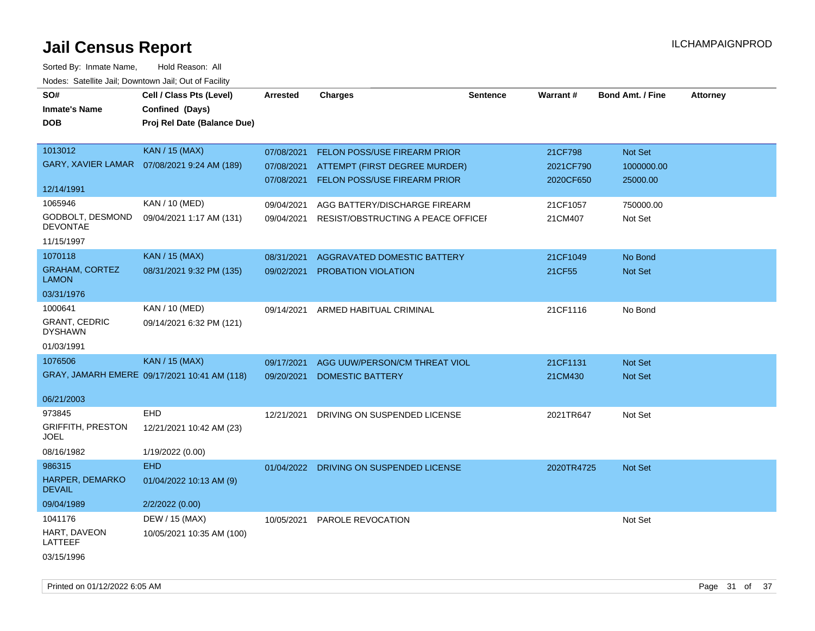| SO#                                    | Cell / Class Pts (Level)                     | <b>Arrested</b> | <b>Charges</b>                          | <b>Sentence</b> | Warrant#   | <b>Bond Amt. / Fine</b> | <b>Attorney</b> |
|----------------------------------------|----------------------------------------------|-----------------|-----------------------------------------|-----------------|------------|-------------------------|-----------------|
| <b>Inmate's Name</b>                   | Confined (Days)                              |                 |                                         |                 |            |                         |                 |
| <b>DOB</b>                             | Proj Rel Date (Balance Due)                  |                 |                                         |                 |            |                         |                 |
|                                        |                                              |                 |                                         |                 |            |                         |                 |
| 1013012                                | <b>KAN / 15 (MAX)</b>                        | 07/08/2021      | FELON POSS/USE FIREARM PRIOR            |                 | 21CF798    | Not Set                 |                 |
| <b>GARY, XAVIER LAMAR</b>              | 07/08/2021 9:24 AM (189)                     | 07/08/2021      | ATTEMPT (FIRST DEGREE MURDER)           |                 | 2021CF790  | 1000000.00              |                 |
|                                        |                                              | 07/08/2021      | FELON POSS/USE FIREARM PRIOR            |                 | 2020CF650  | 25000.00                |                 |
| 12/14/1991                             |                                              |                 |                                         |                 |            |                         |                 |
| 1065946                                | KAN / 10 (MED)                               | 09/04/2021      | AGG BATTERY/DISCHARGE FIREARM           |                 | 21CF1057   | 750000.00               |                 |
| GODBOLT, DESMOND<br><b>DEVONTAE</b>    | 09/04/2021 1:17 AM (131)                     | 09/04/2021      | RESIST/OBSTRUCTING A PEACE OFFICEF      |                 | 21CM407    | Not Set                 |                 |
| 11/15/1997                             |                                              |                 |                                         |                 |            |                         |                 |
| 1070118                                | <b>KAN / 15 (MAX)</b>                        | 08/31/2021      | AGGRAVATED DOMESTIC BATTERY             |                 | 21CF1049   | No Bond                 |                 |
| <b>GRAHAM, CORTEZ</b><br><b>LAMON</b>  | 08/31/2021 9:32 PM (135)                     | 09/02/2021      | PROBATION VIOLATION                     |                 | 21CF55     | Not Set                 |                 |
| 03/31/1976                             |                                              |                 |                                         |                 |            |                         |                 |
| 1000641                                | KAN / 10 (MED)                               | 09/14/2021      | ARMED HABITUAL CRIMINAL                 |                 | 21CF1116   | No Bond                 |                 |
| <b>GRANT, CEDRIC</b><br><b>DYSHAWN</b> | 09/14/2021 6:32 PM (121)                     |                 |                                         |                 |            |                         |                 |
| 01/03/1991                             |                                              |                 |                                         |                 |            |                         |                 |
| 1076506                                | <b>KAN / 15 (MAX)</b>                        | 09/17/2021      | AGG UUW/PERSON/CM THREAT VIOL           |                 | 21CF1131   | Not Set                 |                 |
|                                        | GRAY, JAMARH EMERE 09/17/2021 10:41 AM (118) | 09/20/2021      | <b>DOMESTIC BATTERY</b>                 |                 | 21CM430    | <b>Not Set</b>          |                 |
|                                        |                                              |                 |                                         |                 |            |                         |                 |
| 06/21/2003                             |                                              |                 |                                         |                 |            |                         |                 |
| 973845                                 | EHD                                          | 12/21/2021      | DRIVING ON SUSPENDED LICENSE            |                 | 2021TR647  | Not Set                 |                 |
| <b>GRIFFITH, PRESTON</b><br>JOEL       | 12/21/2021 10:42 AM (23)                     |                 |                                         |                 |            |                         |                 |
| 08/16/1982                             | 1/19/2022 (0.00)                             |                 |                                         |                 |            |                         |                 |
| 986315                                 | <b>EHD</b>                                   |                 | 01/04/2022 DRIVING ON SUSPENDED LICENSE |                 | 2020TR4725 | Not Set                 |                 |
| HARPER, DEMARKO<br><b>DEVAIL</b>       | 01/04/2022 10:13 AM (9)                      |                 |                                         |                 |            |                         |                 |
| 09/04/1989                             | 2/2/2022 (0.00)                              |                 |                                         |                 |            |                         |                 |
| 1041176                                | DEW / 15 (MAX)                               | 10/05/2021      | PAROLE REVOCATION                       |                 |            | Not Set                 |                 |
| HART, DAVEON<br>LATTEEF                | 10/05/2021 10:35 AM (100)                    |                 |                                         |                 |            |                         |                 |
| 03/15/1996                             |                                              |                 |                                         |                 |            |                         |                 |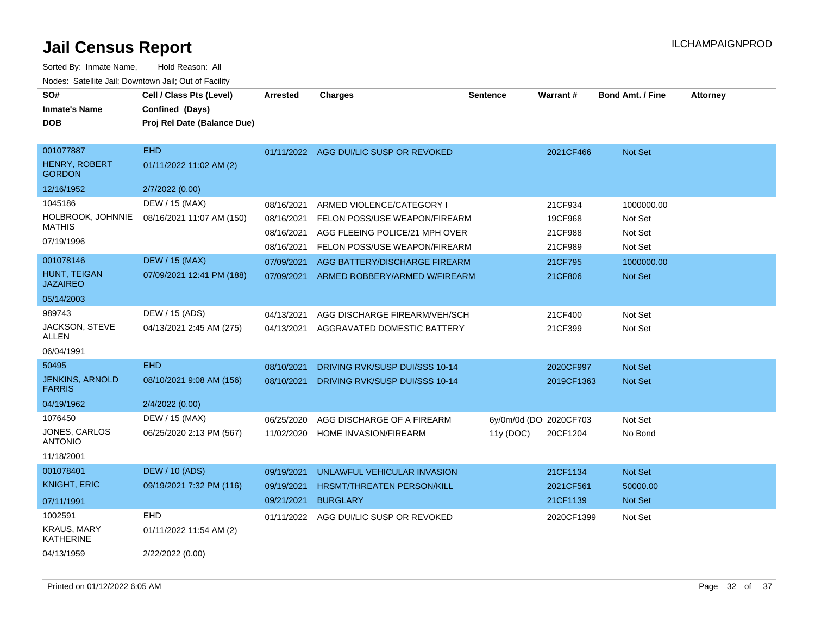| SO#<br><b>Inmate's Name</b><br><b>DOB</b>   | Cell / Class Pts (Level)<br>Confined (Days)<br>Proj Rel Date (Balance Due) | <b>Arrested</b>          | <b>Charges</b>                                             | <b>Sentence</b> | Warrant#                | <b>Bond Amt. / Fine</b> | Attorney |
|---------------------------------------------|----------------------------------------------------------------------------|--------------------------|------------------------------------------------------------|-----------------|-------------------------|-------------------------|----------|
| 001077887<br>HENRY, ROBERT<br><b>GORDON</b> | <b>EHD</b><br>01/11/2022 11:02 AM (2)                                      |                          | 01/11/2022 AGG DUI/LIC SUSP OR REVOKED                     |                 | 2021CF466               | <b>Not Set</b>          |          |
| 12/16/1952                                  | 2/7/2022 (0.00)                                                            |                          |                                                            |                 |                         |                         |          |
| 1045186<br>HOLBROOK, JOHNNIE                | DEW / 15 (MAX)<br>08/16/2021 11:07 AM (150)                                | 08/16/2021<br>08/16/2021 | ARMED VIOLENCE/CATEGORY I<br>FELON POSS/USE WEAPON/FIREARM |                 | 21CF934<br>19CF968      | 1000000.00<br>Not Set   |          |
| <b>MATHIS</b>                               |                                                                            | 08/16/2021               | AGG FLEEING POLICE/21 MPH OVER                             |                 | 21CF988                 | Not Set                 |          |
| 07/19/1996                                  |                                                                            | 08/16/2021               | FELON POSS/USE WEAPON/FIREARM                              |                 | 21CF989                 | Not Set                 |          |
| 001078146                                   | <b>DEW / 15 (MAX)</b>                                                      | 07/09/2021               | AGG BATTERY/DISCHARGE FIREARM                              |                 | 21CF795                 | 1000000.00              |          |
| <b>HUNT. TEIGAN</b><br><b>JAZAIREO</b>      | 07/09/2021 12:41 PM (188)                                                  | 07/09/2021               | ARMED ROBBERY/ARMED W/FIREARM                              |                 | 21CF806                 | Not Set                 |          |
| 05/14/2003                                  |                                                                            |                          |                                                            |                 |                         |                         |          |
| 989743                                      | DEW / 15 (ADS)                                                             | 04/13/2021               | AGG DISCHARGE FIREARM/VEH/SCH                              |                 | 21CF400                 | Not Set                 |          |
| JACKSON, STEVE<br><b>ALLEN</b>              | 04/13/2021 2:45 AM (275)                                                   | 04/13/2021               | AGGRAVATED DOMESTIC BATTERY                                |                 | 21CF399                 | Not Set                 |          |
| 06/04/1991                                  |                                                                            |                          |                                                            |                 |                         |                         |          |
| 50495                                       | <b>EHD</b>                                                                 | 08/10/2021               | DRIVING RVK/SUSP DUI/SSS 10-14                             |                 | 2020CF997               | Not Set                 |          |
| <b>JENKINS, ARNOLD</b><br><b>FARRIS</b>     | 08/10/2021 9:08 AM (156)                                                   | 08/10/2021               | DRIVING RVK/SUSP DUI/SSS 10-14                             |                 | 2019CF1363              | Not Set                 |          |
| 04/19/1962                                  | 2/4/2022 (0.00)                                                            |                          |                                                            |                 |                         |                         |          |
| 1076450                                     | DEW / 15 (MAX)                                                             | 06/25/2020               | AGG DISCHARGE OF A FIREARM                                 |                 | 6y/0m/0d (DOI 2020CF703 | Not Set                 |          |
| JONES, CARLOS<br><b>ANTONIO</b>             | 06/25/2020 2:13 PM (567)                                                   |                          | 11/02/2020 HOME INVASION/FIREARM                           | 11y (DOC)       | 20CF1204                | No Bond                 |          |
| 11/18/2001                                  |                                                                            |                          |                                                            |                 |                         |                         |          |
| 001078401                                   | <b>DEW / 10 (ADS)</b>                                                      | 09/19/2021               | UNLAWFUL VEHICULAR INVASION                                |                 | 21CF1134                | Not Set                 |          |
| <b>KNIGHT, ERIC</b>                         | 09/19/2021 7:32 PM (116)                                                   | 09/19/2021               | <b>HRSMT/THREATEN PERSON/KILL</b>                          |                 | 2021CF561               | 50000.00                |          |
| 07/11/1991                                  |                                                                            | 09/21/2021               | <b>BURGLARY</b>                                            |                 | 21CF1139                | Not Set                 |          |
| 1002591                                     | EHD                                                                        | 01/11/2022               | AGG DUI/LIC SUSP OR REVOKED                                |                 | 2020CF1399              | Not Set                 |          |
| <b>KRAUS, MARY</b><br><b>KATHERINE</b>      | 01/11/2022 11:54 AM (2)                                                    |                          |                                                            |                 |                         |                         |          |
| 04/13/1959                                  | 2/22/2022 (0.00)                                                           |                          |                                                            |                 |                         |                         |          |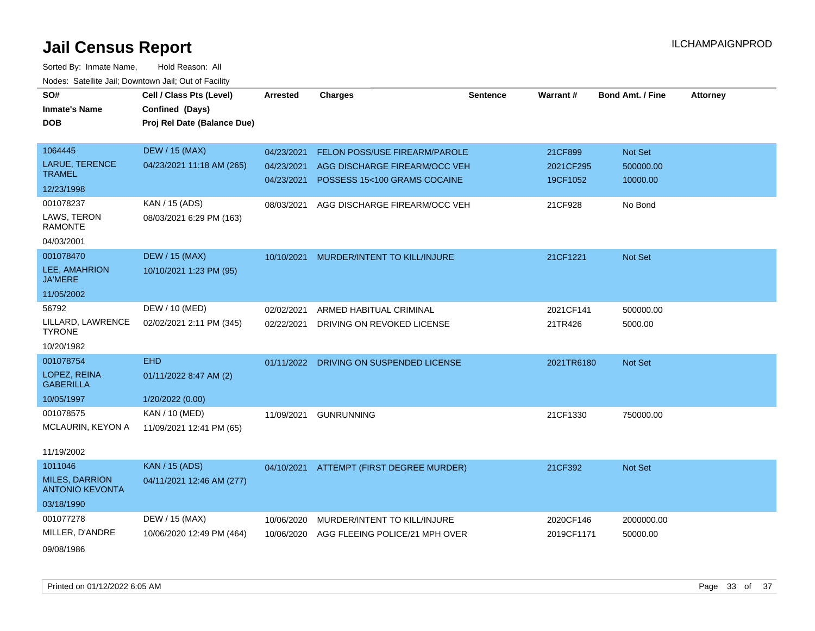| SO#                                             | Cell / Class Pts (Level)    | <b>Arrested</b> | <b>Charges</b>                           | <b>Sentence</b> | Warrant#   | <b>Bond Amt. / Fine</b> | <b>Attorney</b> |
|-------------------------------------------------|-----------------------------|-----------------|------------------------------------------|-----------------|------------|-------------------------|-----------------|
| <b>Inmate's Name</b>                            | Confined (Days)             |                 |                                          |                 |            |                         |                 |
| <b>DOB</b>                                      | Proj Rel Date (Balance Due) |                 |                                          |                 |            |                         |                 |
|                                                 |                             |                 |                                          |                 |            |                         |                 |
| 1064445                                         | <b>DEW / 15 (MAX)</b>       | 04/23/2021      | FELON POSS/USE FIREARM/PAROLE            |                 | 21CF899    | Not Set                 |                 |
| LARUE, TERENCE                                  | 04/23/2021 11:18 AM (265)   | 04/23/2021      | AGG DISCHARGE FIREARM/OCC VEH            |                 | 2021CF295  | 500000.00               |                 |
| <b>TRAMEL</b>                                   |                             | 04/23/2021      | POSSESS 15<100 GRAMS COCAINE             |                 | 19CF1052   | 10000.00                |                 |
| 12/23/1998                                      |                             |                 |                                          |                 |            |                         |                 |
| 001078237                                       | KAN / 15 (ADS)              | 08/03/2021      | AGG DISCHARGE FIREARM/OCC VEH            |                 | 21CF928    | No Bond                 |                 |
| LAWS, TERON<br><b>RAMONTE</b>                   | 08/03/2021 6:29 PM (163)    |                 |                                          |                 |            |                         |                 |
| 04/03/2001                                      |                             |                 |                                          |                 |            |                         |                 |
| 001078470                                       | <b>DEW / 15 (MAX)</b>       | 10/10/2021      | MURDER/INTENT TO KILL/INJURE             |                 | 21CF1221   | Not Set                 |                 |
| LEE, AMAHRION<br><b>JA'MERE</b>                 | 10/10/2021 1:23 PM (95)     |                 |                                          |                 |            |                         |                 |
| 11/05/2002                                      |                             |                 |                                          |                 |            |                         |                 |
| 56792                                           | DEW / 10 (MED)              | 02/02/2021      | ARMED HABITUAL CRIMINAL                  |                 | 2021CF141  | 500000.00               |                 |
| LILLARD, LAWRENCE<br><b>TYRONE</b>              | 02/02/2021 2:11 PM (345)    | 02/22/2021      | DRIVING ON REVOKED LICENSE               |                 | 21TR426    | 5000.00                 |                 |
| 10/20/1982                                      |                             |                 |                                          |                 |            |                         |                 |
| 001078754                                       | <b>EHD</b>                  | 01/11/2022      | DRIVING ON SUSPENDED LICENSE             |                 | 2021TR6180 | Not Set                 |                 |
| LOPEZ, REINA<br><b>GABERILLA</b>                | 01/11/2022 8:47 AM (2)      |                 |                                          |                 |            |                         |                 |
| 10/05/1997                                      | 1/20/2022 (0.00)            |                 |                                          |                 |            |                         |                 |
| 001078575                                       | KAN / 10 (MED)              | 11/09/2021      | <b>GUNRUNNING</b>                        |                 | 21CF1330   | 750000.00               |                 |
| MCLAURIN, KEYON A                               | 11/09/2021 12:41 PM (65)    |                 |                                          |                 |            |                         |                 |
| 11/19/2002                                      |                             |                 |                                          |                 |            |                         |                 |
| 1011046                                         | <b>KAN / 15 (ADS)</b>       |                 | 04/10/2021 ATTEMPT (FIRST DEGREE MURDER) |                 | 21CF392    | Not Set                 |                 |
| <b>MILES, DARRION</b><br><b>ANTONIO KEVONTA</b> | 04/11/2021 12:46 AM (277)   |                 |                                          |                 |            |                         |                 |
| 03/18/1990                                      |                             |                 |                                          |                 |            |                         |                 |
| 001077278                                       | DEW / 15 (MAX)              | 10/06/2020      | MURDER/INTENT TO KILL/INJURE             |                 | 2020CF146  | 2000000.00              |                 |
| MILLER, D'ANDRE                                 | 10/06/2020 12:49 PM (464)   | 10/06/2020      | AGG FLEEING POLICE/21 MPH OVER           |                 | 2019CF1171 | 50000.00                |                 |
| 09/08/1986                                      |                             |                 |                                          |                 |            |                         |                 |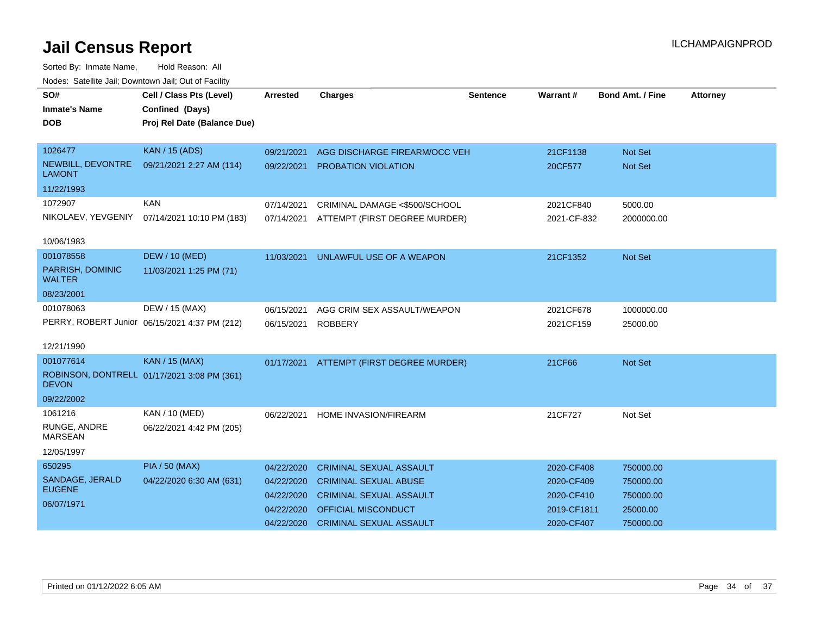| SO#                                | Cell / Class Pts (Level)                      | <b>Arrested</b> | <b>Charges</b>                           | Sentence | Warrant#    | <b>Bond Amt. / Fine</b> | <b>Attorney</b> |
|------------------------------------|-----------------------------------------------|-----------------|------------------------------------------|----------|-------------|-------------------------|-----------------|
| <b>Inmate's Name</b>               | Confined (Days)                               |                 |                                          |          |             |                         |                 |
| <b>DOB</b>                         | Proj Rel Date (Balance Due)                   |                 |                                          |          |             |                         |                 |
|                                    |                                               |                 |                                          |          |             |                         |                 |
| 1026477                            | <b>KAN / 15 (ADS)</b>                         | 09/21/2021      | AGG DISCHARGE FIREARM/OCC VEH            |          | 21CF1138    | <b>Not Set</b>          |                 |
| NEWBILL, DEVONTRE<br><b>LAMONT</b> | 09/21/2021 2:27 AM (114)                      | 09/22/2021      | PROBATION VIOLATION                      |          | 20CF577     | <b>Not Set</b>          |                 |
| 11/22/1993                         |                                               |                 |                                          |          |             |                         |                 |
| 1072907                            | <b>KAN</b>                                    | 07/14/2021      | CRIMINAL DAMAGE <\$500/SCHOOL            |          | 2021CF840   | 5000.00                 |                 |
| NIKOLAEV, YEVGENIY                 | 07/14/2021 10:10 PM (183)                     | 07/14/2021      | ATTEMPT (FIRST DEGREE MURDER)            |          | 2021-CF-832 | 2000000.00              |                 |
| 10/06/1983                         |                                               |                 |                                          |          |             |                         |                 |
| 001078558                          | <b>DEW / 10 (MED)</b>                         | 11/03/2021      | UNLAWFUL USE OF A WEAPON                 |          | 21CF1352    | <b>Not Set</b>          |                 |
| PARRISH, DOMINIC<br><b>WALTER</b>  | 11/03/2021 1:25 PM (71)                       |                 |                                          |          |             |                         |                 |
| 08/23/2001                         |                                               |                 |                                          |          |             |                         |                 |
| 001078063                          | DEW / 15 (MAX)                                | 06/15/2021      | AGG CRIM SEX ASSAULT/WEAPON              |          | 2021CF678   | 1000000.00              |                 |
|                                    | PERRY, ROBERT Junior 06/15/2021 4:37 PM (212) | 06/15/2021      | <b>ROBBERY</b>                           |          | 2021CF159   | 25000.00                |                 |
|                                    |                                               |                 |                                          |          |             |                         |                 |
| 12/21/1990                         |                                               |                 |                                          |          |             |                         |                 |
| 001077614                          | <b>KAN / 15 (MAX)</b>                         |                 | 01/17/2021 ATTEMPT (FIRST DEGREE MURDER) |          | 21CF66      | Not Set                 |                 |
| <b>DEVON</b>                       | ROBINSON, DONTRELL 01/17/2021 3:08 PM (361)   |                 |                                          |          |             |                         |                 |
| 09/22/2002                         |                                               |                 |                                          |          |             |                         |                 |
| 1061216                            | KAN / 10 (MED)                                | 06/22/2021      | <b>HOME INVASION/FIREARM</b>             |          | 21CF727     | Not Set                 |                 |
| RUNGE, ANDRE<br><b>MARSEAN</b>     | 06/22/2021 4:42 PM (205)                      |                 |                                          |          |             |                         |                 |
| 12/05/1997                         |                                               |                 |                                          |          |             |                         |                 |
| 650295                             | <b>PIA / 50 (MAX)</b>                         | 04/22/2020      | <b>CRIMINAL SEXUAL ASSAULT</b>           |          | 2020-CF408  | 750000.00               |                 |
| SANDAGE, JERALD                    | 04/22/2020 6:30 AM (631)                      | 04/22/2020      | <b>CRIMINAL SEXUAL ABUSE</b>             |          | 2020-CF409  | 750000.00               |                 |
| <b>EUGENE</b>                      |                                               | 04/22/2020      | <b>CRIMINAL SEXUAL ASSAULT</b>           |          | 2020-CF410  | 750000.00               |                 |
| 06/07/1971                         |                                               | 04/22/2020      | OFFICIAL MISCONDUCT                      |          | 2019-CF1811 | 25000.00                |                 |
|                                    |                                               | 04/22/2020      | <b>CRIMINAL SEXUAL ASSAULT</b>           |          | 2020-CF407  | 750000.00               |                 |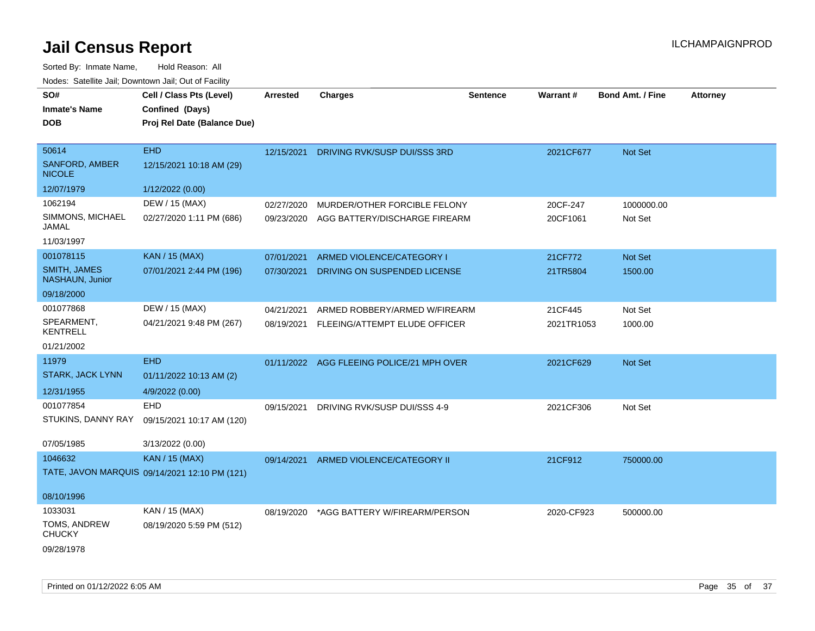| SO#<br><b>Inmate's Name</b><br><b>DOB</b>       | Cell / Class Pts (Level)<br>Confined (Days)<br>Proj Rel Date (Balance Due) | <b>Arrested</b> | <b>Charges</b>                            | <b>Sentence</b> | Warrant#   | Bond Amt. / Fine | <b>Attorney</b> |
|-------------------------------------------------|----------------------------------------------------------------------------|-----------------|-------------------------------------------|-----------------|------------|------------------|-----------------|
| 50614<br><b>SANFORD, AMBER</b><br><b>NICOLE</b> | <b>EHD</b><br>12/15/2021 10:18 AM (29)                                     | 12/15/2021      | DRIVING RVK/SUSP DUI/SSS 3RD              |                 | 2021CF677  | Not Set          |                 |
| 12/07/1979                                      | 1/12/2022 (0.00)                                                           |                 |                                           |                 |            |                  |                 |
| 1062194                                         | DEW / 15 (MAX)                                                             | 02/27/2020      | MURDER/OTHER FORCIBLE FELONY              |                 | 20CF-247   | 1000000.00       |                 |
| SIMMONS, MICHAEL<br>JAMAL                       | 02/27/2020 1:11 PM (686)                                                   | 09/23/2020      | AGG BATTERY/DISCHARGE FIREARM             |                 | 20CF1061   | Not Set          |                 |
| 11/03/1997                                      |                                                                            |                 |                                           |                 |            |                  |                 |
| 001078115                                       | <b>KAN / 15 (MAX)</b>                                                      | 07/01/2021      | ARMED VIOLENCE/CATEGORY I                 |                 | 21CF772    | Not Set          |                 |
| SMITH, JAMES<br>NASHAUN, Junior                 | 07/01/2021 2:44 PM (196)                                                   | 07/30/2021      | DRIVING ON SUSPENDED LICENSE              |                 | 21TR5804   | 1500.00          |                 |
| 09/18/2000                                      |                                                                            |                 |                                           |                 |            |                  |                 |
| 001077868                                       | DEW / 15 (MAX)                                                             | 04/21/2021      | ARMED ROBBERY/ARMED W/FIREARM             |                 | 21CF445    | Not Set          |                 |
| SPEARMENT,<br><b>KENTRELL</b>                   | 04/21/2021 9:48 PM (267)                                                   | 08/19/2021      | FLEEING/ATTEMPT ELUDE OFFICER             |                 | 2021TR1053 | 1000.00          |                 |
| 01/21/2002                                      |                                                                            |                 |                                           |                 |            |                  |                 |
| 11979                                           | <b>EHD</b>                                                                 |                 | 01/11/2022 AGG FLEEING POLICE/21 MPH OVER |                 | 2021CF629  | Not Set          |                 |
| STARK, JACK LYNN                                | 01/11/2022 10:13 AM (2)                                                    |                 |                                           |                 |            |                  |                 |
| 12/31/1955                                      | 4/9/2022 (0.00)                                                            |                 |                                           |                 |            |                  |                 |
| 001077854                                       | EHD                                                                        | 09/15/2021      | DRIVING RVK/SUSP DUI/SSS 4-9              |                 | 2021CF306  | Not Set          |                 |
| STUKINS, DANNY RAY                              | 09/15/2021 10:17 AM (120)                                                  |                 |                                           |                 |            |                  |                 |
| 07/05/1985                                      | 3/13/2022 (0.00)                                                           |                 |                                           |                 |            |                  |                 |
| 1046632                                         | <b>KAN / 15 (MAX)</b>                                                      | 09/14/2021      | ARMED VIOLENCE/CATEGORY II                |                 | 21CF912    | 750000.00        |                 |
|                                                 | TATE, JAVON MARQUIS 09/14/2021 12:10 PM (121)                              |                 |                                           |                 |            |                  |                 |
| 08/10/1996                                      |                                                                            |                 |                                           |                 |            |                  |                 |
| 1033031                                         | KAN / 15 (MAX)                                                             | 08/19/2020      | *AGG BATTERY W/FIREARM/PERSON             |                 | 2020-CF923 | 500000.00        |                 |
| TOMS, ANDREW<br><b>CHUCKY</b>                   | 08/19/2020 5:59 PM (512)                                                   |                 |                                           |                 |            |                  |                 |
| 09/28/1978                                      |                                                                            |                 |                                           |                 |            |                  |                 |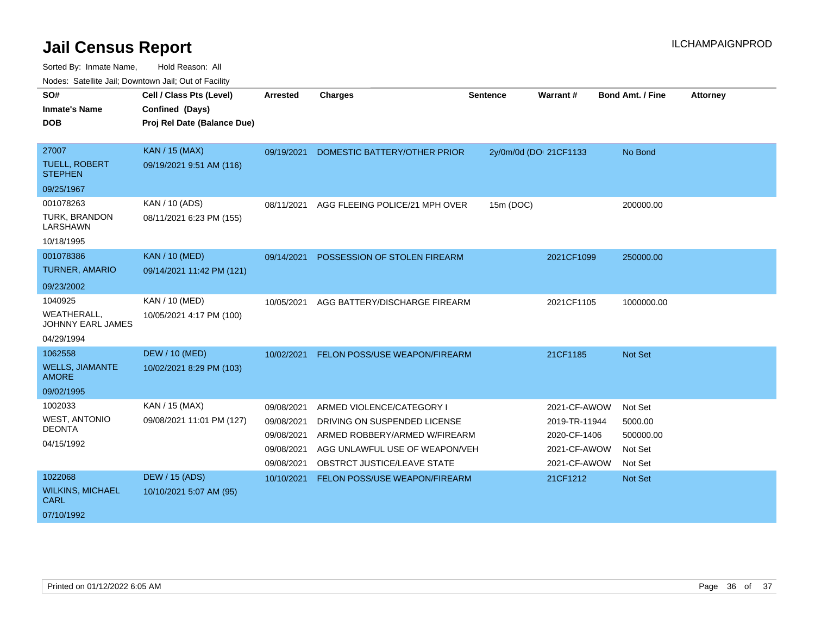| SO#<br><b>Inmate's Name</b><br><b>DOB</b> | Cell / Class Pts (Level)<br>Confined (Days)<br>Proj Rel Date (Balance Due) | <b>Arrested</b> | <b>Charges</b>                       | <b>Sentence</b> | Warrant#               | <b>Bond Amt. / Fine</b> | <b>Attorney</b> |
|-------------------------------------------|----------------------------------------------------------------------------|-----------------|--------------------------------------|-----------------|------------------------|-------------------------|-----------------|
|                                           |                                                                            |                 |                                      |                 |                        |                         |                 |
| 27007                                     | <b>KAN / 15 (MAX)</b>                                                      | 09/19/2021      | DOMESTIC BATTERY/OTHER PRIOR         |                 | 2y/0m/0d (DOI 21CF1133 | No Bond                 |                 |
| <b>TUELL, ROBERT</b><br><b>STEPHEN</b>    | 09/19/2021 9:51 AM (116)                                                   |                 |                                      |                 |                        |                         |                 |
| 09/25/1967                                |                                                                            |                 |                                      |                 |                        |                         |                 |
| 001078263                                 | KAN / 10 (ADS)                                                             | 08/11/2021      | AGG FLEEING POLICE/21 MPH OVER       | 15m (DOC)       |                        | 200000.00               |                 |
| TURK, BRANDON<br><b>LARSHAWN</b>          | 08/11/2021 6:23 PM (155)                                                   |                 |                                      |                 |                        |                         |                 |
| 10/18/1995                                |                                                                            |                 |                                      |                 |                        |                         |                 |
| 001078386                                 | <b>KAN / 10 (MED)</b>                                                      | 09/14/2021      | POSSESSION OF STOLEN FIREARM         |                 | 2021CF1099             | 250000.00               |                 |
| <b>TURNER, AMARIO</b>                     | 09/14/2021 11:42 PM (121)                                                  |                 |                                      |                 |                        |                         |                 |
| 09/23/2002                                |                                                                            |                 |                                      |                 |                        |                         |                 |
| 1040925                                   | KAN / 10 (MED)                                                             | 10/05/2021      | AGG BATTERY/DISCHARGE FIREARM        |                 | 2021CF1105             | 1000000.00              |                 |
| <b>WEATHERALL,</b><br>JOHNNY EARL JAMES   | 10/05/2021 4:17 PM (100)                                                   |                 |                                      |                 |                        |                         |                 |
| 04/29/1994                                |                                                                            |                 |                                      |                 |                        |                         |                 |
| 1062558                                   | <b>DEW / 10 (MED)</b>                                                      | 10/02/2021      | <b>FELON POSS/USE WEAPON/FIREARM</b> |                 | 21CF1185               | <b>Not Set</b>          |                 |
| <b>WELLS, JIAMANTE</b><br><b>AMORE</b>    | 10/02/2021 8:29 PM (103)                                                   |                 |                                      |                 |                        |                         |                 |
| 09/02/1995                                |                                                                            |                 |                                      |                 |                        |                         |                 |
| 1002033                                   | KAN / 15 (MAX)                                                             | 09/08/2021      | ARMED VIOLENCE/CATEGORY I            |                 | 2021-CF-AWOW           | Not Set                 |                 |
| <b>WEST, ANTONIO</b>                      | 09/08/2021 11:01 PM (127)                                                  | 09/08/2021      | DRIVING ON SUSPENDED LICENSE         |                 | 2019-TR-11944          | 5000.00                 |                 |
| <b>DEONTA</b>                             |                                                                            | 09/08/2021      | ARMED ROBBERY/ARMED W/FIREARM        |                 | 2020-CF-1406           | 500000.00               |                 |
| 04/15/1992                                |                                                                            | 09/08/2021      | AGG UNLAWFUL USE OF WEAPON/VEH       |                 | 2021-CF-AWOW           | Not Set                 |                 |
|                                           |                                                                            | 09/08/2021      | OBSTRCT JUSTICE/LEAVE STATE          |                 | 2021-CF-AWOW           | Not Set                 |                 |
| 1022068                                   | <b>DEW / 15 (ADS)</b>                                                      | 10/10/2021      | FELON POSS/USE WEAPON/FIREARM        |                 | 21CF1212               | Not Set                 |                 |
| <b>WILKINS, MICHAEL</b><br><b>CARL</b>    | 10/10/2021 5:07 AM (95)                                                    |                 |                                      |                 |                        |                         |                 |
| 07/10/1992                                |                                                                            |                 |                                      |                 |                        |                         |                 |